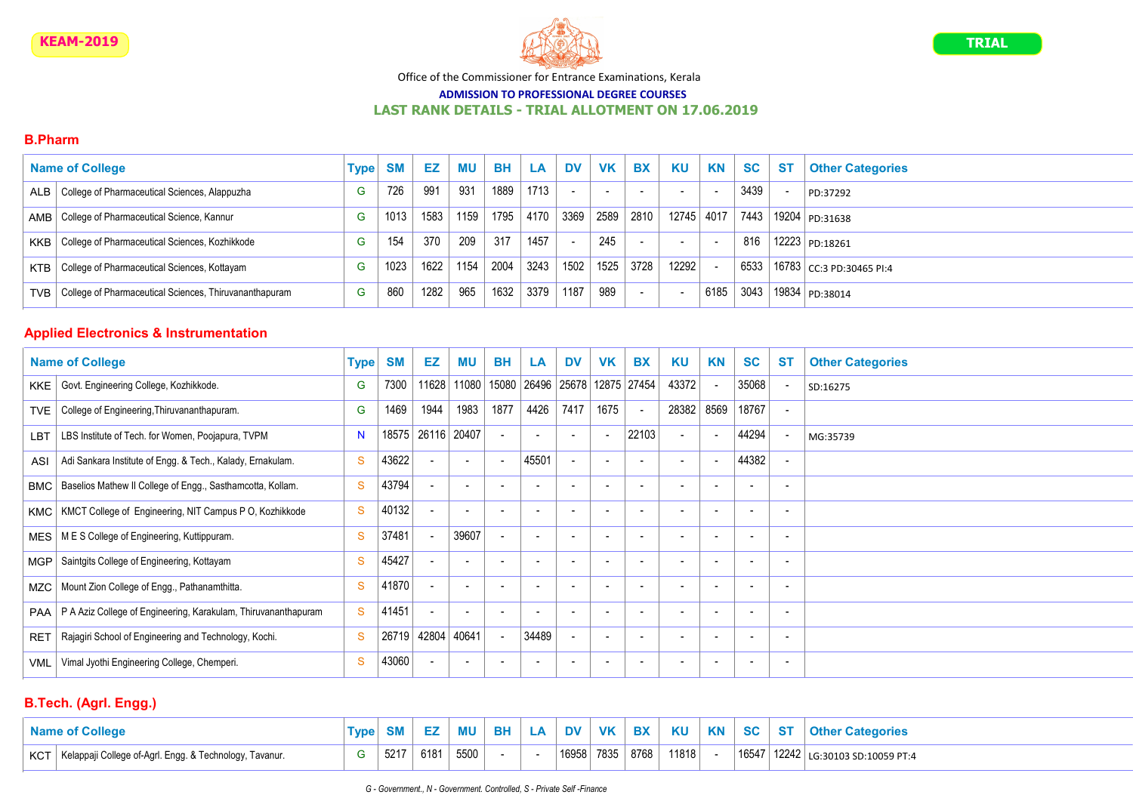

#### ADMISSION TO PROFESSIONAL DEGREE COURSES

LAST RANK DETAILS - TRIAL ALLOTMENT ON 17.06.2019

## B.Pharm

|     | <b>Name of College</b>                                 | Type | <b>SM</b> | EZ   | ΜU   | <b>BH</b> | <b>LA</b> | <b>DV</b> | <b>VK</b>      | <b>BX</b> | KU         | <b>KN</b>                | <b>SC</b> | <b>ST</b> | <b>Other Categories</b>              |
|-----|--------------------------------------------------------|------|-----------|------|------|-----------|-----------|-----------|----------------|-----------|------------|--------------------------|-----------|-----------|--------------------------------------|
| ALB | College of Pharmaceutical Sciences, Alappuzha          | G    | 726       | 991  | 931  | 1889      | 1713      |           | $\sim$         |           | $\sim$     | . .                      | 3439      |           | PD:37292                             |
|     | AMB   College of Pharmaceutical Science, Kannur        | G.   | 1013      | 1583 | 1159 | 1795      | 4170      |           | 3369 2589 2810 |           | 12745 4017 |                          |           |           | $ 7443 19204 p_{D:31638} $           |
| KKB | College of Pharmaceutical Sciences, Kozhikkode         | G.   | 154       | 370  | 209  | 317       | 1457      |           | 245            |           | $\sim$     | $\overline{\phantom{a}}$ | 816       |           | 12223 PD:18261                       |
| KTB | College of Pharmaceutical Sciences, Kottayam           | G.   | 1023      | 1622 | 1154 | 2004      | 3243      | 1502      | 1525           | 3728      | 12292      |                          |           |           | $+6533$   16783   CC:3 PD:30465 PI:4 |
| TVB | College of Pharmaceutical Sciences, Thiruvananthapuram | G.   | 860       | 1282 | 965  | 1632      | 3379      | 1187      | 989            |           | $\sim$     | 6185                     | 3043      |           | 19834 PD:38014                       |

## Applied Electronics & Instrumentation

|            | <b>Name of College</b>                                         | <b>Type</b>  | <b>SM</b> | EZ                       | <b>MU</b>                | <b>BH</b>                | <b>LA</b>                     | <b>DV</b>                | <b>VK</b>                | <b>BX</b> | <b>KU</b>                | <b>KN</b>  | <b>SC</b>                | <b>ST</b>                | <b>Other Categories</b> |
|------------|----------------------------------------------------------------|--------------|-----------|--------------------------|--------------------------|--------------------------|-------------------------------|--------------------------|--------------------------|-----------|--------------------------|------------|--------------------------|--------------------------|-------------------------|
| KKE        | Govt. Engineering College, Kozhikkode.                         | G            | 7300      |                          | 11628   11080            |                          | 15080 26496 25678 12875 27454 |                          |                          |           | 43372                    |            | 35068                    |                          | SD:16275                |
| TVE        | College of Engineering, Thiruvananthapuram.                    | G            | 1469      | 1944                     | 1983                     | 1877                     | 4426                          | 7417                     | 1675                     |           |                          | 28382 8569 | 18767                    |                          |                         |
| LBT        | LBS Institute of Tech. for Women, Poojapura, TVPM              | N            | 18575     | 26116 20407              |                          | $\overline{\phantom{a}}$ |                               | $\overline{\phantom{a}}$ | $\overline{\phantom{a}}$ | 22103     | $\sim$                   |            | 44294                    |                          | MG:35739                |
| ASI        | Adi Sankara Institute of Engg. & Tech., Kalady, Ernakulam.     | S            | 43622     | $\overline{\phantom{a}}$ | $\sim$                   | $\sim$                   | 45501                         | $\overline{\phantom{a}}$ | $\blacksquare$           |           | $\sim$                   |            | 44382                    |                          |                         |
| BMC        | Baselios Mathew II College of Engg., Sasthamcotta, Kollam.     | S            | 43794     |                          | $\overline{\phantom{a}}$ | $\sim$                   |                               | $\overline{\phantom{a}}$ | $\blacksquare$           |           | $\overline{\phantom{a}}$ |            | $\blacksquare$           |                          |                         |
|            | KMC   KMCT College of Engineering, NIT Campus P O, Kozhikkode  | S            | 40132     |                          |                          | $\sim$                   |                               | $\overline{\phantom{a}}$ |                          |           | $\overline{a}$           |            | ٠                        |                          |                         |
| MES        | M E S College of Engineering, Kuttippuram.                     | <sub>S</sub> | 37481     |                          | 39607                    | $\overline{\phantom{a}}$ | $\overline{\phantom{a}}$      | $\overline{\phantom{a}}$ | $\overline{\phantom{a}}$ |           | $\overline{\phantom{a}}$ |            | $\overline{\phantom{a}}$ |                          |                         |
| <b>MGP</b> | Saintgits College of Engineering, Kottayam                     | S            | 45427     |                          | $\overline{\phantom{a}}$ | $\sim$                   |                               | $\overline{\phantom{a}}$ | $\overline{\phantom{a}}$ |           | $\overline{\phantom{a}}$ |            | $\overline{\phantom{a}}$ |                          |                         |
| MZC        | Mount Zion College of Engg., Pathanamthitta.                   | S            | 41870     |                          | $\overline{\phantom{a}}$ | $\sim$                   |                               | $\overline{\phantom{a}}$ |                          |           | $\overline{\phantom{a}}$ |            | ٠                        |                          |                         |
| PAA        | P A Aziz College of Engineering, Karakulam, Thiruvananthapuram | S            | 41451     |                          | $\overline{a}$           | $\sim$                   |                               | $\overline{\phantom{a}}$ |                          |           | $\overline{a}$           |            | ٠                        |                          |                         |
| <b>RET</b> | Rajagiri School of Engineering and Technology, Kochi.          | S            | 26719     | 42804 40641              |                          | $\sim$                   | 34489                         | $\overline{\phantom{a}}$ | $\overline{\phantom{a}}$ |           | $\overline{\phantom{a}}$ |            | $\blacksquare$           |                          |                         |
| VML        | Vimal Jyothi Engineering College, Chemperi.                    | S            | 43060     |                          | $\overline{\phantom{a}}$ | $\sim$                   |                               | $\overline{\phantom{a}}$ | $\overline{\phantom{a}}$ |           | $\overline{\phantom{a}}$ |            | $\overline{\phantom{a}}$ | $\overline{\phantom{a}}$ |                         |

## B.Tech. (Agrl. Engg.)

| <b>Name of College</b>                                        | Type |      |      |      | MU BH LA | DV         |  |            |  | VK BX KU KN SC ST Other Categories   |
|---------------------------------------------------------------|------|------|------|------|----------|------------|--|------------|--|--------------------------------------|
| KCT   Kelappaji College of-Agrl. Engg. & Technology, Tavanur. |      | 5217 | 6181 | 5500 |          | 16958 7835 |  | 8768 11818 |  | $16547$ 12242 LG:30103 SD:10059 PT:4 |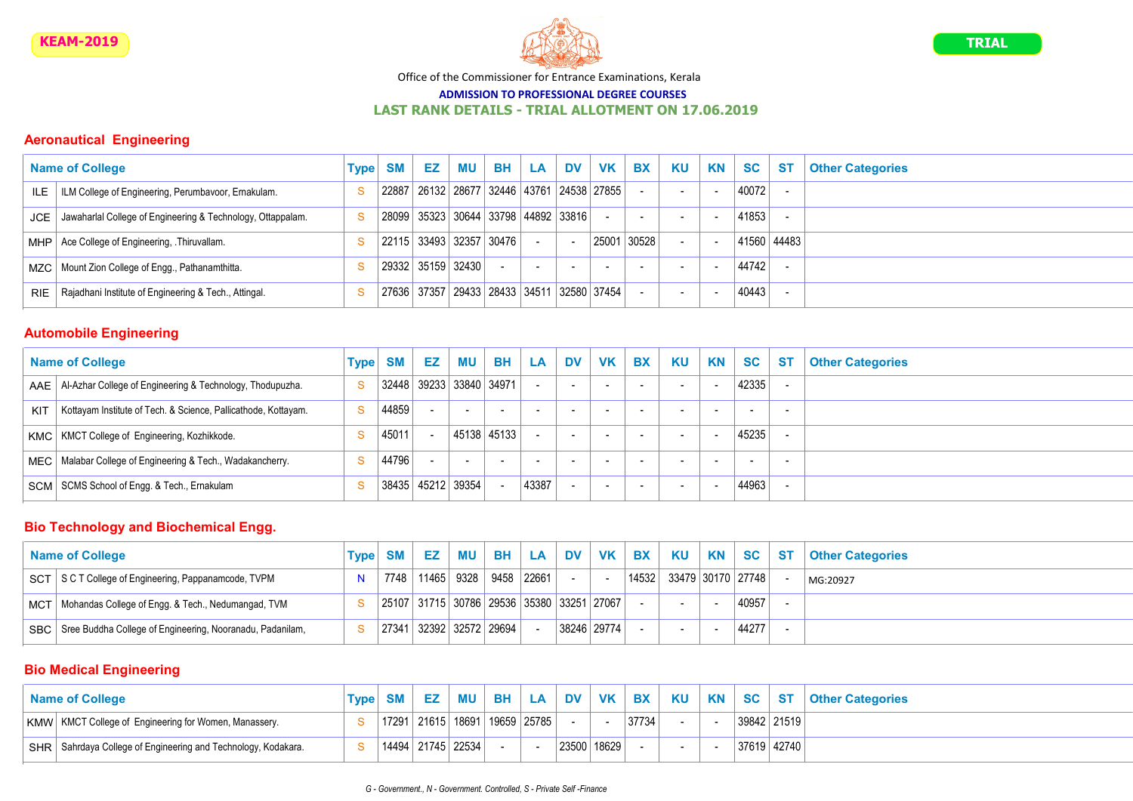

#### ADMISSION TO PROFESSIONAL DEGREE COURSES

LAST RANK DETAILS - TRIAL ALLOTMENT ON 17.06.2019

#### Aeronautical Engineering

|      | <b>Name of College</b>                                      | <b>Type</b> | <b>SM</b> | EZ | <b>MU</b>                                     | BH | LA                       | DV | VK            | <b>BX</b> | KU                       | <b>KN</b> | <b>SC</b> | <b>ST</b>   | <b>Other Categories</b> |
|------|-------------------------------------------------------------|-------------|-----------|----|-----------------------------------------------|----|--------------------------|----|---------------|-----------|--------------------------|-----------|-----------|-------------|-------------------------|
| ILE. | ILM College of Engineering, Perumbavoor, Ernakulam.         |             | 22887     |    | 26132   28677   32446   43761   24538   27855 |    |                          |    |               |           | $\overline{\phantom{a}}$ |           | 40072     |             |                         |
| JCE  | Jawaharlal College of Engineering & Technology, Ottappalam. |             |           |    | 28099   35323   30644   33798   44892   33816 |    |                          |    |               |           | $\sim$                   |           | 41853     |             |                         |
|      | MHP   Ace College of Engineering, Thiruvallam.              |             |           |    | 22115 33493 32357 30476                       |    |                          |    | 25001   30528 |           | $\overline{\phantom{0}}$ |           |           | 41560 44483 |                         |
|      | MZC   Mount Zion College of Engg., Pathanamthitta.          |             |           |    | 29332 35159 32430                             |    | $\overline{\phantom{a}}$ |    | $\sim$        |           | $\sim$                   |           | 44742     |             |                         |
| RIE  | Rajadhani Institute of Engineering & Tech., Attingal.       |             |           |    | 27636 37357 29433 28433 34511 32580 37454     |    |                          |    |               |           | $\overline{\phantom{a}}$ |           | 40443     |             |                         |

## Automobile Engineering

|     | <b>Name of College</b>                                          | <b>Type</b>  | <b>SM</b> | EZ                      | MU          | BH     | LA 1  | DV | <b>VK</b> | <b>BX</b> | KU                       | <b>KN</b> | <b>SC</b> | <b>ST</b><br><b>Other Categories</b> |
|-----|-----------------------------------------------------------------|--------------|-----------|-------------------------|-------------|--------|-------|----|-----------|-----------|--------------------------|-----------|-----------|--------------------------------------|
|     | AAE   Al-Azhar College of Engineering & Technology, Thodupuzha. | <sub>S</sub> |           | 32448 39233 33840 34971 |             |        |       |    | $\sim$    |           | $\overline{\phantom{a}}$ |           | 42335     |                                      |
| KIT | Kottayam Institute of Tech. & Science, Pallicathode, Kottayam.  | S            | 44859     |                         |             |        |       |    | $\sim$    |           | $\overline{\phantom{a}}$ |           |           |                                      |
|     | KMC   KMCT College of Engineering, Kozhikkode.                  |              | 45011     |                         | 45138 45133 |        |       |    | $\sim$    | $\sim$    | $\sim$                   |           | 45235     |                                      |
|     | MEC   Malabar College of Engineering & Tech., Wadakancherry.    |              | 44796     |                         |             | $\sim$ |       |    | $\sim$    | . .       | $\overline{\phantom{a}}$ |           |           |                                      |
|     | SCM   SCMS School of Engg. & Tech., Ernakulam                   |              |           | 38435 45212 39354       |             |        | 43387 |    | $\sim$    |           | $\overline{\phantom{a}}$ |           | 44963     |                                      |

## Bio Technology and Biochemical Engg.

| <b>Name of College</b>                                          | <b>Type SM</b> | $ EZ $ MU $ BH LA $                        |            |            |             | DV VK BX | KU                          | <b>KN</b> | SC ST | <b>Other Categories</b> |
|-----------------------------------------------------------------|----------------|--------------------------------------------|------------|------------|-------------|----------|-----------------------------|-----------|-------|-------------------------|
| SCT SCT College of Engineering, Pappanamcode, TVPM              | 7748           |                                            | 11465 9328 | 9458 22661 |             |          | $ 14532 $ 33479 30170 27748 |           |       | MG:20927                |
| MCT   Mohandas College of Engg. & Tech., Nedumangad, TVM        |                | 25107 31715 30786 29536 35380 33251 27067  |            |            |             |          |                             |           | 40957 |                         |
| SBC   Sree Buddha College of Engineering, Nooranadu, Padanilam, |                | <sup>∣</sup> 27341   32392   32572   29694 |            |            | 38246 29774 |          |                             |           | 44277 |                         |

### Bio Medical Engineering

| <b>Name of College</b>                                        | <b>Tvpe</b> |       | EZ   MU   BH                  |  |       |       |       | LA DV VK BX KU           | $KN \mid SC \mid ST$ | <b>Other Categories</b> |
|---------------------------------------------------------------|-------------|-------|-------------------------------|--|-------|-------|-------|--------------------------|----------------------|-------------------------|
| KMW   KMCT College of Engineering for Women, Manassery.       |             | 17291 | 21615   18691   19659   25785 |  |       |       | 37734 |                          | 39842 21519          |                         |
| SHR Sahrdaya College of Engineering and Technology, Kodakara. |             |       | 14494   21745   22534         |  | 23500 | 18629 |       | $\overline{\phantom{a}}$ | 37619 42740          |                         |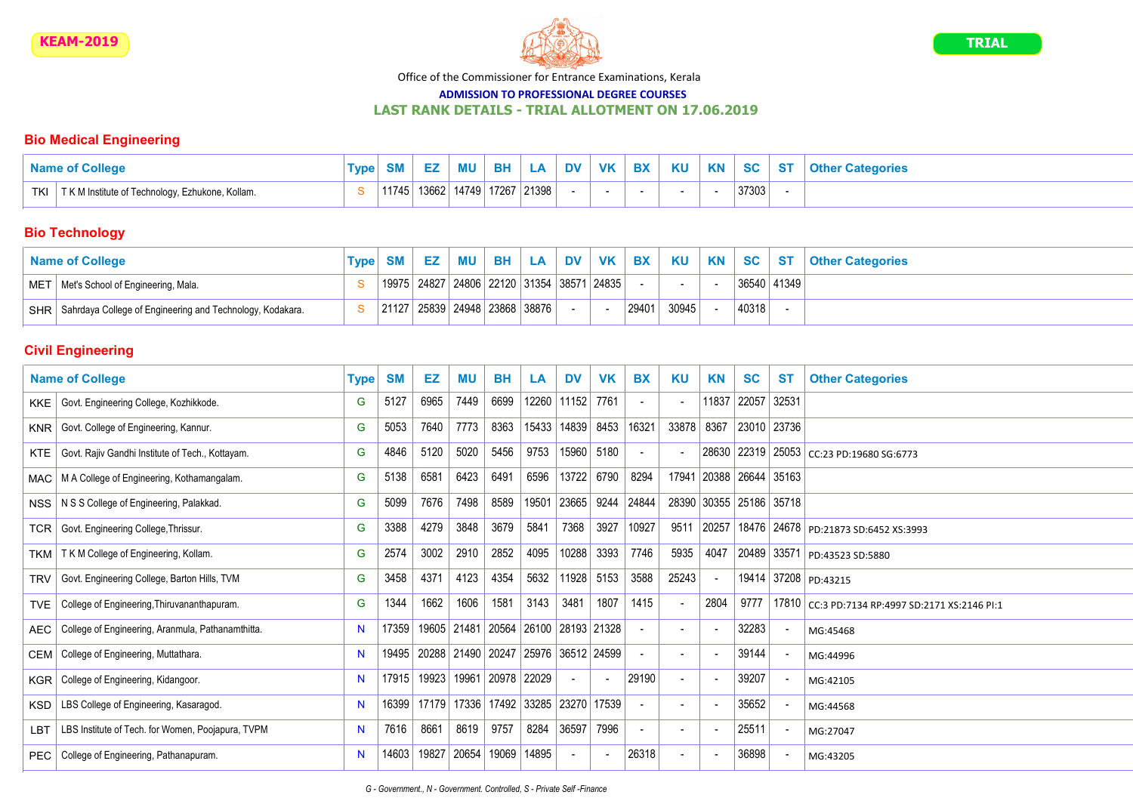

#### ADMISSION TO PROFESSIONAL DEGREE COURSES

#### LAST RANK DETAILS - TRIAL ALLOTMENT ON 17.06.2019

## Bio Medical Engineering

| <b>Name of College</b>                                 | <b>CAA</b> | <b>E7</b> | MU | <b>BH</b>                            | LA I |  | DV VK BX | KU | <b>KN</b> | SC ST | <b>Other Categories</b> |
|--------------------------------------------------------|------------|-----------|----|--------------------------------------|------|--|----------|----|-----------|-------|-------------------------|
| TKI<br>TK M Institute of Technology, Ezhukone, Kollam. | 11745      |           |    | $\mid$ 13662   14749   17267   21398 |      |  |          |    |           | 37303 |                         |

## Bio Technology

| <b>Name of College</b>                                          | Tvpel | SM    |  |                                                               |  |       |       |             | EZ   MU   BH   LA   DV   VK   BX   KU   KN   SC   ST   Other Categories |
|-----------------------------------------------------------------|-------|-------|--|---------------------------------------------------------------|--|-------|-------|-------------|-------------------------------------------------------------------------|
| MET   Met's School of Engineering, Mala.                        |       |       |  | 19975   24827   24806   22120   31354   38571   24835       - |  |       |       | 36540 41349 |                                                                         |
| SHR   Sahrdaya College of Engineering and Technology, Kodakara. |       | 21127 |  | │ 25839 │ 24948 │ 23868 │38876 │                              |  | 29401 | 30945 | 40318       |                                                                         |

|            | <b>Name of College</b>                            | <b>Type</b> | <b>SM</b> | EZ    | MU                                  | <b>BH</b> | LA                      | <b>DV</b>  | <b>VK</b>  | <b>BX</b>                | KU    | <b>KN</b>  | <b>SC</b>               | <b>ST</b> | <b>Other Categories</b>                         |
|------------|---------------------------------------------------|-------------|-----------|-------|-------------------------------------|-----------|-------------------------|------------|------------|--------------------------|-------|------------|-------------------------|-----------|-------------------------------------------------|
| KKE        | Govt. Engineering College, Kozhikkode.            | G           | 5127      | 6965  | 7449                                | 6699      | 12260                   | 11152 7761 |            |                          |       | 11837      | 22057 32531             |           |                                                 |
|            | KNR   Govt. College of Engineering, Kannur.       | G           | 5053      | 7640  | 7773                                | 8363      | 15433                   |            | 14839 8453 | 16321                    | 33878 | 8367       | 23010 23736             |           |                                                 |
| KTE.       | Govt. Rajiv Gandhi Institute of Tech., Kottayam.  | G           | 4846      | 5120  | 5020                                | 5456      | 9753                    | 15960 5180 |            | $\blacksquare$           |       |            |                         |           | 28630   22319   25053   cc:23 pd:19680 SG:6773  |
| MAC        | M A College of Engineering, Kothamangalam.        | G           | 5138      | 6581  | 6423                                | 6491      | 6596                    |            | 13722 6790 | 8294                     |       |            | 17941 20388 26644 35163 |           |                                                 |
|            | NSS   N S S College of Engineering, Palakkad.     | G           | 5099      | 7676  | 7498                                | 8589      | 19501                   | 23665 9244 |            | 24844                    |       |            | 28390 30355 25186 35718 |           |                                                 |
| TCR        | Govt. Engineering College, Thrissur.              | G           | 3388      | 4279  | 3848                                | 3679      | 5841                    | 7368       | 3927       | 10927                    |       | 9511 20257 |                         |           | 18476   24678   PD:21873 SD:6452 XS:3993        |
| TKM        | T K M College of Engineering, Kollam.             | G           | 2574      | 3002  | 2910                                | 2852      | 4095                    | 10288      | 3393       | 7746                     | 5935  | 4047       |                         |           | 20489 33571 PD:43523 SD:5880                    |
| <b>TRV</b> | Govt. Engineering College, Barton Hills, TVM      | G           | 3458      | 4371  | 4123                                | 4354      | 5632                    |            | 11928 5153 | 3588                     | 25243 |            |                         |           | 19414 37208 PD:43215                            |
| TVE        | College of Engineering, Thiruvananthapuram.       | G           | 1344      | 1662  | 1606                                | 1581      | 3143                    | 3481       | 1807       | 1415                     |       | 2804       | 9777                    |           | 17810 CC:3 PD:7134 RP:4997 SD:2171 XS:2146 PI:1 |
| <b>AEC</b> | College of Engineering, Aranmula, Pathanamthitta. | <b>N</b>    | 17359     |       | 19605 21481                         |           | 20564 26100 28193 21328 |            |            |                          |       |            | 32283                   |           | MG:45468                                        |
|            | CEM   College of Engineering, Muttathara.         | <b>N</b>    | 19495     |       | 20288 21490 20247 25976 36512 24599 |           |                         |            |            |                          |       |            | 39144                   |           | MG:44996                                        |
| KGR        | College of Engineering, Kidangoor.                | <b>N</b>    | 17915     | 19923 | 19961                               |           | 20978 22029             |            |            | 29190                    |       |            | 39207                   |           | MG:42105                                        |
| <b>KSD</b> | LBS College of Engineering, Kasaragod.            | <b>N</b>    | 16399     |       | 17179 17336                         |           | 17492 33285 23270 17539 |            |            |                          |       |            | 35652                   |           | MG:44568                                        |
| LBT        | LBS Institute of Tech. for Women, Poojapura, TVPM | N.          | 7616      | 8661  | 8619                                | 9757      | 8284                    | 36597      | 7996       | $\overline{\phantom{a}}$ |       |            | 25511                   |           | MG:27047                                        |
| PEC        | College of Engineering, Pathanapuram.             | <b>N</b>    | 14603     | 19827 | 20654                               | 19069     | 14895                   |            |            | 26318                    |       |            | 36898                   |           | MG:43205                                        |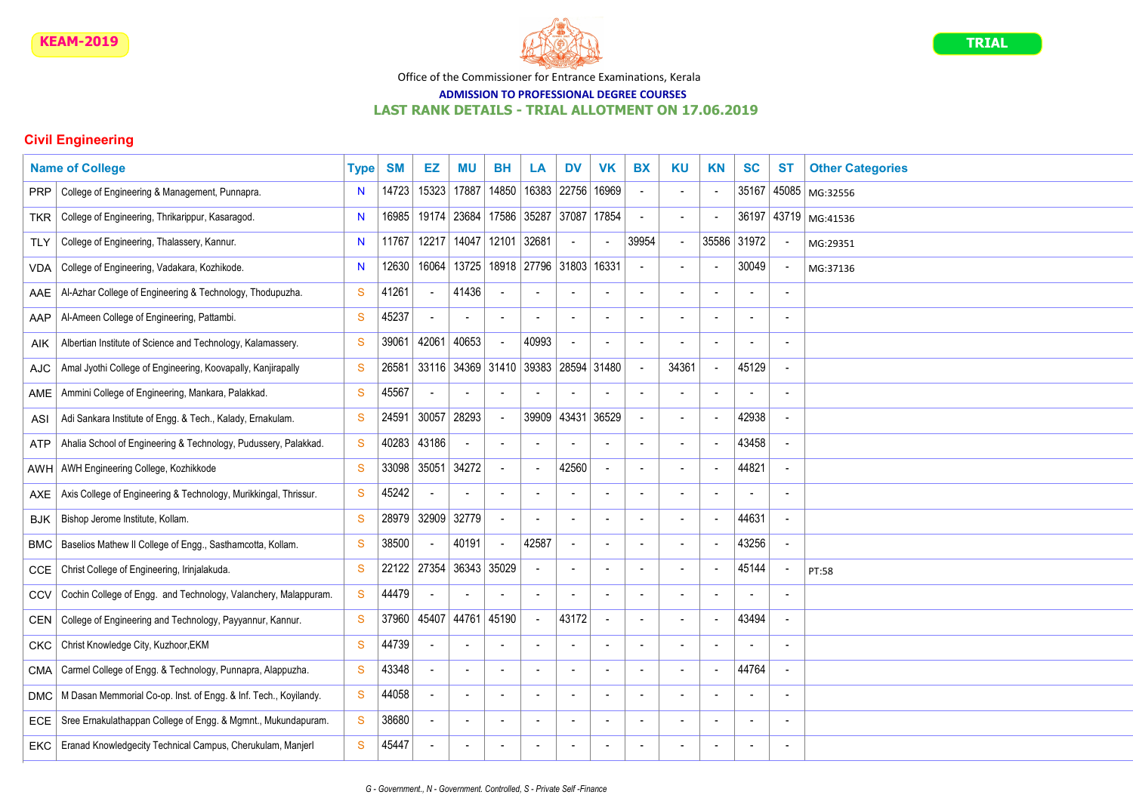

#### ADMISSION TO PROFESSIONAL DEGREE COURSES

### LAST RANK DETAILS - TRIAL ALLOTMENT ON 17.06.2019

|            | <b>Name of College</b>                                           | <b>Type</b>   | <b>SM</b> | EZ    | ΜU    | BH                       | LA                | <b>DV</b>                | <b>VK</b>                | <b>BX</b> | <b>KU</b>                | <b>KN</b> | <b>SC</b>                | <b>ST</b> | <b>Other Categories</b> |
|------------|------------------------------------------------------------------|---------------|-----------|-------|-------|--------------------------|-------------------|--------------------------|--------------------------|-----------|--------------------------|-----------|--------------------------|-----------|-------------------------|
| <b>PRP</b> | College of Engineering & Management, Punnapra.                   | <b>N</b>      | 14723     | 15323 | 17887 | 14850                    | 16383             | 22756                    | 16969                    |           |                          |           | 35167                    | 45085     | MG:32556                |
| TKR        | College of Engineering, Thrikarippur, Kasaragod.                 | N             | 16985     | 19174 | 23684 |                          | 17586 35287       | 37087                    | 17854                    |           | $\overline{\phantom{a}}$ |           | 36197                    | 43719     | MG:41536                |
| TLY        | College of Engineering, Thalassery, Kannur.                      | <b>N</b>      | 11767     | 12217 | 14047 | 12101                    | 32681             | $\sim$                   |                          | 39954     | $\blacksquare$           | 35586     | 31972                    |           | MG:29351                |
| <b>VDA</b> | College of Engineering, Vadakara, Kozhikode.                     | N             | 12630     | 16064 | 13725 |                          | 18918 27796 31803 |                          | 16331                    |           |                          |           | 30049                    |           | MG:37136                |
| AAE        | Al-Azhar College of Engineering & Technology, Thodupuzha.        | S             | 41261     |       | 41436 | ÷,                       |                   | $\overline{\phantom{a}}$ |                          |           |                          |           | $\overline{\phantom{a}}$ |           |                         |
| AAP        | Al-Ameen College of Engineering, Pattambi.                       | S             | 45237     |       |       | $\blacksquare$           |                   | $\overline{a}$           |                          |           |                          |           |                          |           |                         |
| AIK        | Albertian Institute of Science and Technology, Kalamassery.      | <sub>S</sub>  | 39061     | 42061 | 40653 | $\sim$                   | 40993             | $\sim$                   | $\blacksquare$           |           |                          |           | $\overline{\phantom{a}}$ |           |                         |
| <b>AJC</b> | Amal Jyothi College of Engineering, Koovapally, Kanjirapally     | S             | 26581     | 33116 | 34369 |                          | 31410 39383       | 28594                    | 31480                    |           | 34361                    |           | 45129                    |           |                         |
| AME        | Ammini College of Engineering, Mankara, Palakkad.                | S             | 45567     |       |       | $\blacksquare$           |                   | $\overline{\phantom{a}}$ | $\overline{a}$           |           |                          |           | $\overline{a}$           |           |                         |
| ASI        | Adi Sankara Institute of Engg. & Tech., Kalady, Ernakulam.       | S             | 24591     | 30057 | 28293 | $\overline{\phantom{a}}$ | 39909             | 43431                    | 36529                    |           |                          |           | 42938                    |           |                         |
| ATP        | Ahalia School of Engineering & Technology, Pudussery, Palakkad.  | S             | 40283     | 43186 |       | $\blacksquare$           |                   |                          |                          |           |                          |           | 43458                    |           |                         |
| AWH        | AWH Engineering College, Kozhikkode                              | S             | 33098     | 35051 | 34272 | $\sim$                   |                   | 42560                    | $\sim$                   |           | $\overline{\phantom{a}}$ |           | 44821                    |           |                         |
| AXE        | Axis College of Engineering & Technology, Murikkingal, Thrissur. | S             | 45242     |       |       | $\blacksquare$           |                   | $\overline{a}$           | $\overline{\phantom{a}}$ |           |                          |           | $\blacksquare$           |           |                         |
| BJK        | Bishop Jerome Institute, Kollam.                                 | S             | 28979     | 32909 | 32779 | $\sim$                   |                   | $\overline{\phantom{a}}$ | $\overline{a}$           |           |                          |           | 44631                    |           |                         |
| BMC        | Baselios Mathew II College of Engg., Sasthamcotta, Kollam.       | S             | 38500     |       | 40191 | $\overline{a}$           | 42587             | $\mathbb{Z}$             | $\overline{\phantom{a}}$ |           |                          |           | 43256                    |           |                         |
| CCE        | Christ College of Engineering, Irinjalakuda.                     | <sub>S</sub>  | 22122     | 27354 | 36343 | 35029                    |                   | $\sim$                   |                          |           |                          |           | 45144                    |           | PT:58                   |
| <b>CCV</b> | Cochin College of Engg. and Technology, Valanchery, Malappuram.  | ${\mathsf S}$ | 44479     |       |       |                          |                   | $\overline{a}$           |                          |           |                          |           | $\overline{\phantom{a}}$ |           |                         |
| CEN        | College of Engineering and Technology, Payyannur, Kannur.        | S             | 37960     | 45407 | 44761 | 45190                    |                   | 43172                    |                          |           |                          |           | 43494                    |           |                         |
| <b>CKC</b> | Christ Knowledge City, Kuzhoor, EKM                              | S             | 44739     |       |       | $\overline{\phantom{a}}$ |                   | $\overline{a}$           |                          |           |                          |           | $\overline{a}$           |           |                         |
| CMA        | Carmel College of Engg. & Technology, Punnapra, Alappuzha.       | S             | 43348     |       |       | $\blacksquare$           |                   | $\blacksquare$           | $\overline{\phantom{a}}$ |           | $\overline{\phantom{a}}$ |           | 44764                    |           |                         |
| <b>DMC</b> | M Dasan Memmorial Co-op. Inst. of Engg. & Inf. Tech., Koyilandy. | S             | 44058     |       |       | $\sim$                   |                   | $\sim$                   |                          |           |                          |           | $\sim$                   |           |                         |
| ECE        | Sree Ernakulathappan College of Engg. & Mgmnt., Mukundapuram.    | S             | 38680     |       |       | $\blacksquare$           |                   | $\overline{a}$           |                          |           |                          |           | $\overline{a}$           |           |                         |
| EKC.       | Eranad Knowledgecity Technical Campus, Cherukulam, Manjerl       | S             | 45447     |       |       | $\sim$                   |                   | $\overline{a}$           | $\overline{\phantom{a}}$ |           |                          |           | $\blacksquare$           |           |                         |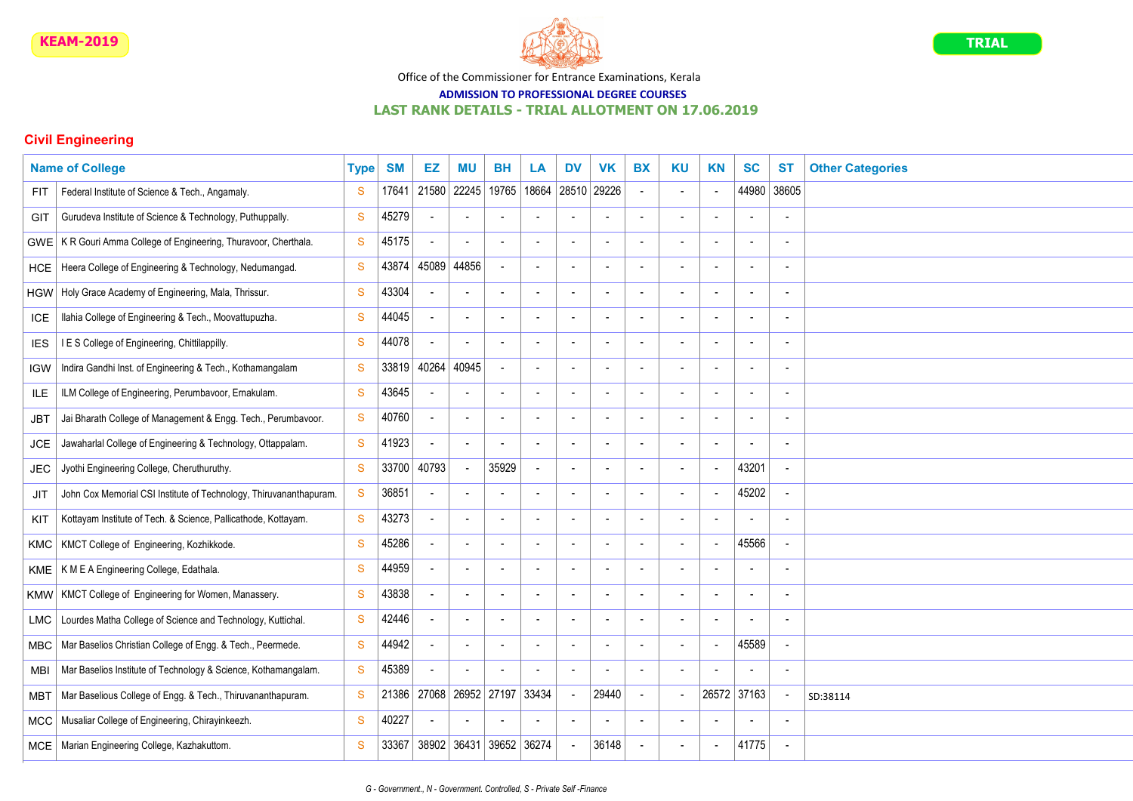

## ADMISSION TO PROFESSIONAL DEGREE COURSES

## LAST RANK DETAILS - TRIAL ALLOTMENT ON 17.06.2019

|                  | <b>Name of College</b>                                             | <b>Type</b>   | <b>SM</b> | EZ    | ΜU                          | <b>BH</b>      | LA                       | <b>DV</b>                | <b>VK</b>                | <b>BX</b>                | <b>KU</b>                | <b>KN</b>                | <b>SC</b>                | <b>ST</b> | <b>Other Categories</b> |
|------------------|--------------------------------------------------------------------|---------------|-----------|-------|-----------------------------|----------------|--------------------------|--------------------------|--------------------------|--------------------------|--------------------------|--------------------------|--------------------------|-----------|-------------------------|
| <b>FIT</b>       | Federal Institute of Science & Tech., Angamaly.                    | S             | 17641     | 21580 | 22245                       | 19765          | 18664                    | 28510                    | 29226                    |                          |                          |                          | 44980                    | 38605     |                         |
| <b>GIT</b>       | Gurudeva Institute of Science & Technology, Puthuppally.           | S             | 45279     |       |                             | $\overline{a}$ |                          | $\sim$                   |                          |                          |                          |                          | $\sim$                   |           |                         |
| GWE <sup>1</sup> | K R Gouri Amma College of Engineering, Thuravoor, Cherthala.       | S             | 45175     |       | $\overline{a}$              | $\overline{a}$ | $\overline{a}$           | $\overline{a}$           |                          |                          |                          |                          | $\overline{a}$           |           |                         |
| <b>HCE</b>       | Heera College of Engineering & Technology, Nedumangad.             | S             | 43874     | 45089 | 44856                       | $\sim$         | $\overline{a}$           | $\sim$                   |                          |                          |                          |                          | $\sim$                   |           |                         |
| <b>HGW</b>       | Holy Grace Academy of Engineering, Mala, Thrissur.                 | ${\mathbf S}$ | 43304     |       |                             | $\overline{a}$ |                          | $\sim$                   |                          |                          |                          |                          | $\overline{a}$           |           |                         |
| <b>ICE</b>       | Ilahia College of Engineering & Tech., Moovattupuzha.              | <sub>S</sub>  | 44045     |       | $\overline{a}$              |                |                          | $\sim$                   |                          |                          |                          |                          | $\blacksquare$           |           |                         |
| <b>IES</b>       | I E S College of Engineering, Chittilappilly.                      | ${\mathbf S}$ | 44078     |       |                             |                |                          | $\overline{a}$           |                          |                          |                          |                          | $\overline{a}$           |           |                         |
| <b>IGW</b>       | Indira Gandhi Inst. of Engineering & Tech., Kothamangalam          | <sub>S</sub>  | 33819     | 40264 | 40945                       |                |                          | $\overline{a}$           |                          |                          |                          |                          | $\blacksquare$           |           |                         |
| ILE.             | ILM College of Engineering, Perumbavoor, Ernakulam.                | S             | 43645     |       |                             | $\blacksquare$ | $\overline{\phantom{a}}$ | $\sim$                   |                          | $\overline{\phantom{a}}$ | $\overline{\phantom{a}}$ | $\overline{\phantom{a}}$ | $\overline{a}$           |           |                         |
| <b>JBT</b>       | Jai Bharath College of Management & Engg. Tech., Perumbavoor.      | S             | 40760     |       | $\sim$                      | $\sim$         | $\sim$                   | $\sim$                   |                          |                          | $\overline{\phantom{a}}$ | $\overline{a}$           | $\overline{a}$           |           |                         |
| <b>JCE</b>       | Jawaharlal College of Engineering & Technology, Ottappalam.        | S             | 41923     |       | $\blacksquare$              | $\overline{a}$ | $\sim$                   | $\sim$                   |                          |                          |                          |                          | $\overline{a}$           |           |                         |
| <b>JEC</b>       | Jyothi Engineering College, Cheruthuruthy.                         | <sub>S</sub>  | 33700     | 40793 | $\mathcal{L}^{\mathcal{A}}$ | 35929          |                          | $\sim$                   |                          |                          |                          |                          | 43201                    |           |                         |
| <b>JIT</b>       | John Cox Memorial CSI Institute of Technology, Thiruvananthapuram. | S             | 36851     |       | $\blacksquare$              | $\overline{a}$ | $\overline{\phantom{a}}$ | $\sim$                   |                          |                          |                          |                          | 45202                    |           |                         |
| KIT              | Kottayam Institute of Tech. & Science, Pallicathode, Kottayam.     | S             | 43273     |       | $\blacksquare$              | $\overline{a}$ |                          | $\sim$                   |                          |                          |                          |                          | $\overline{a}$           |           |                         |
| KMC              | KMCT College of Engineering, Kozhikkode.                           | S             | 45286     |       | $\overline{a}$              | $\sim$         | $\overline{a}$           | $\sim$                   | $\overline{\phantom{a}}$ | $\overline{a}$           |                          | $\overline{\phantom{a}}$ | 45566                    |           |                         |
| <b>KME</b>       | K M E A Engineering College, Edathala.                             | <sub>S</sub>  | 44959     |       | $\blacksquare$              | $\sim$         |                          | $\sim$                   |                          |                          |                          |                          | $\blacksquare$           |           |                         |
| KMW              | KMCT College of Engineering for Women, Manassery.                  | S             | 43838     |       | $\overline{a}$              | $\blacksquare$ |                          | $\blacksquare$           |                          |                          |                          |                          | $\overline{a}$           |           |                         |
| <b>LMC</b>       | Lourdes Matha College of Science and Technology, Kuttichal.        | ${\mathbf S}$ | 42446     |       | $\overline{a}$              | $\overline{a}$ |                          | $\sim$                   |                          |                          |                          |                          | $\overline{\phantom{a}}$ |           |                         |
| <b>MBC</b>       | Mar Baselios Christian College of Engg. & Tech., Peermede.         | <sub>S</sub>  | 44942     |       |                             |                |                          | $\overline{a}$           |                          |                          |                          |                          | 45589                    |           |                         |
| <b>MBI</b>       | Mar Baselios Institute of Technology & Science, Kothamangalam.     | S             | 45389     |       | $\overline{a}$              | $\overline{a}$ |                          | $\overline{a}$           |                          |                          | $\overline{\phantom{a}}$ |                          | $\overline{a}$           |           |                         |
| MBT              | Mar Baselious College of Engg. & Tech., Thiruvananthapuram.        | <sub>S</sub>  | 21386     | 27068 | 26952                       | 27197          | 33434                    | $\overline{\phantom{a}}$ | 29440                    | $\sim$                   | $\overline{\phantom{a}}$ | 26572                    | 37163                    |           | SD:38114                |
| MCC              | Musaliar College of Engineering, Chirayinkeezh.                    | S             | 40227     |       |                             | $\overline{a}$ |                          | $\overline{a}$           |                          |                          |                          |                          | $\overline{a}$           |           |                         |
| <b>MCE</b>       | Marian Engineering College, Kazhakuttom.                           | S             | 33367     | 38902 | 36431                       | 39652          | 36274                    | $\sim$                   | 36148                    |                          |                          |                          | 41775                    |           |                         |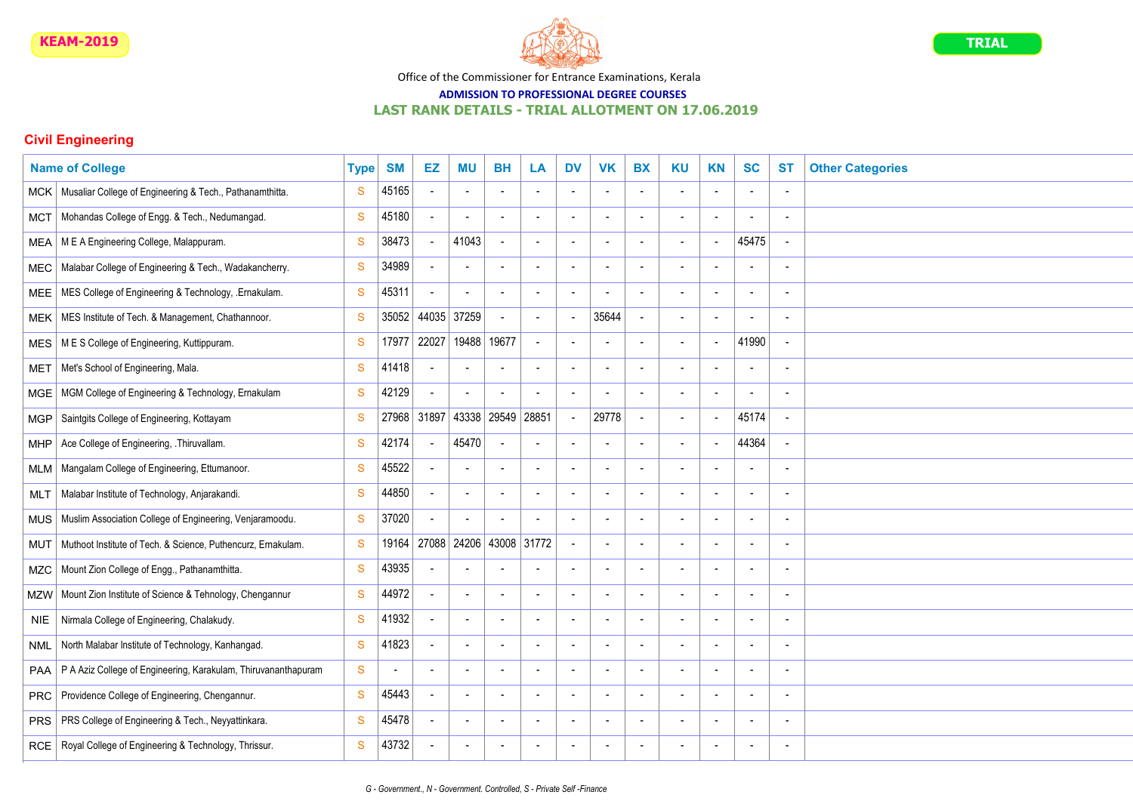

## ADMISSION TO PROFESSIONAL DEGREE COURSES

## LAST RANK DETAILS - TRIAL ALLOTMENT ON 17.06.2019

|            | <b>Name of College</b>                                         | <b>Type</b>  | <b>SM</b>                | EZ    | ΜU                       | <b>BH</b>                | LA                       | <b>DV</b>                | <b>VK</b>                | <b>BX</b> | <b>KU</b>                | <b>KN</b>                | <b>SC</b>                | <b>ST</b> | <b>Other Categories</b> |
|------------|----------------------------------------------------------------|--------------|--------------------------|-------|--------------------------|--------------------------|--------------------------|--------------------------|--------------------------|-----------|--------------------------|--------------------------|--------------------------|-----------|-------------------------|
| MCK        | Musaliar College of Engineering & Tech., Pathanamthitta.       | S            | 45165                    |       |                          | $\overline{\phantom{a}}$ |                          | $\overline{a}$           |                          |           |                          |                          | ÷,                       |           |                         |
| <b>MCT</b> | Mohandas College of Engg. & Tech., Nedumangad.                 | S            | 45180                    |       |                          | $\sim$                   | $\blacksquare$           | $\blacksquare$           | $\blacksquare$           |           | $\blacksquare$           |                          | $\overline{\phantom{a}}$ |           |                         |
| MEA        | M E A Engineering College, Malappuram.                         | S            | 38473                    |       | 41043                    | $\sim$                   |                          | $\blacksquare$           | $\overline{\phantom{a}}$ |           | $\blacksquare$           | $\overline{\phantom{a}}$ | 45475                    |           |                         |
| <b>MEC</b> | Malabar College of Engineering & Tech., Wadakancherry.         | S            | 34989                    |       |                          | $\sim$                   |                          | $\sim$                   | $\blacksquare$           |           | $\blacksquare$           |                          | $\sim$                   |           |                         |
| MEE        | MES College of Engineering & Technology, .Ernakulam.           | S            | 45311                    |       |                          | $\blacksquare$           |                          | $\sim$                   |                          |           |                          |                          | $\blacksquare$           |           |                         |
| MEK        | MES Institute of Tech. & Management, Chathannoor.              | S            | 35052                    | 44035 | 37259                    |                          |                          | $\sim$                   | 35644                    |           |                          |                          |                          |           |                         |
| MES        | M E S College of Engineering, Kuttippuram.                     | <sub>S</sub> | 17977                    | 22027 | 19488                    | 19677                    |                          | $\blacksquare$           | $\overline{\phantom{a}}$ |           | $\overline{\phantom{a}}$ |                          | 41990                    |           |                         |
| MET        | Met's School of Engineering, Mala.                             | <sub>S</sub> | 41418                    |       |                          | $\overline{\phantom{a}}$ |                          | $\sim$                   | $\overline{\phantom{a}}$ |           | $\blacksquare$           |                          | $\overline{a}$           |           |                         |
| <b>MGE</b> | MGM College of Engineering & Technology, Ernakulam             | S            | 42129                    |       |                          | $\sim$                   |                          | $\sim$                   | $\overline{a}$           |           | $\sim$                   |                          | $\overline{a}$           |           |                         |
| <b>MGP</b> | Saintgits College of Engineering, Kottayam                     | <sub>S</sub> | 27968                    | 31897 | 43338                    | 29549                    | 28851                    | $\mathbf{L}$             | 29778                    |           | $\sim$                   |                          | 45174                    |           |                         |
| <b>MHP</b> | Ace College of Engineering, .Thiruvallam.                      | S            | 42174                    |       | 45470                    | $\overline{a}$           |                          | $\blacksquare$           |                          |           | $\blacksquare$           |                          | 44364                    |           |                         |
| MLM        | Mangalam College of Engineering, Ettumanoor.                   | S            | 45522                    |       |                          | $\blacksquare$           | $\overline{\phantom{a}}$ | $\blacksquare$           | $\overline{\phantom{a}}$ |           | $\overline{\phantom{a}}$ |                          | $\overline{a}$           |           |                         |
| MLT        | Malabar Institute of Technology, Anjarakandi.                  | S            | 44850                    |       |                          | $\blacksquare$           |                          | $\sim$                   | $\overline{\phantom{a}}$ |           | $\overline{\phantom{a}}$ |                          | $\blacksquare$           |           |                         |
| <b>MUS</b> | Muslim Association College of Engineering, Venjaramoodu.       | S            | 37020                    |       |                          | $\overline{\phantom{a}}$ |                          | $\overline{a}$           | $\overline{\phantom{a}}$ |           | $\overline{\phantom{a}}$ |                          | $\overline{a}$           |           |                         |
| MUT        | Muthoot Institute of Tech. & Science, Puthencurz, Ernakulam.   | S            | 19164                    | 27088 | 24206                    | 43008 31772              |                          | $\overline{\phantom{a}}$ | $\blacksquare$           |           | $\overline{\phantom{a}}$ |                          | $\blacksquare$           |           |                         |
| <b>MZC</b> | Mount Zion College of Engg., Pathanamthitta.                   | S            | 43935                    |       |                          | $\overline{\phantom{a}}$ |                          | $\sim$                   | $\overline{\phantom{a}}$ |           | $\overline{a}$           |                          | $\sim$                   |           |                         |
| <b>MZW</b> | Mount Zion Institute of Science & Tehnology, Chengannur        | S            | 44972                    |       |                          | $\overline{\phantom{a}}$ |                          | $\overline{\phantom{a}}$ | $\blacksquare$           |           | $\overline{\phantom{a}}$ |                          | $\overline{a}$           |           |                         |
| <b>NIE</b> | Nirmala College of Engineering, Chalakudy.                     | <sub>S</sub> | 41932                    |       | $\overline{\phantom{a}}$ | $\sim$                   | $\blacksquare$           | $\sim$                   | $\overline{a}$           |           | $\sim$                   |                          | $\sim$                   |           |                         |
| <b>NML</b> | North Malabar Institute of Technology, Kanhangad.              | S            | 41823                    |       |                          | $\overline{\phantom{a}}$ |                          | $\overline{\phantom{a}}$ | $\overline{\phantom{a}}$ |           | $\overline{\phantom{a}}$ |                          | $\overline{a}$           |           |                         |
| <b>PAA</b> | P A Aziz College of Engineering, Karakulam, Thiruvananthapuram | S            | $\overline{\phantom{a}}$ |       | $\overline{\phantom{a}}$ | $\blacksquare$           | $\overline{\phantom{a}}$ | $\blacksquare$           | $\overline{\phantom{a}}$ |           | $\blacksquare$           |                          | $\blacksquare$           |           |                         |
| <b>PRC</b> | Providence College of Engineering, Chengannur.                 | S            | 45443                    |       |                          | $\sim$                   | $\overline{\phantom{a}}$ | $\blacksquare$           | $\blacksquare$           |           | $\blacksquare$           |                          | $\overline{a}$           |           |                         |
| <b>PRS</b> | PRS College of Engineering & Tech., Neyyattinkara.             | S            | 45478                    |       |                          | $\blacksquare$           |                          | $\blacksquare$           | $\overline{a}$           |           | $\overline{\phantom{a}}$ |                          | $\overline{a}$           |           |                         |
| RCE        | Royal College of Engineering & Technology, Thrissur.           | S            | 43732                    |       |                          | $\sim$                   |                          | $\overline{a}$           | $\overline{\phantom{a}}$ |           | $\overline{\phantom{a}}$ |                          | $\blacksquare$           |           |                         |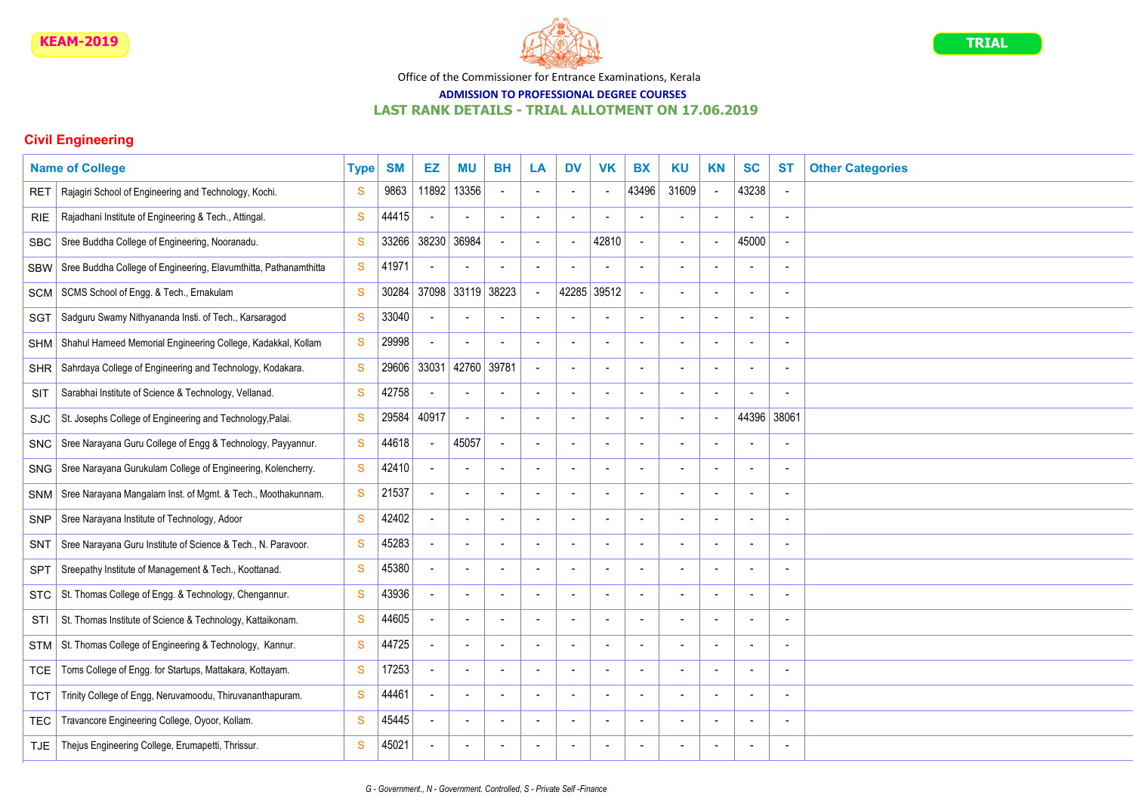

## ADMISSION TO PROFESSIONAL DEGREE COURSES

## LAST RANK DETAILS - TRIAL ALLOTMENT ON 17.06.2019

|            | <b>Name of College</b>                                           | <b>Type</b>  | <b>SM</b> | EZ                       | ΜU                       | <b>BH</b>                | LA                       | <b>DV</b>                | <b>VK</b>      | <b>BX</b>                | <b>KU</b>                | <b>KN</b> | <b>SC</b>                | <b>ST</b> | <b>Other Categories</b> |
|------------|------------------------------------------------------------------|--------------|-----------|--------------------------|--------------------------|--------------------------|--------------------------|--------------------------|----------------|--------------------------|--------------------------|-----------|--------------------------|-----------|-------------------------|
| RET        | Rajagiri School of Engineering and Technology, Kochi.            | S            | 9863      | 11892                    | 13356                    | $\overline{\phantom{a}}$ |                          | $\overline{\phantom{a}}$ |                | 43496                    | 31609                    |           | 43238                    |           |                         |
| <b>RIE</b> | Rajadhani Institute of Engineering & Tech., Attingal.            | S            | 44415     |                          |                          | $\blacksquare$           | $\overline{\phantom{a}}$ | $\sim$                   |                |                          | $\overline{\phantom{a}}$ |           | $\blacksquare$           |           |                         |
| SBC.       | Sree Buddha College of Engineering, Nooranadu.                   | S            | 33266     | 38230                    | 36984                    | $\sim$                   |                          | $\blacksquare$           | 42810          | $\overline{\phantom{a}}$ | $\overline{\phantom{a}}$ |           | 45000                    |           |                         |
| <b>SBW</b> | Sree Buddha College of Engineering, Elavumthitta, Pathanamthitta | S            | 41971     |                          |                          |                          |                          | $\overline{a}$           |                |                          |                          |           | $\overline{\phantom{a}}$ |           |                         |
| <b>SCM</b> | SCMS School of Engg. & Tech., Ernakulam                          | S            | 30284     |                          | 37098 33119              | 38223                    |                          |                          | 42285 39512    |                          | $\overline{\phantom{a}}$ |           | $\blacksquare$           |           |                         |
| SGT        | Sadguru Swamy Nithyananda Insti. of Tech., Karsaragod            | S            | 33040     |                          |                          | ÷,                       |                          | $\overline{a}$           |                |                          | $\blacksquare$           |           | $\overline{a}$           |           |                         |
| <b>SHM</b> | Shahul Hameed Memorial Engineering College, Kadakkal, Kollam     | S            | 29998     |                          |                          | ÷                        |                          | $\overline{\phantom{a}}$ | $\overline{a}$ |                          | $\blacksquare$           |           | $\overline{a}$           |           |                         |
| <b>SHR</b> | Sahrdaya College of Engineering and Technology, Kodakara.        | S            | 29606     | 33031                    | 42760                    | 39781                    |                          | $\blacksquare$           | $\blacksquare$ |                          | $\blacksquare$           |           | $\overline{a}$           |           |                         |
| SIT        | Sarabhai Institute of Science & Technology, Vellanad.            | S            | 42758     |                          |                          | $\overline{a}$           | $\overline{\phantom{a}}$ | $\blacksquare$           | $\overline{a}$ |                          | $\overline{\phantom{a}}$ |           | $\overline{\phantom{a}}$ |           |                         |
| <b>SJC</b> | St. Josephs College of Engineering and Technology, Palai.        | S            | 29584     | 40917                    |                          | $\sim$                   |                          | $\sim$                   |                |                          | $\blacksquare$           |           | 44396                    | 38061     |                         |
| <b>SNC</b> | Sree Narayana Guru College of Engg & Technology, Payyannur.      | $\mathbf{s}$ | 44618     |                          | 45057                    | $\sim$                   |                          | $\sim$                   | $\blacksquare$ |                          | $\overline{\phantom{a}}$ |           | ٠                        |           |                         |
| <b>SNG</b> | Sree Narayana Gurukulam College of Engineering, Kolencherry.     | $\mathbf{s}$ | 42410     |                          |                          | $\overline{a}$           |                          | $\overline{\phantom{a}}$ |                |                          | $\overline{\phantom{a}}$ |           | $\blacksquare$           |           |                         |
| <b>SNM</b> | Sree Narayana Mangalam Inst. of Mgmt. & Tech., Moothakunnam.     | S            | 21537     |                          |                          |                          |                          | $\overline{\phantom{a}}$ |                |                          |                          |           | $\blacksquare$           |           |                         |
| <b>SNP</b> | Sree Narayana Institute of Technology, Adoor                     | S            | 42402     |                          |                          | $\overline{a}$           |                          | $\blacksquare$           |                |                          |                          |           | $\overline{a}$           |           |                         |
| SNT        | Sree Narayana Guru Institute of Science & Tech., N. Paravoor.    | S            | 45283     |                          |                          | $\blacksquare$           |                          | $\sim$                   |                |                          | $\overline{\phantom{a}}$ |           | ÷,                       |           |                         |
| <b>SPT</b> | Sreepathy Institute of Management & Tech., Koottanad.            | <sub>S</sub> | 45380     | $\overline{\phantom{a}}$ | $\overline{\phantom{a}}$ | $\overline{\phantom{a}}$ |                          | $\overline{\phantom{a}}$ | $\overline{a}$ |                          | $\overline{\phantom{a}}$ |           | $\overline{\phantom{a}}$ |           |                         |
| <b>STC</b> | St. Thomas College of Engg. & Technology, Chengannur.            | S            | 43936     |                          | $\overline{\phantom{a}}$ | $\blacksquare$           | $\overline{\phantom{a}}$ | $\blacksquare$           | $\overline{a}$ |                          | $\blacksquare$           |           | $\overline{\phantom{a}}$ |           |                         |
| STI        | St. Thomas Institute of Science & Technology, Kattaikonam.       | S            | 44605     |                          |                          | $\sim$                   | $\overline{\phantom{a}}$ | $\blacksquare$           | $\blacksquare$ |                          | $\sim$                   |           | $\blacksquare$           |           |                         |
| <b>STM</b> | St. Thomas College of Engineering & Technology, Kannur.          | S            | 44725     |                          | $\overline{\phantom{a}}$ | $\overline{\phantom{a}}$ | $\overline{\phantom{a}}$ | $\sim$                   | $\blacksquare$ |                          | $\blacksquare$           |           | $\blacksquare$           |           |                         |
| <b>TCE</b> | Toms College of Engg. for Startups, Mattakara, Kottayam.         | S            | 17253     |                          |                          | $\blacksquare$           |                          | $\blacksquare$           | $\blacksquare$ |                          | $\overline{\phantom{a}}$ |           | $\blacksquare$           |           |                         |
| тст        | Trinity College of Engg, Neruvamoodu, Thiruvananthapuram.        | S            | 44461     | $\blacksquare$           | $\overline{\phantom{a}}$ | $\blacksquare$           |                          | $\overline{\phantom{a}}$ |                |                          | $\overline{\phantom{a}}$ |           | $\blacksquare$           |           |                         |
| <b>TEC</b> | Travancore Engineering College, Oyoor, Kollam.                   | S            | 45445     |                          |                          |                          |                          | $\blacksquare$           |                |                          |                          |           | ٠                        |           |                         |
| <b>TJE</b> | Thejus Engineering College, Erumapetti, Thrissur.                | S            | 45021     |                          |                          |                          |                          |                          |                |                          |                          |           |                          |           |                         |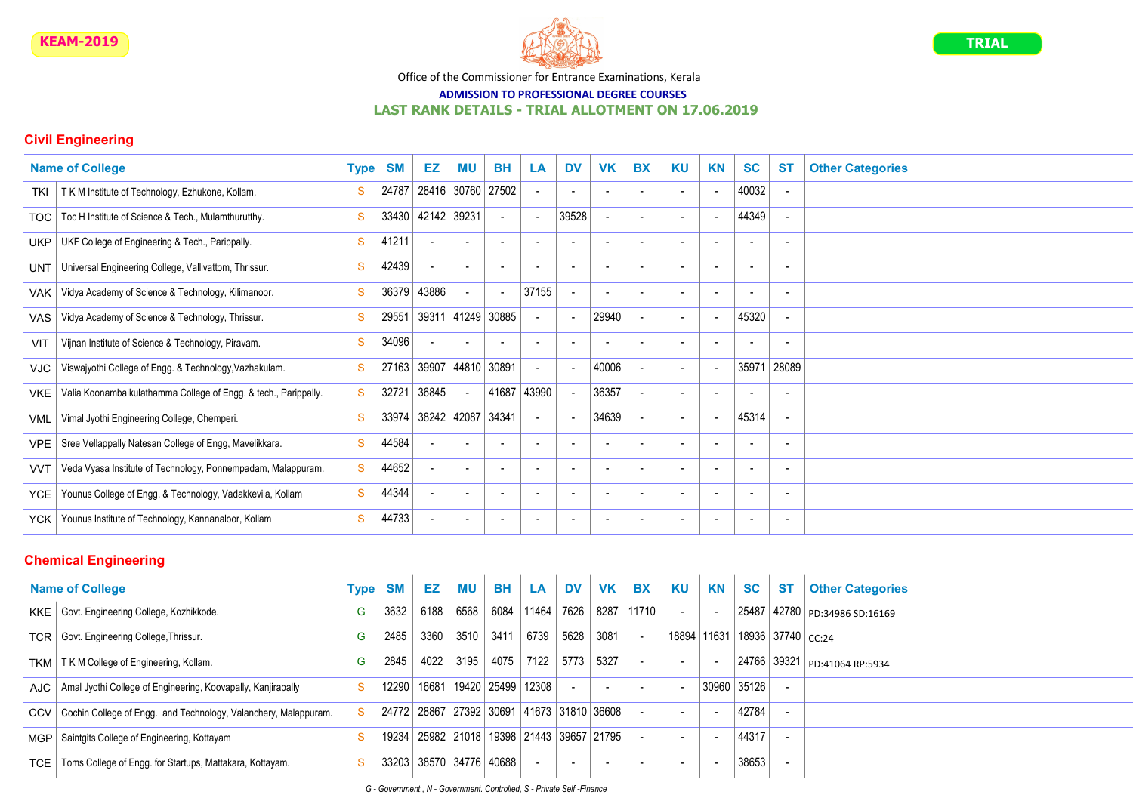

## ADMISSION TO PROFESSIONAL DEGREE COURSES

### LAST RANK DETAILS - TRIAL ALLOTMENT ON 17.06.2019

## Civil Engineering

|            | <b>Name of College</b>                                          | <b>Type</b>  | <b>SM</b> | EZ                | ΜU                       | <b>BH</b>                | LA                       | <b>DV</b> | <b>VK</b>                | <b>BX</b>                | <b>KU</b>                | <b>KN</b>                | <b>SC</b>                | <b>ST</b>                | <b>Other Categories</b> |
|------------|-----------------------------------------------------------------|--------------|-----------|-------------------|--------------------------|--------------------------|--------------------------|-----------|--------------------------|--------------------------|--------------------------|--------------------------|--------------------------|--------------------------|-------------------------|
| TKI        | T K M Institute of Technology, Ezhukone, Kollam.                | S            | 24787     |                   | 28416 30760 27502        |                          |                          |           | $\overline{\phantom{a}}$ |                          | $\overline{\phantom{a}}$ | $\overline{\phantom{a}}$ | 40032                    | $\blacksquare$           |                         |
| TOC        | Toc H Institute of Science & Tech., Mulamthurutthy.             | S            |           | 33430 42142 39231 |                          | $\sim$                   | $\overline{\phantom{a}}$ | 39528     |                          | $\overline{\phantom{a}}$ | $\overline{\phantom{a}}$ | $\overline{\phantom{a}}$ | 44349                    | $\blacksquare$           |                         |
| <b>UKP</b> | UKF College of Engineering & Tech., Parippally.                 | S            | 41211     |                   | ۰                        | $\overline{\phantom{a}}$ | $\overline{\phantom{a}}$ |           | $\overline{\phantom{a}}$ |                          | $\overline{\phantom{a}}$ |                          |                          | $\overline{\phantom{a}}$ |                         |
| UNT        | Universal Engineering College, Vallivattom, Thrissur.           | S            | 42439     |                   | $\overline{\phantom{a}}$ | $\overline{\phantom{a}}$ |                          |           | $\sim$                   |                          | $\blacksquare$           |                          |                          | $\overline{\phantom{a}}$ |                         |
| VAK        | Vidya Academy of Science & Technology, Kilimanoor.              | S            | 36379     | 43886             | $\overline{\phantom{0}}$ | $\overline{\phantom{a}}$ | 37155                    | $\sim$    | $\sim$                   |                          | $\overline{\phantom{a}}$ | $\overline{\phantom{a}}$ | $\overline{\phantom{a}}$ | $\overline{\phantom{a}}$ |                         |
| VAS        | Vidya Academy of Science & Technology, Thrissur.                | S            | 29551     | 39311             | 41249 30885              |                          |                          | $\sim$    | 29940                    |                          | $\overline{\phantom{a}}$ | $\overline{\phantom{a}}$ | 45320                    |                          |                         |
| VIT        | Vijnan Institute of Science & Technology, Piravam.              | S            | 34096     |                   |                          | $\overline{\phantom{a}}$ |                          |           | $\overline{\phantom{a}}$ |                          | $\overline{\phantom{a}}$ |                          |                          | $\overline{\phantom{a}}$ |                         |
| VJC.       | Viswajyothi College of Engg. & Technology, Vazhakulam.          | S            | 27163     |                   | 39907 44810 30891        |                          |                          |           | 40006                    |                          | $\overline{\phantom{a}}$ |                          | 35971                    | 28089                    |                         |
| <b>VKE</b> | Valia Koonambaikulathamma College of Engg. & tech., Parippally. | S            | 32721     | 36845             |                          | 41687                    | 43990                    |           | 36357                    |                          | $\blacksquare$           |                          |                          |                          |                         |
| <b>VML</b> | Vimal Jyothi Engineering College, Chemperi.                     | <sub>S</sub> | 33974     |                   | 38242 42087 34341        |                          |                          |           | 34639                    |                          | $\overline{\phantom{a}}$ |                          | 45314                    |                          |                         |
| VPE        | Sree Vellappally Natesan College of Engg, Mavelikkara.          | <sub>S</sub> | 44584     |                   |                          | $\overline{\phantom{a}}$ |                          |           |                          |                          | $\blacksquare$           |                          |                          |                          |                         |
| <b>VVT</b> | Veda Vyasa Institute of Technology, Ponnempadam, Malappuram.    | S            | 44652     |                   |                          |                          |                          |           |                          |                          | $\blacksquare$           |                          |                          |                          |                         |
| <b>YCE</b> | Younus College of Engg. & Technology, Vadakkevila, Kollam       | S            | 44344     |                   |                          |                          |                          |           |                          |                          | $\blacksquare$           |                          |                          |                          |                         |
| <b>YCK</b> | Younus Institute of Technology, Kannanaloor, Kollam             | S            | 44733     |                   |                          | $\overline{\phantom{a}}$ |                          |           | $\overline{\phantom{a}}$ |                          | $\blacksquare$           | $\overline{\phantom{a}}$ |                          | ٠                        |                         |

## Chemical Engineering

|            | <b>Name of College</b>                                             | <b>Type</b>  | <b>SM</b> | EZ    | MU                                      | BH   | <b>LA</b>                           | <b>DV</b>                | <b>VK</b>                | <b>BX</b>  | KU                       | KN          | <b>SC</b>   | <b>ST</b> | <b>Other Categories</b>       |
|------------|--------------------------------------------------------------------|--------------|-----------|-------|-----------------------------------------|------|-------------------------------------|--------------------------|--------------------------|------------|--------------------------|-------------|-------------|-----------|-------------------------------|
|            | KKE   Govt. Engineering College, Kozhikkode.                       | G            | 3632      | 6188  | 6568                                    | 6084 | 11464                               | 7626                     |                          | 8287 11710 | $\sim$                   |             |             |           | 25487 42780 PD:34986 SD:16169 |
| <b>TCR</b> | Govt. Engineering College, Thrissur.                               | G            | 2485      | 3360  | 3510                                    | 3411 | 6739                                | 5628                     | 3081                     |            |                          | 18894 11631 |             |           | $18936$ 37740 $\vert$ CC:24   |
| <b>TKM</b> | T K M College of Engineering, Kollam.                              | G            | 2845      | 4022  | 3195                                    | 4075 | 7122                                | 5773                     | 5327                     |            | $\sim$                   |             | 24766 39321 |           | PD:41064 RP:5934              |
|            | AJC   Amal Jyothi College of Engineering, Koovapally, Kanjirapally | <sub>S</sub> | 12290     | 16681 |                                         |      | 19420 25499 12308                   | $\blacksquare$           | $\overline{\phantom{0}}$ |            | $\overline{\phantom{a}}$ |             | 30960 35126 |           |                               |
| <b>CCV</b> | Cochin College of Engg. and Technology, Valanchery, Malappuram.    |              | 24772     |       |                                         |      | 28867 27392 30691 41673 31810 36608 |                          |                          |            | $\overline{\phantom{0}}$ |             | 42784       |           |                               |
| MGP        | Saintgits College of Engineering, Kottayam                         | <b>S</b>     | 19234     |       |                                         |      | 25982 21018 19398 21443 39657 21795 |                          |                          |            | $\overline{\phantom{0}}$ |             | 44317       |           |                               |
| TCE        | Toms College of Engg. for Startups, Mattakara, Kottayam.           | -S           | 33203     |       | $\mid 38570 \mid 34776 \mid 40688 \mid$ |      |                                     | $\overline{\phantom{a}}$ | $\overline{\phantom{0}}$ |            | $\sim$                   |             | 38653       |           |                               |

G - Government., N - Government. Controlled, S - Private Self -Finance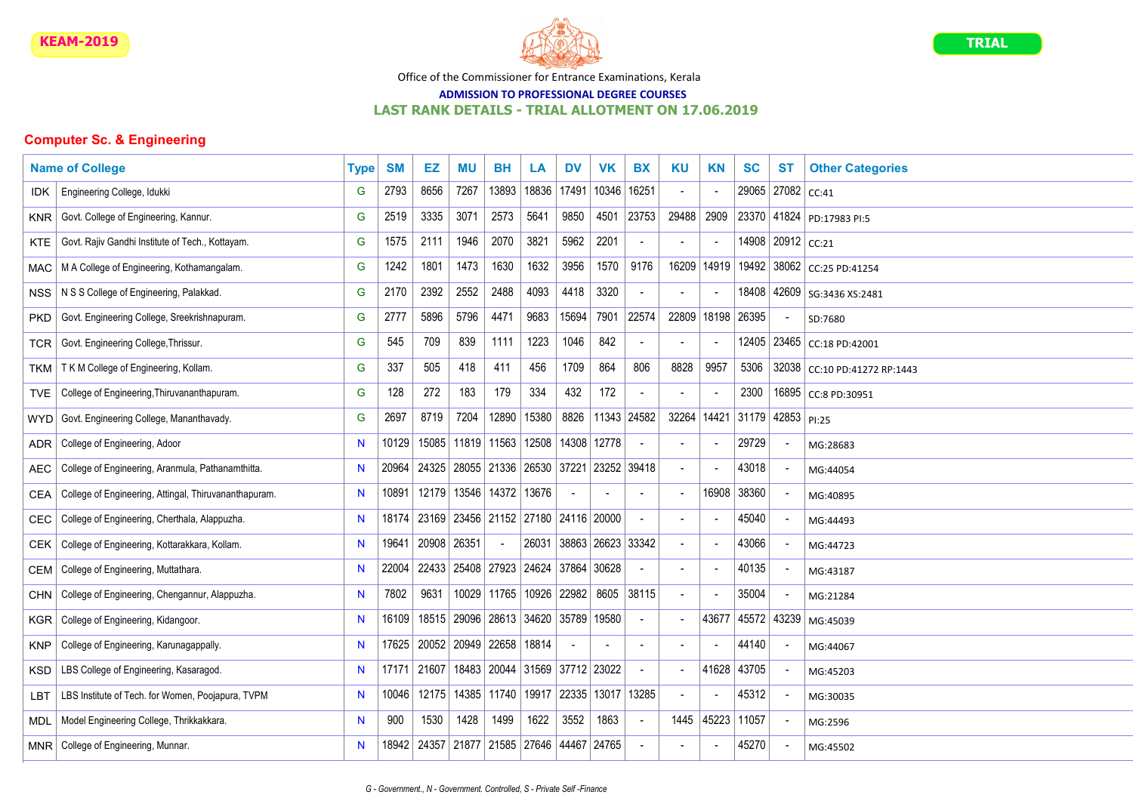

#### ADMISSION TO PROFESSIONAL DEGREE COURSES

#### LAST RANK DETAILS - TRIAL ALLOTMENT ON 17.06.2019

|            | <b>Name of College</b>                                | <b>Type</b> | <b>SM</b> | EZ    | <b>MU</b>   | <b>BH</b>                                     | LA          | <b>DV</b> | <b>VK</b>   | <b>BX</b>    | <b>KU</b>      | <b>KN</b>   | <b>SC</b> | <b>ST</b>         | <b>Other Categories</b>     |
|------------|-------------------------------------------------------|-------------|-----------|-------|-------------|-----------------------------------------------|-------------|-----------|-------------|--------------|----------------|-------------|-----------|-------------------|-----------------------------|
| <b>IDK</b> | Engineering College, Idukki                           | G           | 2793      | 8656  | 7267        | 13893                                         | 18836       | 17491     | 10346       | 16251        |                |             |           | 29065 27082 CC:41 |                             |
| <b>KNR</b> | Govt. College of Engineering, Kannur.                 | G           | 2519      | 3335  | 3071        | 2573                                          | 5641        | 9850      | 4501        | 23753        | 29488          | 2909        |           |                   | 23370 41824 PD:17983 PI:5   |
| KTE.       | Govt. Rajiv Gandhi Institute of Tech., Kottayam.      | G           | 1575      | 2111  | 1946        | 2070                                          | 3821        | 5962      | 2201        |              |                |             |           | 14908 20912 CC:21 |                             |
| <b>MAC</b> | M A College of Engineering, Kothamangalam.            | G           | 1242      | 1801  | 1473        | 1630                                          | 1632        | 3956      | 1570        | 9176         | 16209          | 14919       |           |                   | 19492 38062 CC:25 PD:41254  |
| NSS.       | N S S College of Engineering, Palakkad.               | G           | 2170      | 2392  | 2552        | 2488                                          | 4093        | 4418      | 3320        |              |                |             |           |                   | 18408 42609 SG:3436 XS:2481 |
| <b>PKD</b> | Govt. Engineering College, Sreekrishnapuram.          | G           | 2777      | 5896  | 5796        | 4471                                          | 9683        | 15694     | 7901        | 22574        |                | 22809 18198 | 26395     |                   | SD:7680                     |
| <b>TCR</b> | Govt. Engineering College, Thrissur.                  | G           | 545       | 709   | 839         | 1111                                          | 1223        | 1046      | 842         |              |                |             |           |                   | 12405 23465 CC:18 PD:42001  |
| <b>TKM</b> | T K M College of Engineering, Kollam.                 | G           | 337       | 505   | 418         | 411                                           | 456         | 1709      | 864         | 806          | 8828           | 9957        | 5306      | 32038             | CC:10 PD:41272 RP:1443      |
| <b>TVE</b> | College of Engineering, Thiruvananthapuram.           | G           | 128       | 272   | 183         | 179                                           | 334         | 432       | 172         |              |                |             | 2300      | 16895             | CC:8 PD:30951               |
| WYD.       | Govt. Engineering College, Mananthavady.              | G           | 2697      | 8719  | 7204        | 12890                                         | 15380       | 8826      | 11343 24582 |              | 32264          | 14421       |           | 31179 42853 PI:25 |                             |
| <b>ADR</b> | College of Engineering, Adoor                         | N           | 10129     | 15085 | 11819       | 11563 12508                                   |             |           | 14308 12778 |              |                |             | 29729     |                   | MG:28683                    |
| AEC.       | College of Engineering, Aranmula, Pathanamthitta.     | N.          | 20964     | 24325 | 28055       | 21336                                         | 26530       | 37221     | 23252 39418 |              | $\blacksquare$ |             | 43018     |                   | MG:44054                    |
| <b>CEA</b> | College of Engineering, Attingal, Thiruvananthapuram. | N           | 10891     | 12179 | 13546       | 14372 13676                                   |             |           |             |              |                | 16908       | 38360     |                   | MG:40895                    |
| CEC.       | College of Engineering, Cherthala, Alappuzha.         | N           | 18174     | 23169 | 23456       |                                               | 21152 27180 |           | 24116 20000 |              |                |             | 45040     |                   | MG:44493                    |
| <b>CEK</b> | College of Engineering, Kottarakkara, Kollam.         | N.          | 19641     | 20908 | 26351       | $\sim$                                        | 26031       | 38863     | 26623 33342 |              |                |             | 43066     |                   | MG:44723                    |
| CEM        | College of Engineering, Muttathara.                   | N           | 22004     | 22433 | 25408       | 27923                                         | 24624       |           | 37864 30628 |              |                |             | 40135     |                   | MG:43187                    |
| <b>CHN</b> | College of Engineering, Chengannur, Alappuzha.        | N           | 7802      | 9631  | 10029       | 11765                                         | 10926       |           | 22982 8605  | 38115        |                |             | 35004     |                   | MG:21284                    |
| <b>KGR</b> | College of Engineering, Kidangoor.                    | N           | 16109     |       | 18515 29096 |                                               | 28613 34620 |           | 35789 19580 | $\mathbf{r}$ |                | 43677       |           | 45572 43239       | MG:45039                    |
| <b>KNP</b> | College of Engineering, Karunagappally.               | N           | 17625     | 20052 | 20949       | 22658                                         | 18814       |           |             |              |                |             | 44140     |                   | MG:44067                    |
| KSD        | LBS College of Engineering, Kasaragod.                | N           | 17171     |       |             | 21607   18483   20044   31569   37712   23022 |             |           |             |              |                | 41628       | 43705     |                   | MG:45203                    |
| LBT        | LBS Institute of Tech. for Women, Poojapura, TVPM     | N           | 10046     | 12175 |             | 14385   11740   19917                         |             |           | 22335 13017 | 13285        |                |             | 45312     |                   | MG:30035                    |
| <b>MDL</b> | Model Engineering College, Thrikkakkara.              | N           | 900       | 1530  | 1428        | 1499                                          | 1622        | 3552      | 1863        |              | 1445           | 45223       | 11057     |                   | MG:2596                     |
| <b>MNR</b> | College of Engineering, Munnar.                       | N           | 18942     | 24357 | 21877       | 21585                                         | 27646       | 44467     | 24765       |              |                |             | 45270     |                   | MG:45502                    |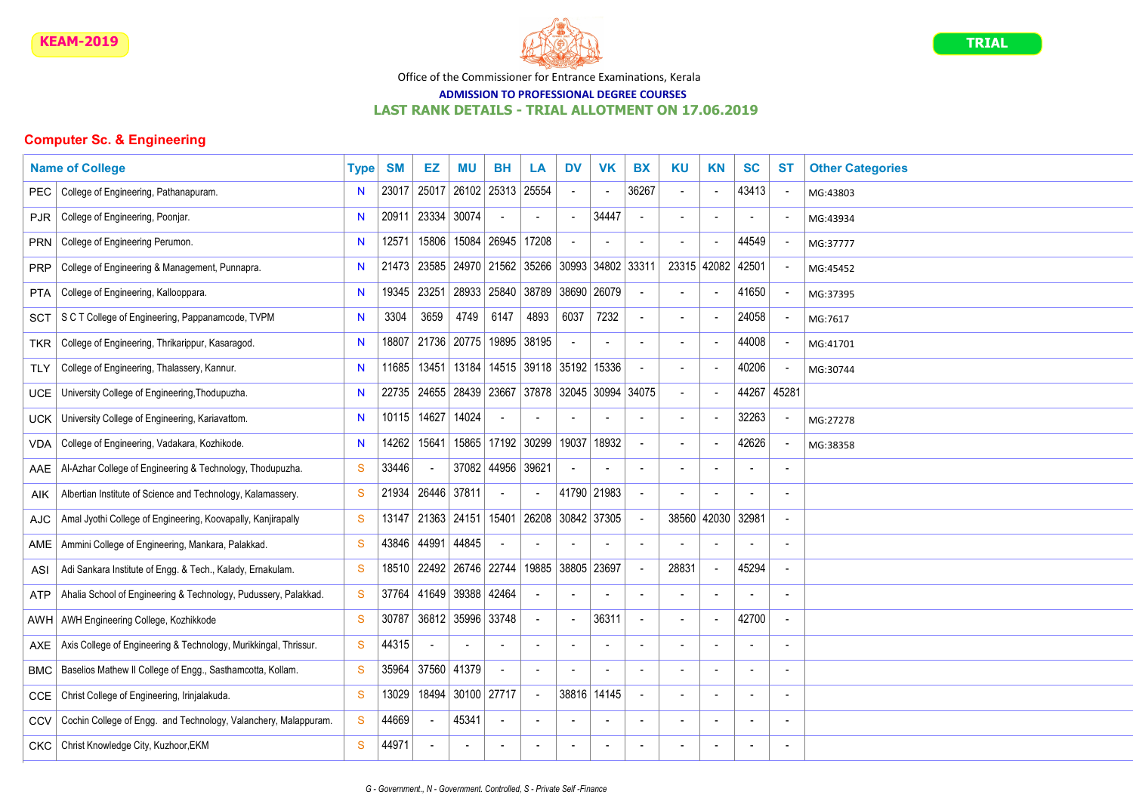

#### ADMISSION TO PROFESSIONAL DEGREE COURSES

LAST RANK DETAILS - TRIAL ALLOTMENT ON 17.06.2019

|            | <b>Name of College</b>                                           | <b>Type</b> | <b>SM</b> | EZ    | ΜU                | <b>BH</b>                | LA             | <b>DV</b>                | <b>VK</b>   | <b>BX</b>                | <b>KU</b> | <b>KN</b>                | <b>SC</b>                | ST             | <b>Other Categories</b> |
|------------|------------------------------------------------------------------|-------------|-----------|-------|-------------------|--------------------------|----------------|--------------------------|-------------|--------------------------|-----------|--------------------------|--------------------------|----------------|-------------------------|
| <b>PEC</b> | College of Engineering, Pathanapuram.                            | N.          | 23017     | 25017 | 26102             | 25313                    | 25554          | $\sim$                   |             | 36267                    |           |                          | 43413                    |                | MG:43803                |
| <b>PJR</b> | College of Engineering, Poonjar.                                 | N           | 20911     | 23334 | 30074             | $\overline{\phantom{a}}$ | $\overline{a}$ | $\mathbf{r}$             | 34447       | $\overline{\phantom{a}}$ |           |                          | $\blacksquare$           |                | MG:43934                |
| <b>PRN</b> | College of Engineering Perumon.                                  | N           | 1257'     | 15806 | 15084             | 26945                    | 17208          | $\blacksquare$           |             | $\overline{a}$           |           |                          | 44549                    |                | MG:37777                |
| <b>PRP</b> | College of Engineering & Management, Punnapra.                   | N           | 21473     |       | 23585 24970       | 21562                    | 35266          | 30993                    |             | 34802 33311              |           | 23315 42082              | 42501                    |                | MG:45452                |
| <b>PTA</b> | College of Engineering, Kallooppara.                             | N           | 19345     | 23251 | 28933             | 25840                    | 38789          | 38690                    | 26079       |                          |           |                          | 41650                    |                | MG:37395                |
| <b>SCT</b> | S C T College of Engineering, Pappanamcode, TVPM                 | N           | 3304      | 3659  | 4749              | 6147                     | 4893           | 6037                     | 7232        |                          |           |                          | 24058                    |                | MG:7617                 |
| <b>TKR</b> | College of Engineering, Thrikarippur, Kasaragod.                 | N           | 18807     |       | 21736 20775       | 19895                    | 38195          | $\blacksquare$           |             | $\blacksquare$           |           |                          | 44008                    |                | MG:41701                |
| TLY        | College of Engineering, Thalassery, Kannur.                      | N           | 11685     | 13451 | 13184             | 14515                    | 39118 35192    |                          | 15336       |                          |           |                          | 40206                    |                | MG:30744                |
| <b>UCE</b> | University College of Engineering, Thodupuzha.                   | N           | 22735     |       | 24655 28439       | 23667                    | 37878          | 32045 30994              |             | 34075                    |           |                          | 44267                    | 45281          |                         |
| <b>UCK</b> | University College of Engineering, Kariavattom.                  | N           | 10115     | 14627 | 14024             | $\blacksquare$           |                | $\overline{\phantom{a}}$ |             |                          |           |                          | 32263                    |                | MG:27278                |
| <b>VDA</b> | College of Engineering, Vadakara, Kozhikode.                     | N           | 14262     | 15641 |                   | 15865 17192              | 30299          | 19037                    | 18932       |                          |           |                          | 42626                    |                | MG:38358                |
| AAE        | Al-Azhar College of Engineering & Technology, Thodupuzha.        | S           | 33446     |       | 37082             | 44956                    | 39621          | $\blacksquare$           |             | $\blacksquare$           |           |                          | $\overline{\phantom{a}}$ |                |                         |
| AIK        | Albertian Institute of Science and Technology, Kalamassery.      | S           | 21934     | 26446 | 37811             | $\sim$                   |                |                          | 41790 21983 |                          |           |                          | $\overline{\phantom{a}}$ |                |                         |
| AJC        | Amal Jyothi College of Engineering, Koovapally, Kanjirapally     | S           | 13147     | 21363 | 24151             | 15401                    | 26208          |                          | 30842 37305 |                          | 38560     | 42030                    | 32981                    |                |                         |
| AME        | Ammini College of Engineering, Mankara, Palakkad.                | S           | 43846     | 44991 | 44845             | $\sim$                   |                |                          |             | $\sim$                   |           |                          | $\blacksquare$           |                |                         |
| ASI        | Adi Sankara Institute of Engg. & Tech., Kalady, Ernakulam.       | S           | 18510     | 22492 | 26746             | 22744                    | 19885          | 38805 23697              |             |                          | 28831     |                          | 45294                    | $\blacksquare$ |                         |
| ATP        | Ahalia School of Engineering & Technology, Pudussery, Palakkad.  | S           | 37764     | 41649 | 39388             | 42464                    |                | $\overline{\phantom{a}}$ |             |                          |           |                          | $\overline{\phantom{a}}$ |                |                         |
| AWH        | AWH Engineering College, Kozhikkode                              | S           | 30787     |       | 36812 35996 33748 |                          |                | $\sim$                   | 36311       | $\overline{a}$           |           |                          | 42700                    |                |                         |
| AXE        | Axis College of Engineering & Technology, Murikkingal, Thrissur. | S           | 44315     |       |                   |                          |                |                          |             |                          |           |                          |                          |                |                         |
| <b>BMC</b> | Baselios Mathew II College of Engg., Sasthamcotta, Kollam.       | S           | 35964     | 37560 | 41379             | $\blacksquare$           | $\blacksquare$ | $\overline{\phantom{a}}$ |             | $\blacksquare$           |           |                          |                          |                |                         |
| <b>CCE</b> | Christ College of Engineering, Irinjalakuda.                     | S           | 13029     | 18494 | 30100             | 27717                    |                | 38816                    | 14145       | $\blacksquare$           |           | $\overline{\phantom{a}}$ |                          |                |                         |
| CCV        | Cochin College of Engg. and Technology, Valanchery, Malappuram.  | S           | 44669     |       | 45341             | $\overline{\phantom{a}}$ |                | $\blacksquare$           |             |                          |           |                          | $\overline{\phantom{a}}$ |                |                         |
| <b>CKC</b> | Christ Knowledge City, Kuzhoor, EKM                              | S           | 44971     |       | $\blacksquare$    | $\blacksquare$           |                | $\blacksquare$           |             | $\overline{a}$           |           |                          | $\overline{\phantom{a}}$ | $\overline{a}$ |                         |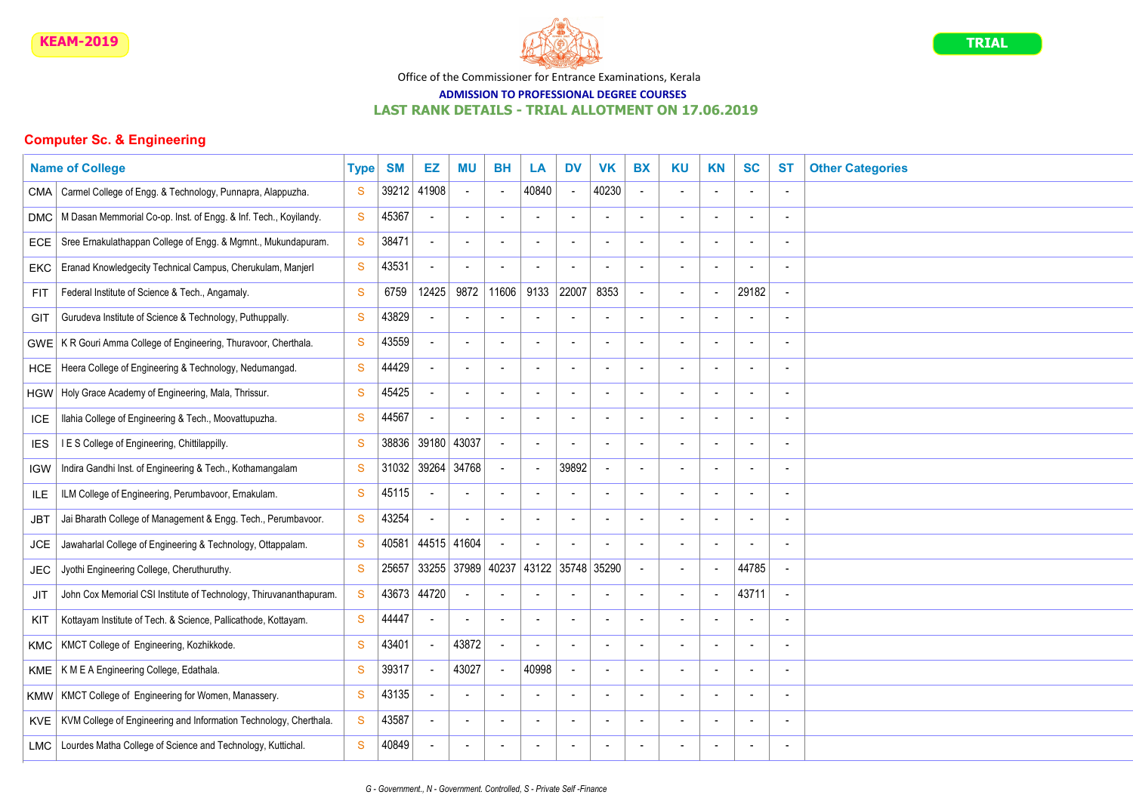

## ADMISSION TO PROFESSIONAL DEGREE COURSES

LAST RANK DETAILS - TRIAL ALLOTMENT ON 17.06.2019

|            | <b>Name of College</b>                                             | <b>Type</b>  | <b>SM</b> | EZ          | ΜU                       | <b>BH</b>                | LA                       | <b>DV</b>                | <b>VK</b>                | <b>BX</b> | <b>KU</b>                | <b>KN</b> | <b>SC</b>                | <b>ST</b> | <b>Other Categories</b> |
|------------|--------------------------------------------------------------------|--------------|-----------|-------------|--------------------------|--------------------------|--------------------------|--------------------------|--------------------------|-----------|--------------------------|-----------|--------------------------|-----------|-------------------------|
| <b>CMA</b> | Carmel College of Engg. & Technology, Punnapra, Alappuzha.         | S            | 39212     | 41908       | $\sim$                   | $\sim$                   | 40840                    | $\mathbb{Z}^2$           | 40230                    |           | $\overline{\phantom{a}}$ |           | $\overline{\phantom{a}}$ |           |                         |
| DMC        | M Dasan Memmorial Co-op. Inst. of Engg. & Inf. Tech., Koyilandy.   | $\mathbf{s}$ | 45367     |             |                          | $\blacksquare$           |                          | $\blacksquare$           |                          |           | $\blacksquare$           |           | $\blacksquare$           |           |                         |
| ECE        | Sree Ernakulathappan College of Engg. & Mgmnt., Mukundapuram.      | S            | 38471     |             |                          | $\overline{\phantom{a}}$ |                          | $\overline{\phantom{a}}$ |                          |           | $\overline{\phantom{a}}$ |           | ÷,                       |           |                         |
| EKC        | Eranad Knowledgecity Technical Campus, Cherukulam, Manjerl         | $\mathbf{s}$ | 43531     |             |                          | $\blacksquare$           |                          | ÷                        |                          |           | $\overline{\phantom{a}}$ |           |                          |           |                         |
| <b>FIT</b> | Federal Institute of Science & Tech., Angamaly.                    | $\mathbf{s}$ | 6759      | 12425       | 9872                     | 11606                    | 9133                     | 22007                    | 8353                     |           | $\overline{\phantom{a}}$ |           | 29182                    |           |                         |
| GIT        | Gurudeva Institute of Science & Technology, Puthuppally.           | S            | 43829     |             |                          |                          |                          | $\overline{a}$           |                          |           |                          |           | $\overline{a}$           |           |                         |
| GWE        | K R Gouri Amma College of Engineering, Thuravoor, Cherthala.       | S            | 43559     |             |                          |                          |                          | $\overline{a}$           |                          |           | $\overline{\phantom{a}}$ |           | $\overline{a}$           |           |                         |
| <b>HCE</b> | Heera College of Engineering & Technology, Nedumangad.             | S            | 44429     |             |                          | $\overline{\phantom{a}}$ |                          | $\sim$                   | $\overline{\phantom{a}}$ |           | $\sim$                   |           | $\overline{a}$           |           |                         |
| <b>HGW</b> | Holy Grace Academy of Engineering, Mala, Thrissur.                 | S            | 45425     |             | $\overline{\phantom{a}}$ | $\blacksquare$           | $\overline{\phantom{a}}$ | $\blacksquare$           | $\blacksquare$           |           | $\overline{\phantom{a}}$ |           | $\blacksquare$           |           |                         |
| ICE        | Ilahia College of Engineering & Tech., Moovattupuzha.              | S            | 44567     |             |                          | $\sim$                   |                          | $\blacksquare$           |                          |           | $\blacksquare$           |           | $\overline{a}$           |           |                         |
| <b>IES</b> | I E S College of Engineering, Chittilappilly.                      | S            | 38836     | 39180       | 43037                    | $\overline{a}$           |                          | $\sim$                   | $\overline{a}$           |           | $\overline{\phantom{a}}$ |           | $\overline{a}$           |           |                         |
| <b>IGW</b> | Indira Gandhi Inst. of Engineering & Tech., Kothamangalam          | S            | 31032     | 39264       | 34768                    | $\sim$                   |                          | 39892                    | $\overline{a}$           |           | $\blacksquare$           |           | ÷,                       |           |                         |
| <b>ILE</b> | ILM College of Engineering, Perumbavoor, Ernakulam.                | S            | 45115     |             |                          | $\overline{a}$           |                          | $\overline{\phantom{a}}$ | $\blacksquare$           |           |                          |           | $\overline{a}$           |           |                         |
| <b>JBT</b> | Jai Bharath College of Management & Engg. Tech., Perumbavoor.      | S            | 43254     |             |                          | $\overline{a}$           |                          | $\sim$                   |                          |           | $\overline{\phantom{a}}$ |           | $\blacksquare$           |           |                         |
| <b>JCE</b> | Jawaharlal College of Engineering & Technology, Ottappalam.        | $\mathbf{s}$ | 40581     | 44515 41604 |                          | $\overline{a}$           |                          | $\overline{a}$           |                          |           |                          |           | ٠                        |           |                         |
| <b>JEC</b> | Jyothi Engineering College, Cheruthuruthy.                         | S            | 25657     | 33255       | 37989                    |                          | 40237 43122              | 35748                    | 35290                    |           | $\overline{\phantom{a}}$ |           | 44785                    |           |                         |
| JIT        | John Cox Memorial CSI Institute of Technology, Thiruvananthapuram. | S            | 43673     | 44720       |                          | $\overline{\phantom{a}}$ |                          | $\overline{\phantom{a}}$ | $\overline{\phantom{a}}$ |           | $\overline{\phantom{a}}$ |           | 43711                    |           |                         |
| KIT        | Kottayam Institute of Tech. & Science, Pallicathode, Kottayam.     | S            | 44447     |             |                          | $\blacksquare$           | $\overline{\phantom{a}}$ | $\blacksquare$           | $\overline{a}$           |           | $\blacksquare$           |           | $\blacksquare$           |           |                         |
| KMC        | KMCT College of Engineering, Kozhikkode.                           | S            | 43401     |             | 43872                    | $\sim$                   |                          | $\sim$                   | $\overline{a}$           |           | $\sim$                   |           | $\sim$                   |           |                         |
| <b>KME</b> | K M E A Engineering College, Edathala.                             | S            | 39317     |             | 43027                    | $\sim$                   | 40998                    | $\overline{a}$           | $\overline{a}$           |           | $\sim$                   |           | $\overline{a}$           |           |                         |
| <b>KMW</b> | KMCT College of Engineering for Women, Manassery.                  | S            | 43135     |             |                          | $\blacksquare$           |                          | $\overline{a}$           | $\blacksquare$           |           | $\overline{\phantom{a}}$ |           | ÷,                       |           |                         |
| <b>KVE</b> | KVM College of Engineering and Information Technology, Cherthala.  | S            | 43587     |             |                          | ÷,                       |                          | $\blacksquare$           |                          |           | $\overline{\phantom{a}}$ |           | $\blacksquare$           |           |                         |
| LMC        | Lourdes Matha College of Science and Technology, Kuttichal.        | S            | 40849     |             |                          | ٠                        |                          | $\overline{a}$           |                          |           |                          |           | ٠                        |           |                         |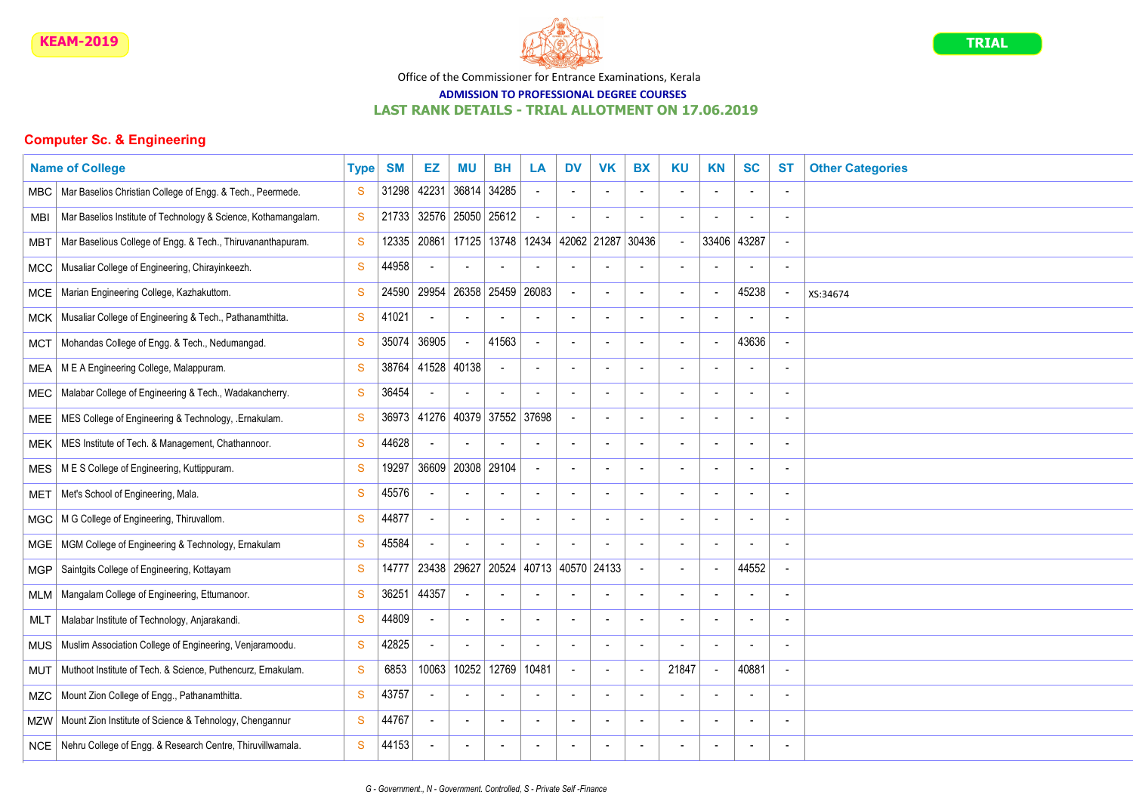

#### ADMISSION TO PROFESSIONAL DEGREE COURSES

#### LAST RANK DETAILS - TRIAL ALLOTMENT ON 17.06.2019

|            | <b>Name of College</b>                                         | <b>Type</b> | <b>SM</b> | EZ    | <b>MU</b>                | <b>BH</b>                | LA                       | <b>DV</b>                | <b>VK</b>                | <b>BX</b> | <b>KU</b>                | <b>KN</b>   | <b>SC</b>                | <b>ST</b> | <b>Other Categories</b> |
|------------|----------------------------------------------------------------|-------------|-----------|-------|--------------------------|--------------------------|--------------------------|--------------------------|--------------------------|-----------|--------------------------|-------------|--------------------------|-----------|-------------------------|
| <b>MBC</b> | Mar Baselios Christian College of Engg. & Tech., Peermede.     | S           | 31298     | 42231 | 36814                    | 34285                    |                          | $\sim$                   |                          |           | $\overline{\phantom{a}}$ |             | $\blacksquare$           |           |                         |
| <b>MBI</b> | Mar Baselios Institute of Technology & Science, Kothamangalam. | S           | 21733     | 32576 | 25050                    | 25612                    |                          | $\sim$                   | J.                       |           | $\sim$                   |             | $\overline{a}$           |           |                         |
| мвт        | Mar Baselious College of Engg. & Tech., Thiruvananthapuram.    | S           | 12335     | 20861 | 17125                    | 13748 12434              |                          | 42062                    | 21287                    | 30436     | $\sim$                   | 33406 43287 |                          |           |                         |
| <b>MCC</b> | Musaliar College of Engineering, Chirayinkeezh.                | S           | 44958     |       |                          |                          |                          |                          |                          |           | $\overline{\phantom{a}}$ |             |                          |           |                         |
| MCE        | Marian Engineering College, Kazhakuttom.                       | S           | 24590     | 29954 | 26358                    | 25459 26083              |                          | $\overline{a}$           |                          |           | $\overline{\phantom{a}}$ |             | 45238                    |           | XS:34674                |
| <b>MCK</b> | Musaliar College of Engineering & Tech., Pathanamthitta.       | S           | 41021     |       |                          |                          |                          | $\sim$                   |                          |           |                          |             | $\blacksquare$           |           |                         |
| <b>MCT</b> | Mohandas College of Engg. & Tech., Nedumangad.                 | S           | 35074     | 36905 |                          | 41563                    |                          | $\sim$                   |                          |           | $\overline{\phantom{a}}$ |             | 43636                    |           |                         |
| MEA        | M E A Engineering College, Malappuram.                         | S           | 38764     | 41528 | 40138                    | $\blacksquare$           |                          | $\sim$                   | $\blacksquare$           |           | $\blacksquare$           |             | $\sim$                   |           |                         |
| <b>MEC</b> | Malabar College of Engineering & Tech., Wadakancherry.         | S           | 36454     |       |                          | $\blacksquare$           |                          | $\blacksquare$           | $\overline{a}$           |           | $\blacksquare$           |             | $\blacksquare$           |           |                         |
| <b>MEE</b> | MES College of Engineering & Technology, .Ernakulam.           | S           | 36973     | 41276 | 40379                    | 37552 37698              |                          | $\overline{a}$           | $\overline{\phantom{a}}$ |           | $\blacksquare$           |             | $\overline{\phantom{a}}$ |           |                         |
| MEK        | MES Institute of Tech. & Management, Chathannoor.              | S           | 44628     |       |                          |                          |                          | $\blacksquare$           |                          |           | $\blacksquare$           |             | $\overline{\phantom{a}}$ |           |                         |
| MES        | M E S College of Engineering, Kuttippuram.                     | S           | 19297     | 36609 | 20308                    | 29104                    |                          | $\sim$                   |                          |           | $\blacksquare$           |             | $\blacksquare$           |           |                         |
| MET        | Met's School of Engineering, Mala.                             | S           | 45576     |       |                          | $\blacksquare$           | $\overline{\phantom{a}}$ | $\sim$                   | $\overline{a}$           |           | $\sim$                   |             | $\overline{a}$           |           |                         |
| MGC        | M G College of Engineering, Thiruvallom.                       | S           | 44877     |       | $\overline{\phantom{a}}$ | $\overline{\phantom{a}}$ |                          | $\overline{\phantom{a}}$ | $\overline{\phantom{a}}$ |           | $\overline{\phantom{a}}$ |             | $\overline{\phantom{a}}$ |           |                         |
| MGE        | MGM College of Engineering & Technology, Ernakulam             | S           | 45584     |       |                          | $\overline{a}$           |                          | $\sim$                   |                          |           | $\blacksquare$           |             | $\blacksquare$           |           |                         |
| <b>MGP</b> | Saintgits College of Engineering, Kottayam                     | S           | 14777     | 23438 | 29627                    | 20524 40713              |                          | 40570 24133              |                          |           | $\overline{\phantom{a}}$ |             | 44552                    |           |                         |
| MLM        | Mangalam College of Engineering, Ettumanoor.                   | S           | 36251     | 44357 |                          | $\blacksquare$           |                          | $\blacksquare$           | J.                       |           | $\overline{\phantom{a}}$ |             | $\blacksquare$           |           |                         |
| MLT        | Malabar Institute of Technology, Anjarakandi.                  | S           | 44809     |       |                          | $\overline{a}$           |                          | $\sim$                   | $\overline{a}$           |           | $\sim$                   |             | $\sim$                   |           |                         |
| <b>MUS</b> | Muslim Association College of Engineering, Venjaramoodu.       | S           | 42825     |       |                          | $\overline{\phantom{a}}$ |                          | $\overline{\phantom{a}}$ | $\overline{\phantom{a}}$ |           | $\overline{\phantom{a}}$ |             | $\overline{\phantom{a}}$ |           |                         |
| MUT        | Muthoot Institute of Tech. & Science, Puthencurz, Ernakulam.   | S           | 6853      | 10063 | 10252                    | 12769                    | 10481                    | $\blacksquare$           | $\blacksquare$           |           | 21847                    |             | 40881                    |           |                         |
| MZC        | Mount Zion College of Engg., Pathanamthitta.                   | S           | 43757     |       |                          | $\overline{a}$           |                          | $\blacksquare$           | $\blacksquare$           |           | $\blacksquare$           |             | $\blacksquare$           |           |                         |
| <b>MZW</b> | Mount Zion Institute of Science & Tehnology, Chengannur        | S           | 44767     |       |                          | $\overline{a}$           |                          | $\sim$                   | $\blacksquare$           |           | $\sim$                   |             | $\blacksquare$           |           |                         |
| NCE        | Nehru College of Engg. & Research Centre, Thiruvillwamala.     | S           | 44153     |       | $\overline{\phantom{0}}$ | $\overline{a}$           |                          | $\overline{a}$           | $\blacksquare$           |           | $\blacksquare$           |             | $\overline{a}$           |           |                         |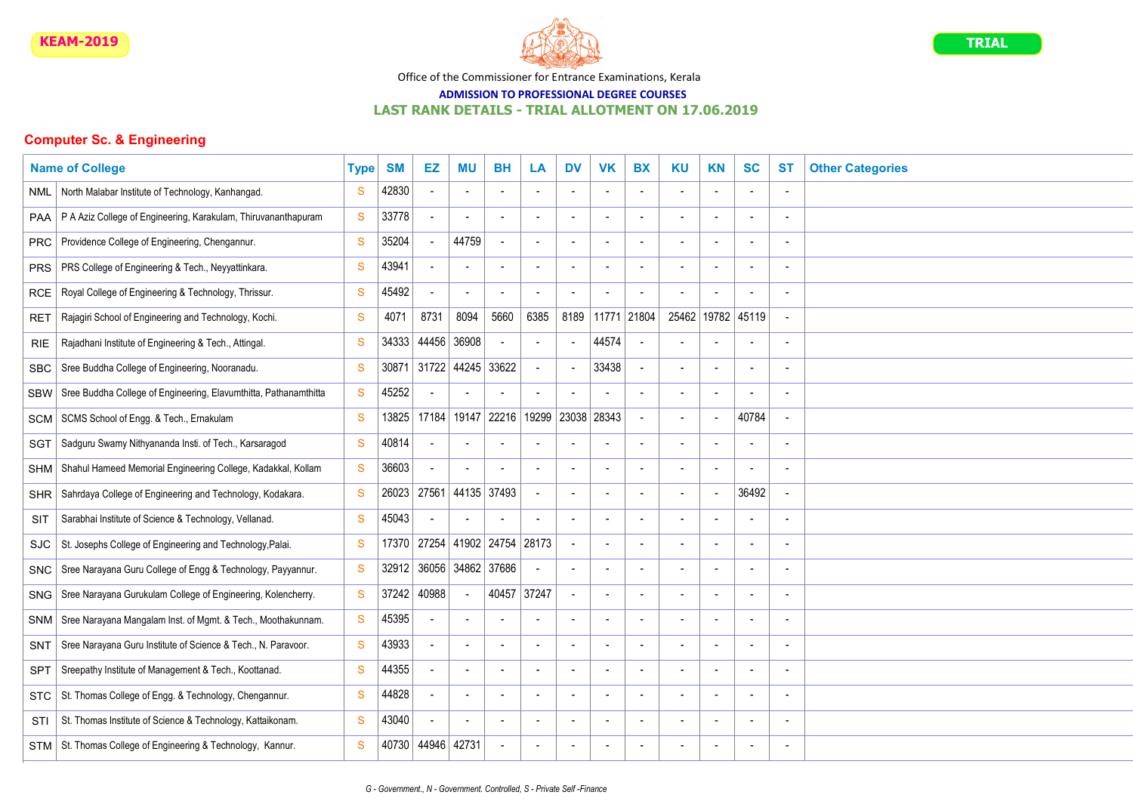

## ADMISSION TO PROFESSIONAL DEGREE COURSES

## LAST RANK DETAILS - TRIAL ALLOTMENT ON 17.06.2019

|            | <b>Name of College</b>                                           | <b>Type</b>   | <b>SM</b> | EZ    | ΜU             | <b>BH</b>                | LA                       | <b>DV</b>                | <b>VK</b> | <b>BX</b>      | <b>KU</b>                | <b>KN</b>                | <b>SC</b>                | <b>ST</b> | <b>Other Categories</b> |
|------------|------------------------------------------------------------------|---------------|-----------|-------|----------------|--------------------------|--------------------------|--------------------------|-----------|----------------|--------------------------|--------------------------|--------------------------|-----------|-------------------------|
| <b>NML</b> | North Malabar Institute of Technology, Kanhangad.                | S             | 42830     |       | $\overline{a}$ | $\overline{a}$           |                          | $\sim$                   |           |                |                          |                          | $\sim$                   |           |                         |
| <b>PAA</b> | P A Aziz College of Engineering, Karakulam, Thiruvananthapuram   | S             | 33778     |       | $\blacksquare$ | $\blacksquare$           | $\sim$                   | $\mathcal{L}$            |           |                |                          | $\overline{\phantom{a}}$ | $\sim$                   |           |                         |
| <b>PRC</b> | Providence College of Engineering, Chengannur.                   | S             | 35204     |       | 44759          | $\sim$                   | $\overline{a}$           | $\overline{a}$           |           |                |                          | $\overline{a}$           | $\overline{a}$           |           |                         |
| <b>PRS</b> | PRS College of Engineering & Tech., Neyyattinkara.               | S             | 43941     |       |                | $\sim$                   | $\overline{a}$           | $\sim$                   |           |                |                          |                          | $\overline{a}$           |           |                         |
| <b>RCE</b> | Royal College of Engineering & Technology, Thrissur.             | S             | 45492     |       | $\blacksquare$ |                          |                          | $\overline{a}$           |           |                |                          |                          | J.                       |           |                         |
| RET        | Rajagiri School of Engineering and Technology, Kochi.            | S             | 4071      | 8731  | 8094           | 5660                     | 6385                     | 8189                     | 11771     | 21804          |                          | 25462 19782 45119        |                          |           |                         |
| <b>RIE</b> | Rajadhani Institute of Engineering & Tech., Attingal.            | S             | 34333     | 44456 | 36908          |                          |                          | $\overline{\phantom{a}}$ | 44574     |                |                          |                          | $\overline{a}$           |           |                         |
| <b>SBC</b> | Sree Buddha College of Engineering, Nooranadu.                   | <sub>S</sub>  | 30871     | 31722 | 44245          | 33622                    |                          | $\overline{a}$           | 33438     |                |                          |                          | $\overline{a}$           |           |                         |
| <b>SBW</b> | Sree Buddha College of Engineering, Elavumthitta, Pathanamthitta | S             | 45252     |       |                | $\overline{\phantom{a}}$ | $\overline{\phantom{a}}$ | $\blacksquare$           |           |                | $\overline{\phantom{a}}$ | $\sim$                   | $\overline{a}$           |           |                         |
| <b>SCM</b> | SCMS School of Engg. & Tech., Ernakulam                          | <sub>S</sub>  | 13825     | 17184 | 19147          | 22216                    | 19299                    | 23038                    | 28343     | $\sim$         | $\sim$                   | $\overline{\phantom{a}}$ | 40784                    |           |                         |
| SGT        | Sadguru Swamy Nithyananda Insti. of Tech., Karsaragod            | S             | 40814     |       | $\blacksquare$ | $\blacksquare$           |                          | $\overline{a}$           |           |                |                          |                          | $\blacksquare$           |           |                         |
| <b>SHM</b> | Shahul Hameed Memorial Engineering College, Kadakkal, Kollam     | S             | 36603     |       |                | $\overline{a}$           | $\overline{\phantom{a}}$ | $\sim$                   |           |                |                          |                          | $\overline{a}$           |           |                         |
| <b>SHR</b> | Sahrdaya College of Engineering and Technology, Kodakara.        | <sub>S</sub>  | 26023     | 27561 | 44135          | 37493                    | $\sim$                   | $\mathcal{L}$            |           |                |                          |                          | 36492                    |           |                         |
| SIT        | Sarabhai Institute of Science & Technology, Vellanad.            | S             | 45043     |       |                | $\overline{a}$           |                          | $\sim$                   |           |                |                          |                          | $\overline{a}$           |           |                         |
| SJC        | St. Josephs College of Engineering and Technology, Palai.        | S             | 17370     | 27254 | 41902          | 24754                    | 28173                    | $\sim$                   |           | $\overline{a}$ |                          | $\overline{a}$           | $\sim$                   |           |                         |
| <b>SNC</b> | Sree Narayana Guru College of Engg & Technology, Payyannur.      | ${\mathbf S}$ | 32912     | 36056 | 34862          | 37686                    |                          | $\mathcal{L}$            |           |                |                          |                          | $\overline{a}$           |           |                         |
| <b>SNG</b> | Sree Narayana Gurukulam College of Engineering, Kolencherry.     | S             | 37242     | 40988 | $\sim$         | 40457                    | 37247                    | $\mathbf{L}$             |           |                |                          |                          | $\overline{a}$           |           |                         |
| <b>SNM</b> | Sree Narayana Mangalam Inst. of Mgmt. & Tech., Moothakunnam.     | S             | 45395     |       | $\overline{a}$ |                          |                          | $\sim$                   |           |                |                          |                          | $\overline{\phantom{a}}$ |           |                         |
| <b>SNT</b> | Sree Narayana Guru Institute of Science & Tech., N. Paravoor.    | S             | 43933     |       |                |                          |                          | $\overline{a}$           |           |                |                          |                          | $\overline{a}$           |           |                         |
| <b>SPT</b> | Sreepathy Institute of Management & Tech., Koottanad.            | ${\mathbf S}$ | 44355     |       | $\overline{a}$ | $\overline{a}$           |                          | $\overline{a}$           |           |                |                          |                          | $\overline{a}$           |           |                         |
| STC        | St. Thomas College of Engg. & Technology, Chengannur.            | <sub>S</sub>  | 44828     |       | $\blacksquare$ | $\overline{\phantom{a}}$ | $\overline{\phantom{a}}$ | $\blacksquare$           |           |                |                          |                          | $\overline{a}$           |           |                         |
| STI        | St. Thomas Institute of Science & Technology, Kattaikonam.       | S             | 43040     |       | $\overline{a}$ | $\overline{a}$           |                          | $\overline{a}$           |           |                |                          |                          | $\overline{a}$           |           |                         |
| STM        | St. Thomas College of Engineering & Technology, Kannur.          | S             | 40730     | 44946 | 42731          |                          |                          | $\overline{a}$           |           |                |                          |                          | $\overline{a}$           |           |                         |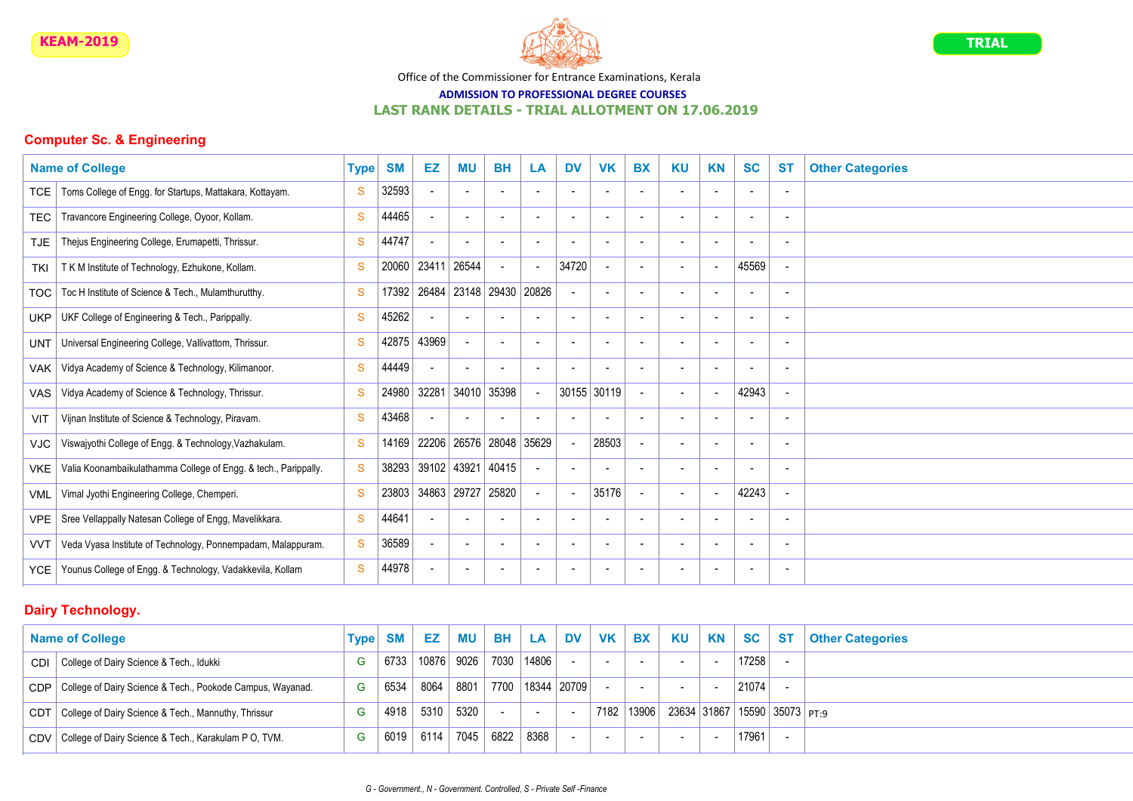

## ADMISSION TO PROFESSIONAL DEGREE COURSES

## LAST RANK DETAILS - TRIAL ALLOTMENT ON 17.06.2019

## Computer Sc. & Engineering

|            | <b>Name of College</b>                                          | <b>Type</b>  | <b>SM</b> | EZ    | MU                       | <b>BH</b>                | LA                       | <b>DV</b>                | <b>VK</b>                | <b>BX</b>                | <b>KU</b>                | <b>KN</b>                | <b>SC</b>                | <b>ST</b>                | <b>Other Categories</b> |
|------------|-----------------------------------------------------------------|--------------|-----------|-------|--------------------------|--------------------------|--------------------------|--------------------------|--------------------------|--------------------------|--------------------------|--------------------------|--------------------------|--------------------------|-------------------------|
| <b>TCE</b> | Toms College of Engg. for Startups, Mattakara, Kottayam.        | S            | 32593     |       |                          | $\sim$                   |                          |                          | $\overline{\phantom{a}}$ |                          | $\overline{\phantom{a}}$ |                          | $\overline{\phantom{a}}$ | $\overline{\phantom{a}}$ |                         |
| TEC        | Travancore Engineering College, Oyoor, Kollam.                  | S            | 44465     |       |                          |                          |                          |                          |                          |                          | $\blacksquare$           |                          |                          |                          |                         |
| <b>TJE</b> | Thejus Engineering College, Erumapetti, Thrissur.               | S            | 44747     |       | $\blacksquare$           | $\overline{\phantom{a}}$ | ٠                        | $\overline{\phantom{a}}$ | $\overline{\phantom{a}}$ |                          | $\overline{\phantom{a}}$ | $\overline{\phantom{a}}$ | $\overline{\phantom{a}}$ | $\overline{\phantom{a}}$ |                         |
| <b>TKI</b> | T K M Institute of Technology, Ezhukone, Kollam.                | S            | 20060     | 23411 | 26544                    | $\sim$                   |                          | 34720                    | $\sim$                   |                          | $\blacksquare$           |                          | 45569                    | $\overline{\phantom{a}}$ |                         |
| <b>TOC</b> | Toc H Institute of Science & Tech., Mulamthurutthy.             | S            | 17392     | 26484 | 23148 29430 20826        |                          |                          | $\sim$                   | $\overline{\phantom{a}}$ |                          | $\blacksquare$           |                          | $\overline{\phantom{a}}$ | $\overline{\phantom{a}}$ |                         |
| <b>UKP</b> | UKF College of Engineering & Tech., Parippally.                 | S            | 45262     |       |                          |                          |                          |                          | $\overline{\phantom{a}}$ |                          | $\overline{\phantom{a}}$ |                          | $\overline{\phantom{a}}$ | -                        |                         |
| UNT        | Universal Engineering College, Vallivattom, Thrissur.           | S            | 42875     | 43969 |                          | $\overline{\phantom{a}}$ |                          |                          |                          |                          | $\blacksquare$           |                          | $\overline{\phantom{a}}$ |                          |                         |
| VAK        | Vidya Academy of Science & Technology, Kilimanoor.              | S            | 44449     |       | $\blacksquare$           | $\overline{\phantom{a}}$ |                          |                          | $\overline{\phantom{a}}$ |                          | $\overline{\phantom{a}}$ | $\overline{\phantom{a}}$ | $\overline{\phantom{a}}$ | $\overline{\phantom{a}}$ |                         |
| <b>VAS</b> | Vidya Academy of Science & Technology, Thrissur.                | S            | 24980     | 32281 | 34010 35398              |                          |                          |                          | 30155 30119              |                          | $\blacksquare$           | $\overline{\phantom{a}}$ | 42943                    |                          |                         |
| VIT        | Vijnan Institute of Science & Technology, Piravam.              | S            | 43468     |       |                          | $\overline{\phantom{a}}$ |                          |                          |                          |                          | $\blacksquare$           |                          | $\overline{\phantom{a}}$ | $\overline{\phantom{a}}$ |                         |
| <b>VJC</b> | Viswajyothi College of Engg. & Technology, Vazhakulam.          | S            | 14169     | 22206 | 26576 28048 35629        |                          |                          |                          | 28503                    |                          | $\overline{\phantom{a}}$ |                          | $\blacksquare$           |                          |                         |
| <b>VKE</b> | Valia Koonambaikulathamma College of Engg. & tech., Parippally. | S            | 38293     |       | 39102 43921              | 40415                    |                          | $\overline{a}$           | $\overline{\phantom{a}}$ |                          | $\overline{\phantom{a}}$ |                          | $\overline{\phantom{a}}$ | $\overline{\phantom{a}}$ |                         |
| <b>VML</b> | Vimal Jyothi Engineering College, Chemperi.                     | S            | 23803     |       | 34863 29727              | 25820                    |                          | $\blacksquare$           | 35176                    |                          | $\blacksquare$           | $\overline{\phantom{a}}$ | 42243                    | $\overline{\phantom{a}}$ |                         |
| <b>VPE</b> | Sree Vellappally Natesan College of Engg, Mavelikkara.          | <sub>S</sub> | 44641     |       | $\overline{\phantom{a}}$ | $\overline{\phantom{a}}$ | $\overline{\phantom{a}}$ |                          | $\overline{\phantom{a}}$ |                          | $\overline{\phantom{a}}$ |                          | $\overline{\phantom{a}}$ | $\overline{\phantom{a}}$ |                         |
| <b>VVT</b> | Veda Vyasa Institute of Technology, Ponnempadam, Malappuram.    | S            | 36589     |       |                          |                          |                          |                          |                          |                          | $\blacksquare$           |                          | $\overline{\phantom{a}}$ | -                        |                         |
| <b>YCE</b> | Younus College of Engg. & Technology, Vadakkevila, Kollam       | $\mathbf{s}$ | 44978     |       | $\blacksquare$           | $\overline{\phantom{a}}$ | $\overline{\phantom{a}}$ | $\overline{\phantom{a}}$ | $\blacksquare$           | $\overline{\phantom{a}}$ | $\overline{\phantom{a}}$ | $\overline{\phantom{a}}$ | $\overline{\phantom{a}}$ | $\overline{\phantom{a}}$ |                         |

## Dairy Technology.

|     | <b>Name of College</b>                                           | <b>Type</b> | <b>SM</b> | EZ   | <b>MU BH</b>    |       | LA DV                 |        | VK BX                    | KU                           | <b>KN</b> | SC    | <b>ST</b> | <b>Other Categories</b> |
|-----|------------------------------------------------------------------|-------------|-----------|------|-----------------|-------|-----------------------|--------|--------------------------|------------------------------|-----------|-------|-----------|-------------------------|
|     | CDI College of Dairy Science & Tech., Idukki                     | G.          | 6733      |      | 10876 9026 7030 | 14806 |                       | $\sim$ | $\overline{\phantom{a}}$ | $\sim$                       |           | 17258 |           |                         |
|     | CDP   College of Dairy Science & Tech., Pookode Campus, Wayanad. | G.          | 6534      | 8064 |                 |       | 8801 7700 18344 20709 |        | $\sim$                   | $\sim$                       |           | 21074 |           |                         |
| CDT | College of Dairy Science & Tech., Mannuthy, Thrissur             |             | 4918      | 5310 | 5320            |       |                       |        | 7182 13906               | 23634 31867 15590 35073 PT:9 |           |       |           |                         |
|     | CDV   College of Dairy Science & Tech., Karakulam P O, TVM.      | G           | 6019      | 6114 | 7045 6822       | 8368  |                       | $\sim$ |                          | $\sim$                       |           | 17961 |           |                         |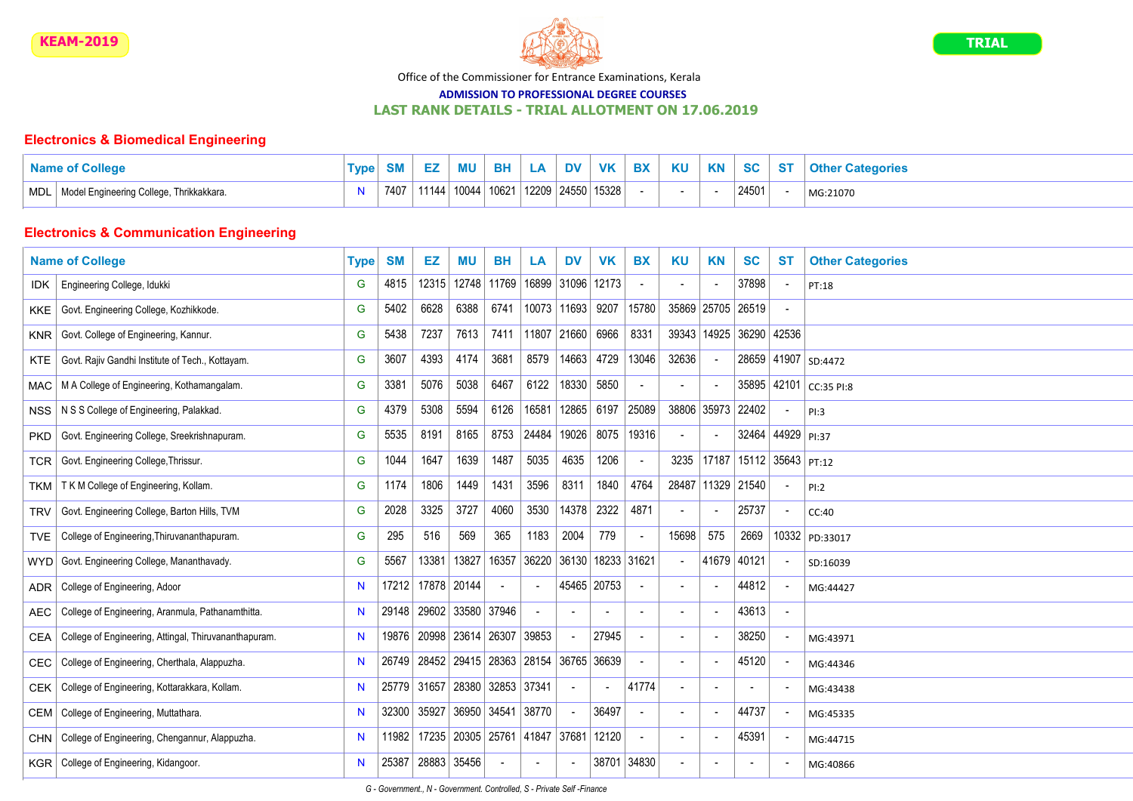

#### ADMISSION TO PROFESSIONAL DEGREE COURSES

#### LAST RANK DETAILS - TRIAL ALLOTMENT ON 17.06.2019

## Electronics & Biomedical Engineering

|     | <b>Name of College</b>                   |      |       | ΜU | <b>BH</b>                     | I A               | <b>DV</b> | VK BX | <b>KU</b> | <b>KN</b> | SC    | ST. | <b>Other Categories</b> |
|-----|------------------------------------------|------|-------|----|-------------------------------|-------------------|-----------|-------|-----------|-----------|-------|-----|-------------------------|
| MDL | Model Engineering College, Thrikkakkara. | 7407 | 11144 |    | .4   10044   10621 $^{\circ}$ | 12209 24550 15328 |           |       |           |           | 24501 |     | MG:21070                |

## Electronics & Communication Engineering

|            | <b>Name of College</b>                                | <b>Type</b> | <b>SM</b> | EZ          | <b>MU</b>         | <b>BH</b>      | LA          | <b>DV</b>   | <b>VK</b>         | <b>BX</b> | <b>KU</b>                | <b>KN</b>         | <b>SC</b>                | <b>ST</b>      | <b>Other Categories</b> |
|------------|-------------------------------------------------------|-------------|-----------|-------------|-------------------|----------------|-------------|-------------|-------------------|-----------|--------------------------|-------------------|--------------------------|----------------|-------------------------|
| IDK.       | Engineering College, Idukki                           | G           | 4815      | 12315       | 12748             | 11769          | 16899       | 31096       | 12173             |           |                          |                   | 37898                    |                | PT:18                   |
| <b>KKE</b> | Govt. Engineering College, Kozhikkode.                | G           | 5402      | 6628        | 6388              | 6741           |             | 10073 11693 | 9207              | 15780     |                          | 35869 25705 26519 |                          |                |                         |
| KNR        | Govt. College of Engineering, Kannur.                 | G           | 5438      | 7237        | 7613              | 7411           | 11807       | 21660       | 6966              | 8331      |                          | 39343 14925       | 36290 42536              |                |                         |
| <b>KTE</b> | Govt. Rajiv Gandhi Institute of Tech., Kottayam.      | G           | 3607      | 4393        | 4174              | 3681           | 8579        | 14663       | 4729              | 13046     | 32636                    |                   |                          |                | 28659 41907 SD:4472     |
| MAC        | M A College of Engineering, Kothamangalam.            | G           | 3381      | 5076        | 5038              | 6467           | 6122        | 18330       | 5850              |           |                          |                   | 35895                    |                | 42101 CC:35 PI:8        |
| NSS        | N S S College of Engineering, Palakkad.               | G           | 4379      | 5308        | 5594              | 6126           | 16581       | 12865       | 6197              | 25089     |                          | 38806 35973       | 22402                    |                | PI:3                    |
| <b>PKD</b> | Govt. Engineering College, Sreekrishnapuram.          | G           | 5535      | 8191        | 8165              | 8753           | 24484       | 19026       | 8075              | 19316     | $\blacksquare$           |                   | 32464                    | 44929 PI:37    |                         |
| <b>TCR</b> | Govt. Engineering College, Thrissur.                  | G           | 1044      | 1647        | 1639              | 1487           | 5035        | 4635        | 1206              |           | 3235                     | 17187             | $ 15112 35643 $ PT:12    |                |                         |
| <b>TKM</b> | TKM College of Engineering, Kollam.                   | G           | 1174      | 1806        | 1449              | 1431           | 3596        | 8311        | 1840              | 4764      |                          | 28487 11329       | 21540                    |                | PI:2                    |
| TRV        | Govt. Engineering College, Barton Hills, TVM          | G           | 2028      | 3325        | 3727              | 4060           | 3530        | 14378       | 2322              | 4871      |                          |                   | 25737                    |                | CC:40                   |
| <b>TVE</b> | College of Engineering, Thiruvananthapuram.           | G           | 295       | 516         | 569               | 365            | 1183        | 2004        | 779               |           | 15698                    | 575               | 2669                     |                | 10332 PD:33017          |
| WYD        | Govt. Engineering College, Mananthavady.              | G           | 5567      | 13381       | 13827             |                | 16357 36220 |             | 36130 18233 31621 |           | $\sim$                   | 41679 40121       |                          |                | SD:16039                |
| <b>ADR</b> | College of Engineering, Adoor                         | N           | 17212     | 17878 20144 |                   | $\blacksquare$ |             |             | 45465 20753       |           | $\blacksquare$           |                   | 44812                    |                | MG:44427                |
| AEC        | College of Engineering, Aranmula, Pathanamthitta.     | N           | 29148     | 29602 33580 |                   | 37946          |             |             |                   |           | $\overline{\phantom{a}}$ |                   | 43613                    | $\blacksquare$ |                         |
| CEA        | College of Engineering, Attingal, Thiruvananthapuram. | N           | 19876     | 20998       | 23614             | 26307          | 39853       |             | 27945             |           | $\overline{a}$           |                   | 38250                    |                | MG:43971                |
| <b>CEC</b> | College of Engineering, Cherthala, Alappuzha.         | N           | 26749     | 28452       | 29415             |                | 28363 28154 | 36765       | 36639             |           | $\blacksquare$           |                   | 45120                    |                | MG:44346                |
| CEK        | College of Engineering, Kottarakkara, Kollam.         | N           | 25779     | 31657       | 28380             | 32853 37341    |             | $\sim$      | $\blacksquare$    | 41774     | $\overline{a}$           |                   | $\overline{\phantom{a}}$ |                | MG:43438                |
| CEM        | College of Engineering, Muttathara.                   | N           | 32300     | 35927       | 36950 34541 38770 |                |             | $\sim$      | 36497             |           | $\blacksquare$           |                   | 44737                    |                | MG:45335                |
| CHN        | College of Engineering, Chengannur, Alappuzha.        | N           | 11982     |             | 17235 20305       |                | 25761 41847 | 37681       | 12120             |           |                          |                   | 45391                    |                | MG:44715                |
| KGR        | College of Engineering, Kidangoor.                    | N           | 25387     | 28883 35456 |                   | $\sim$         |             |             | 38701 34830       |           | $\overline{\phantom{a}}$ |                   | $\overline{\phantom{a}}$ |                | MG:40866                |

G - Government., N - Government. Controlled, S - Private Self -Finance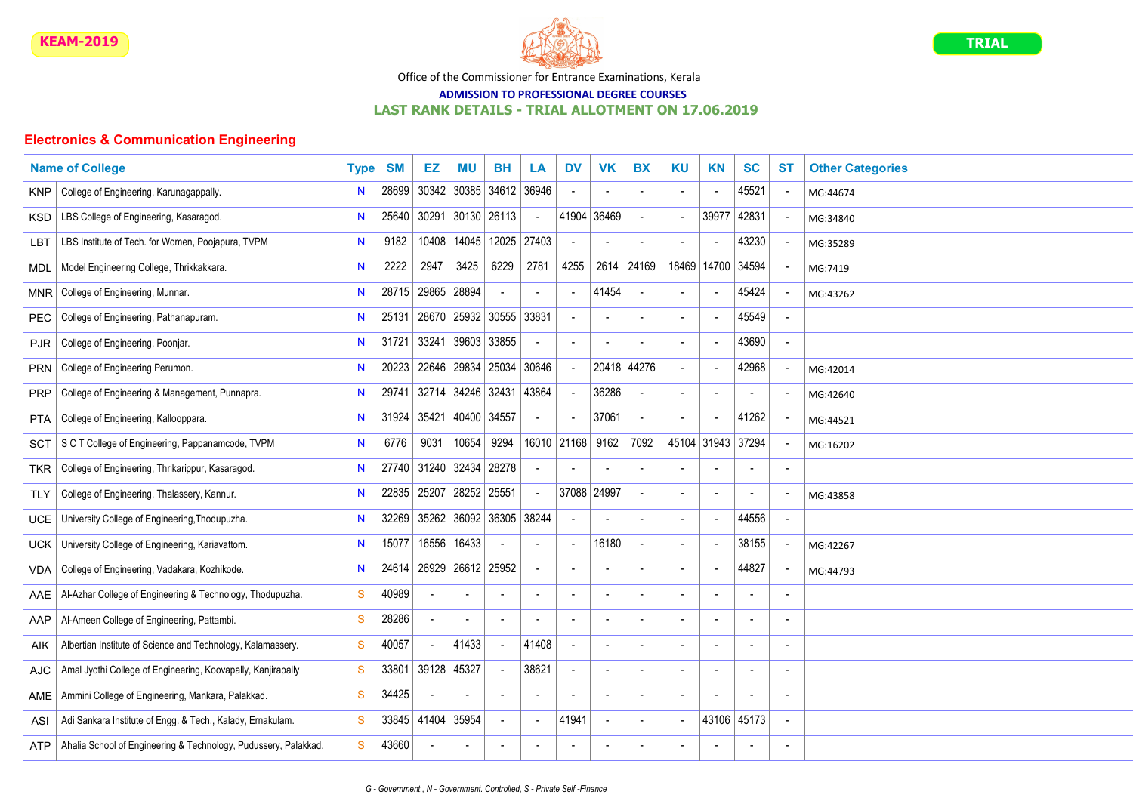

#### ADMISSION TO PROFESSIONAL DEGREE COURSES

#### LAST RANK DETAILS - TRIAL ALLOTMENT ON 17.06.2019

|            | <b>Name of College</b>                                          | <b>Type</b>  | <b>SM</b> | EZ    | ΜU    | <b>BH</b>                | LA    | <b>DV</b>                | <b>VK</b>                | <b>BX</b>   | <b>KU</b>                | <b>KN</b>         | <b>SC</b>                | <b>ST</b> | <b>Other Categories</b> |
|------------|-----------------------------------------------------------------|--------------|-----------|-------|-------|--------------------------|-------|--------------------------|--------------------------|-------------|--------------------------|-------------------|--------------------------|-----------|-------------------------|
| <b>KNP</b> | College of Engineering, Karunagappally.                         | N            | 28699     | 30342 | 30385 | 34612 36946              |       |                          |                          |             |                          |                   | 45521                    |           | MG:44674                |
| KSD        | LBS College of Engineering, Kasaragod.                          | N            | 25640     | 30291 | 30130 | 26113                    |       | 41904                    | 36469                    |             | $\blacksquare$           | 39977             | 42831                    |           | MG:34840                |
| LBT        | LBS Institute of Tech. for Women, Poojapura, TVPM               | N            | 9182      | 10408 | 14045 | 12025 27403              |       | $\sim$                   | $\blacksquare$           |             | $\blacksquare$           |                   | 43230                    |           | MG:35289                |
| MDL        | Model Engineering College, Thrikkakkara.                        | N            | 2222      | 2947  | 3425  | 6229                     | 2781  | 4255                     | 2614                     | 24169       |                          | 18469 14700 34594 |                          |           | MG:7419                 |
| <b>MNR</b> | College of Engineering, Munnar.                                 | N            | 28715     | 29865 | 28894 | $\overline{\phantom{a}}$ |       | $\overline{a}$           | 41454                    |             |                          |                   | 45424                    |           | MG:43262                |
| <b>PEC</b> | College of Engineering, Pathanapuram.                           | N            | 25131     | 28670 | 25932 | 30555 33831              |       |                          |                          |             |                          |                   | 45549                    |           |                         |
| <b>PJR</b> | College of Engineering, Poonjar.                                | N            | 31721     | 33241 | 39603 | 33855                    |       | $\sim$                   | $\overline{\phantom{a}}$ |             | $\sim$                   |                   | 43690                    |           |                         |
| <b>PRN</b> | College of Engineering Perumon.                                 | N            | 20223     | 22646 | 29834 | 25034                    | 30646 | $\sim$                   |                          | 20418 44276 |                          |                   | 42968                    |           | MG:42014                |
| <b>PRP</b> | College of Engineering & Management, Punnapra.                  | N            | 29741     | 32714 | 34246 | 32431                    | 43864 | $\blacksquare$           | 36286                    |             |                          |                   | $\blacksquare$           |           | MG:42640                |
| <b>PTA</b> | College of Engineering, Kallooppara.                            | N            | 31924     | 35421 | 40400 | 34557                    |       |                          | 37061                    |             |                          |                   | 41262                    |           | MG:44521                |
| SCT        | S C T College of Engineering, Pappanamcode, TVPM                | N            | 6776      | 9031  | 10654 | 9294                     | 16010 | 21168                    | 9162                     | 7092        |                          | 45104 31943 37294 |                          |           | MG:16202                |
| TKR        | College of Engineering, Thrikarippur, Kasaragod.                | N            | 27740     | 31240 | 32434 | 28278                    |       |                          |                          |             |                          |                   | $\blacksquare$           |           |                         |
| TLY        | College of Engineering, Thalassery, Kannur.                     | N            | 22835     | 25207 | 28252 | 25551                    |       | 37088 24997              |                          |             |                          |                   | $\overline{\phantom{a}}$ |           | MG:43858                |
| <b>UCE</b> | University College of Engineering, Thodupuzha.                  | N            | 32269     | 35262 | 36092 | 36305 38244              |       | $\overline{a}$           |                          |             | $\blacksquare$           |                   | 44556                    |           |                         |
| <b>UCK</b> | University College of Engineering, Kariavattom.                 | N            | 15077     | 16556 | 16433 | $\overline{a}$           |       | $\overline{\phantom{a}}$ | 16180                    |             |                          |                   | 38155                    |           | MG:42267                |
| VDA        | College of Engineering, Vadakara, Kozhikode.                    | N            | 24614     | 26929 | 26612 | 25952                    |       | $\overline{\phantom{a}}$ |                          |             | $\overline{\phantom{a}}$ |                   | 44827                    |           | MG:44793                |
| AAE        | Al-Azhar College of Engineering & Technology, Thodupuzha.       | <sub>S</sub> | 40989     |       |       | $\overline{\phantom{a}}$ |       | $\overline{\phantom{a}}$ | $\overline{a}$           |             | $\overline{\phantom{a}}$ |                   | $\overline{a}$           |           |                         |
| AAP        | Al-Ameen College of Engineering, Pattambi.                      | <sub>S</sub> | 28286     |       |       | $\blacksquare$           |       | $\blacksquare$           | $\overline{a}$           |             | $\overline{\phantom{a}}$ |                   | $\overline{a}$           |           |                         |
| AIK        | Albertian Institute of Science and Technology, Kalamassery.     | S            | 40057     |       | 41433 | $\sim$                   | 41408 | $\overline{a}$           | $\overline{\phantom{a}}$ |             | $\sim$                   |                   | $\overline{\phantom{a}}$ |           |                         |
| AJC        | Amal Jyothi College of Engineering, Koovapally, Kanjirapally    | S            | 33801     | 39128 | 45327 | $\sim$                   | 38621 | $\overline{a}$           | $\overline{a}$           |             | $\overline{a}$           |                   | $\overline{a}$           |           |                         |
| AME        | Ammini College of Engineering, Mankara, Palakkad.               | <sub>S</sub> | 34425     |       |       |                          |       |                          |                          |             |                          |                   |                          |           |                         |
| ASI        | Adi Sankara Institute of Engg. & Tech., Kalady, Ernakulam.      | S            | 33845     | 41404 | 35954 | $\overline{a}$           |       | 41941                    |                          |             |                          |                   | 43106 45173              |           |                         |
| <b>ATP</b> | Ahalia School of Engineering & Technology, Pudussery, Palakkad. | S            | 43660     |       |       |                          |       |                          |                          |             |                          |                   |                          |           |                         |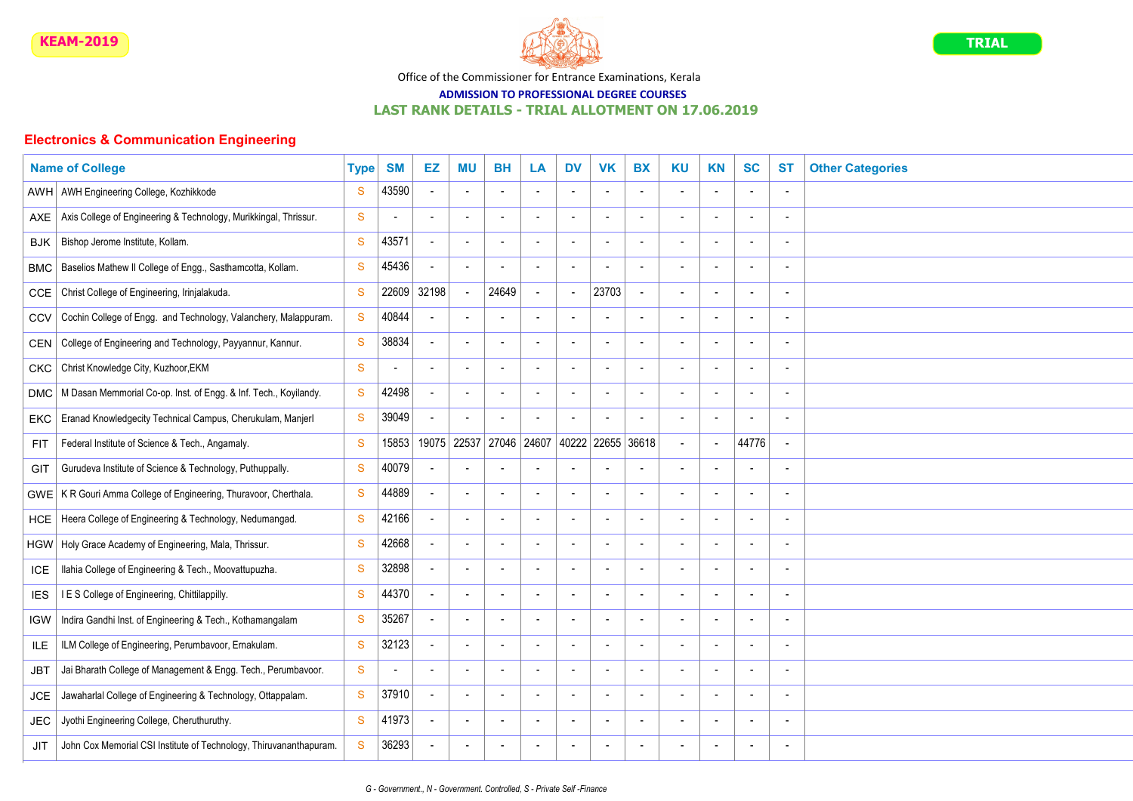

# ADMISSION TO PROFESSIONAL DEGREE COURSES

## LAST RANK DETAILS - TRIAL ALLOTMENT ON 17.06.2019

|            | <b>Name of College</b>                                             | <b>Type</b>   | <b>SM</b>      | EZ                       | ΜU                       | <b>BH</b>                | LA                       | <b>DV</b>                | <b>VK</b>                | <b>BX</b>                | <b>KU</b>                | <b>KN</b>                | <b>SC</b>                | <b>ST</b><br><b>Other Categories</b> |
|------------|--------------------------------------------------------------------|---------------|----------------|--------------------------|--------------------------|--------------------------|--------------------------|--------------------------|--------------------------|--------------------------|--------------------------|--------------------------|--------------------------|--------------------------------------|
| AWH        | AWH Engineering College, Kozhikkode                                | S             | 43590          |                          |                          | $\sim$                   | $\overline{a}$           | $\blacksquare$           |                          |                          | $\overline{a}$           |                          |                          |                                      |
| <b>AXE</b> | Axis College of Engineering & Technology, Murikkingal, Thrissur.   | S             | $\blacksquare$ |                          | $\blacksquare$           | $\sim$                   | $\blacksquare$           | $\sim$                   | $\sim$                   |                          | $\blacksquare$           | $\overline{\phantom{a}}$ | $\blacksquare$           | $\overline{\phantom{a}}$             |
| <b>BJK</b> | Bishop Jerome Institute, Kollam.                                   | S             | 43571          | $\overline{\phantom{a}}$ | $\overline{\phantom{a}}$ | $\overline{\phantom{a}}$ | $\overline{\phantom{a}}$ | $\overline{\phantom{a}}$ | $\blacksquare$           | $\overline{\phantom{a}}$ | $\overline{\phantom{a}}$ | $\overline{\phantom{a}}$ | $\overline{\phantom{a}}$ | $\overline{\phantom{a}}$             |
| BMC        | Baselios Mathew II College of Engg., Sasthamcotta, Kollam.         | S             | 45436          |                          |                          |                          | $\overline{\phantom{a}}$ | $\blacksquare$           |                          |                          | $\overline{\phantom{a}}$ | $\overline{\phantom{a}}$ | $\overline{\phantom{a}}$ |                                      |
| <b>CCE</b> | Christ College of Engineering, Irinjalakuda.                       | S             | 22609          | 32198                    |                          | 24649                    | $\blacksquare$           | $\overline{a}$           | 23703                    |                          | $\overline{a}$           | $\overline{\phantom{0}}$ | $\overline{\phantom{a}}$ |                                      |
| CCV        | Cochin College of Engg. and Technology, Valanchery, Malappuram.    | S             | 40844          |                          |                          |                          | $\overline{a}$           |                          |                          |                          | $\overline{\phantom{a}}$ |                          | $\overline{\phantom{a}}$ |                                      |
| <b>CEN</b> | College of Engineering and Technology, Payyannur, Kannur.          | <sub>S</sub>  | 38834          |                          | $\sim$                   | $\sim$                   | $\overline{a}$           | $\sim$                   | $\overline{\phantom{a}}$ |                          | $\sim$                   | $\blacksquare$           | $\blacksquare$           | $\overline{\phantom{a}}$             |
| <b>CKC</b> | Christ Knowledge City, Kuzhoor, EKM                                | ${\mathbf S}$ | $\blacksquare$ |                          | $\blacksquare$           | $\sim$                   | $\blacksquare$           | $\blacksquare$           | $\sim$                   | $\blacksquare$           | $\blacksquare$           | $\blacksquare$           | $\blacksquare$           | $\blacksquare$                       |
| <b>DMC</b> | M Dasan Memmorial Co-op. Inst. of Engg. & Inf. Tech., Koyilandy.   | S             | 42498          |                          | $\overline{\phantom{a}}$ | $\blacksquare$           | $\overline{a}$           | $\blacksquare$           | $\overline{\phantom{a}}$ | $\overline{a}$           | $\blacksquare$           | $\overline{\phantom{a}}$ | $\blacksquare$           | $\overline{\phantom{a}}$             |
| <b>EKC</b> | Eranad Knowledgecity Technical Campus, Cherukulam, Manjerl         | S             | 39049          |                          |                          | $\overline{a}$           | $\overline{\phantom{a}}$ | $\blacksquare$           |                          | $\overline{\phantom{a}}$ | $\blacksquare$           | $\overline{\phantom{a}}$ |                          |                                      |
| <b>FIT</b> | Federal Institute of Science & Tech., Angamaly.                    | S             | 15853          | 19075                    | 22537                    | 27046 24607              |                          | 40222                    | 22655 36618              |                          | $\overline{a}$           | $\overline{\phantom{a}}$ | 44776                    | $\overline{a}$                       |
| GIT        | Gurudeva Institute of Science & Technology, Puthuppally.           | S             | 40079          |                          | $\overline{\phantom{a}}$ | $\overline{\phantom{a}}$ | $\overline{\phantom{a}}$ | $\overline{\phantom{a}}$ | $\overline{a}$           |                          | $\overline{\phantom{a}}$ | $\overline{\phantom{a}}$ | $\blacksquare$           | $\overline{\phantom{a}}$             |
| <b>GWE</b> | K R Gouri Amma College of Engineering, Thuravoor, Cherthala.       | S             | 44889          |                          |                          |                          |                          | $\overline{\phantom{a}}$ | ÷                        |                          | $\overline{a}$           |                          | $\overline{\phantom{a}}$ |                                      |
| <b>HCE</b> | Heera College of Engineering & Technology, Nedumangad.             | S             | 42166          | $\sim$                   |                          | $\sim$                   | $\blacksquare$           | $\sim$                   |                          |                          | $\overline{a}$           | $\blacksquare$           | $\blacksquare$           |                                      |
| HGW        | Holy Grace Academy of Engineering, Mala, Thrissur.                 | S             | 42668          |                          |                          |                          | $\overline{\phantom{a}}$ | $\overline{\phantom{a}}$ |                          |                          | ٠                        | $\overline{\phantom{a}}$ | $\blacksquare$           |                                      |
| <b>ICE</b> | Ilahia College of Engineering & Tech., Moovattupuzha.              | <sub>S</sub>  | 32898          |                          |                          | $\overline{\phantom{a}}$ |                          | $\overline{\phantom{a}}$ |                          |                          | $\overline{a}$           |                          | $\overline{\phantom{a}}$ |                                      |
| <b>IES</b> | I E S College of Engineering, Chittilappilly.                      | S             | 44370          |                          | $\overline{\phantom{a}}$ | $\sim$                   | $\overline{\phantom{a}}$ | $\overline{\phantom{a}}$ | $\blacksquare$           |                          | $\overline{a}$           | $\overline{\phantom{a}}$ | $\blacksquare$           | $\overline{\phantom{a}}$             |
| <b>IGW</b> | Indira Gandhi Inst. of Engineering & Tech., Kothamangalam          | S             | 35267          | $\overline{a}$           | $\overline{\phantom{a}}$ | $\blacksquare$           | $\overline{\phantom{a}}$ | $\blacksquare$           | $\overline{\phantom{a}}$ | $\overline{\phantom{a}}$ | $\overline{\phantom{a}}$ | $\overline{\phantom{a}}$ | $\overline{\phantom{a}}$ | $\overline{\phantom{a}}$             |
| ILE        | ILM College of Engineering, Perumbavoor, Ernakulam.                | <sub>S</sub>  | 32123          | $\blacksquare$           | $\overline{\phantom{a}}$ | $\blacksquare$           | $\overline{a}$           | $\blacksquare$           | $\overline{\phantom{a}}$ | $\blacksquare$           | $\blacksquare$           | $\overline{\phantom{a}}$ | $\blacksquare$           | $\overline{\phantom{a}}$             |
| <b>JBT</b> | Jai Bharath College of Management & Engg. Tech., Perumbavoor.      | $\mathbf{s}$  | $\overline{a}$ |                          | $\overline{\phantom{a}}$ | $\overline{a}$           | $\blacksquare$           | $\sim$                   | $\sim$                   | $\overline{a}$           | $\overline{a}$           | $\blacksquare$           | $\sim$                   | $\overline{a}$                       |
| <b>JCE</b> | Jawaharlal College of Engineering & Technology, Ottappalam.        | S             | 37910          |                          | $\overline{\phantom{a}}$ | $\sim$                   | $\overline{a}$           | $\blacksquare$           | $\overline{a}$           | $\overline{a}$           | $\blacksquare$           | $\overline{\phantom{a}}$ | $\overline{\phantom{a}}$ |                                      |
| <b>JEC</b> | Jyothi Engineering College, Cheruthuruthy.                         | S             | 41973          |                          | $\overline{\phantom{a}}$ | $\sim$                   | $\overline{a}$           | $\sim$                   | $\sim$                   | $\overline{a}$           | $\sim$                   | $\blacksquare$           | $\overline{a}$           | $\overline{\phantom{a}}$             |
| JIT        | John Cox Memorial CSI Institute of Technology, Thiruvananthapuram. | S             | 36293          |                          | $\blacksquare$           | $\blacksquare$           | $\blacksquare$           | $\blacksquare$           | $\blacksquare$           | $\blacksquare$           | $\blacksquare$           | $\overline{\phantom{a}}$ |                          | $\overline{\phantom{a}}$             |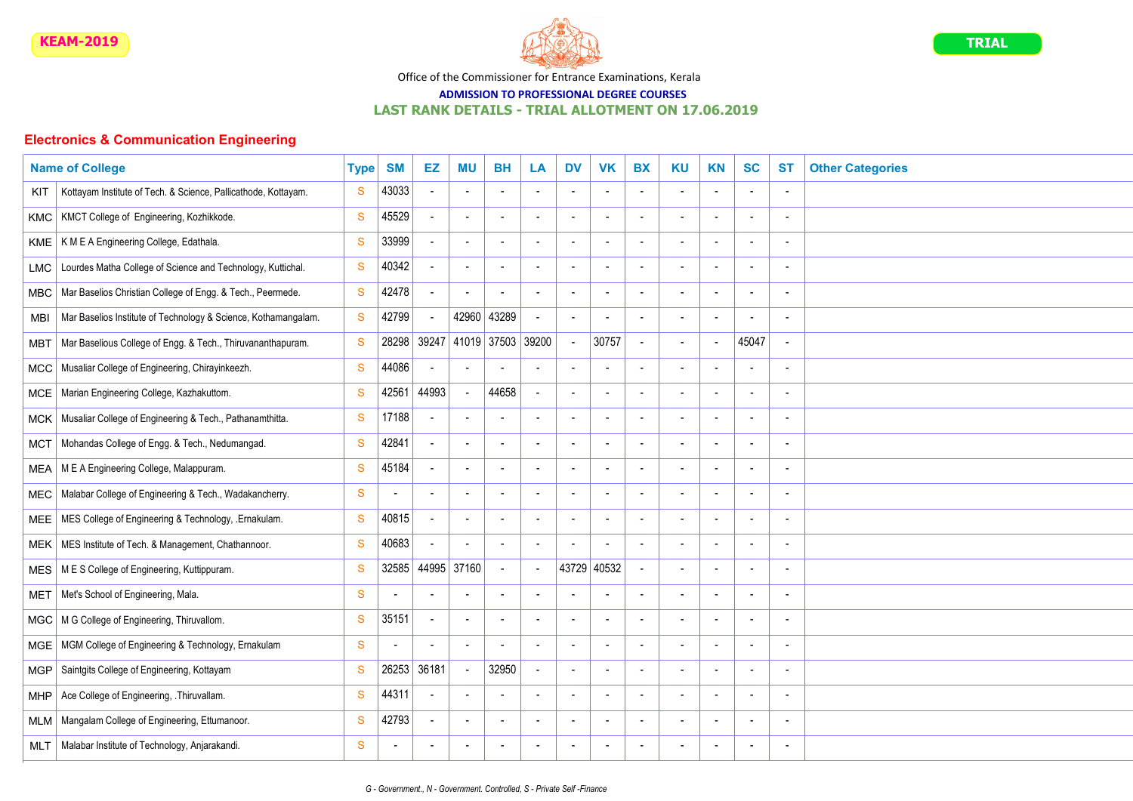

# ADMISSION TO PROFESSIONAL DEGREE COURSES

## LAST RANK DETAILS - TRIAL ALLOTMENT ON 17.06.2019

|            | <b>Name of College</b>                                         | <b>Type</b>   | <b>SM</b>      | EZ                       | ΜU                       | <b>BH</b>                | LA                       | <b>DV</b>                | <b>VK</b>                | <b>BX</b>                | <b>KU</b>                | <b>KN</b>                | <b>SC</b>                | <b>ST</b>                | <b>Other Categories</b> |
|------------|----------------------------------------------------------------|---------------|----------------|--------------------------|--------------------------|--------------------------|--------------------------|--------------------------|--------------------------|--------------------------|--------------------------|--------------------------|--------------------------|--------------------------|-------------------------|
| KIT        | Kottayam Institute of Tech. & Science, Pallicathode, Kottayam. | <sub>S</sub>  | 43033          |                          |                          | $\blacksquare$           | $\overline{a}$           | $\overline{a}$           |                          |                          |                          |                          | ÷                        |                          |                         |
| <b>KMC</b> | KMCT College of Engineering, Kozhikkode.                       | S             | 45529          |                          | $\blacksquare$           | $\sim$                   | $\overline{\phantom{a}}$ | $\sim$                   | $\blacksquare$           | $\overline{\phantom{a}}$ | $\blacksquare$           | $\overline{\phantom{a}}$ | $\sim$                   |                          |                         |
| KME        | K M E A Engineering College, Edathala.                         | S             | 33999          | $\overline{\phantom{a}}$ | $\overline{\phantom{a}}$ | $\blacksquare$           | $\overline{\phantom{a}}$ | $\overline{\phantom{a}}$ | $\overline{\phantom{a}}$ | $\overline{\phantom{a}}$ | $\overline{\phantom{a}}$ | $\overline{\phantom{a}}$ | $\overline{\phantom{a}}$ | $\overline{\phantom{a}}$ |                         |
| LMC        | Lourdes Matha College of Science and Technology, Kuttichal.    | S             | 40342          |                          |                          | $\sim$                   | $\blacksquare$           | $\sim$                   | $\blacksquare$           | $\overline{\phantom{a}}$ | $\overline{a}$           | $\overline{\phantom{a}}$ | $\sim$                   |                          |                         |
| <b>MBC</b> | Mar Baselios Christian College of Engg. & Tech., Peermede.     | S             | 42478          |                          |                          |                          | $\overline{\phantom{a}}$ | $\sim$                   | ٠                        | $\overline{\phantom{a}}$ | $\overline{a}$           |                          | $\overline{\phantom{a}}$ |                          |                         |
| <b>MBI</b> | Mar Baselios Institute of Technology & Science, Kothamangalam. | S             | 42799          |                          | 42960                    | 43289                    |                          | $\blacksquare$           |                          | $\overline{a}$           | $\overline{a}$           |                          | $\overline{a}$           |                          |                         |
| MBT        | Mar Baselious College of Engg. & Tech., Thiruvananthapuram.    | S             | 28298          | 39247                    | 41019                    | 37503 39200              |                          | $\mathbf{r}$             | 30757                    |                          | $\blacksquare$           | $\overline{\phantom{a}}$ | 45047                    |                          |                         |
| <b>MCC</b> | Musaliar College of Engineering, Chirayinkeezh.                | S             | 44086          |                          |                          |                          |                          | $\overline{\phantom{a}}$ | $\overline{\phantom{a}}$ | $\overline{a}$           | $\blacksquare$           |                          | $\overline{\phantom{a}}$ |                          |                         |
| MCE        | Marian Engineering College, Kazhakuttom.                       | <sub>S</sub>  | 42561          | 44993                    |                          | 44658                    | $\overline{\phantom{a}}$ | $\blacksquare$           | $\overline{\phantom{a}}$ | $\overline{\phantom{a}}$ | $\blacksquare$           | $\overline{\phantom{a}}$ | $\overline{\phantom{a}}$ |                          |                         |
| <b>MCK</b> | Musaliar College of Engineering & Tech., Pathanamthitta.       | S             | 17188          |                          | $\overline{\phantom{a}}$ | $\sim$                   | $\overline{\phantom{a}}$ | $\blacksquare$           | $\blacksquare$           | $\overline{a}$           | $\overline{a}$           | $\overline{a}$           | $\overline{\phantom{a}}$ |                          |                         |
| <b>MCT</b> | Mohandas College of Engg. & Tech., Nedumangad.                 | S             | 42841          |                          | $\sim$                   | $\sim$                   | $\overline{\phantom{a}}$ | $\sim$                   | $\overline{a}$           | $\overline{\phantom{a}}$ | $\overline{a}$           | $\overline{\phantom{a}}$ | $\sim$                   | $\overline{\phantom{a}}$ |                         |
| MEA        | M E A Engineering College, Malappuram.                         | S             | 45184          |                          | $\sim$                   | $\sim$                   | $\overline{\phantom{a}}$ | $\blacksquare$           | $\blacksquare$           | $\overline{\phantom{a}}$ | $\sim$                   | $\overline{\phantom{a}}$ | $\overline{\phantom{a}}$ | $\overline{\phantom{a}}$ |                         |
| <b>MEC</b> | Malabar College of Engineering & Tech., Wadakancherry.         | ${\mathbf S}$ | $\blacksquare$ |                          | $\blacksquare$           | $\sim$                   | $\blacksquare$           | $\sim$                   | $\blacksquare$           | $\overline{\phantom{a}}$ | $\overline{a}$           |                          | $\overline{\phantom{a}}$ |                          |                         |
| MEE        | MES College of Engineering & Technology, .Ernakulam.           | S             | 40815          | $\sim$                   | $\blacksquare$           | $\sim$                   | $\blacksquare$           | $\sim$                   | $\blacksquare$           | $\overline{\phantom{a}}$ | $\overline{\phantom{a}}$ | $\overline{\phantom{a}}$ | $\sim$                   |                          |                         |
| MEK        | MES Institute of Tech. & Management, Chathannoor.              | S             | 40683          |                          |                          | $\blacksquare$           | $\overline{\phantom{a}}$ | $\blacksquare$           | L.                       | $\overline{\phantom{a}}$ | $\overline{a}$           | $\overline{\phantom{a}}$ | $\blacksquare$           |                          |                         |
| MES        | M E S College of Engineering, Kuttippuram.                     | <sub>S</sub>  | 32585          | 44995                    | 37160                    | $\sim$                   | $\overline{\phantom{a}}$ | 43729                    | 40532                    | $\sim$                   | $\overline{\phantom{a}}$ |                          | $\blacksquare$           |                          |                         |
| <b>MET</b> | Met's School of Engineering, Mala.                             | <sub>S</sub>  | $\blacksquare$ |                          |                          | $\sim$                   | $\overline{\phantom{a}}$ | $\blacksquare$           | ÷,                       | ۰.                       | $\overline{\phantom{a}}$ |                          | $\sim$                   |                          |                         |
| MGC        | M G College of Engineering, Thiruvallom.                       | <sub>S</sub>  | 35151          | $\overline{\phantom{a}}$ | $\overline{\phantom{a}}$ | $\overline{\phantom{a}}$ | $\overline{\phantom{a}}$ | $\overline{\phantom{a}}$ | $\overline{\phantom{a}}$ | $\overline{\phantom{a}}$ | $\overline{\phantom{a}}$ |                          | $\overline{\phantom{a}}$ |                          |                         |
| MGE        | MGM College of Engineering & Technology, Ernakulam             | S             | $\blacksquare$ | $\blacksquare$           | $\blacksquare$           | $\overline{\phantom{a}}$ | $\overline{\phantom{a}}$ | $\blacksquare$           | $\overline{\phantom{a}}$ | $\overline{\phantom{a}}$ | $\blacksquare$           | $\overline{\phantom{a}}$ | $\blacksquare$           |                          |                         |
| <b>MGP</b> | Saintgits College of Engineering, Kottayam                     | S             | 26253          | 36181                    |                          | 32950                    | $\blacksquare$           | $\blacksquare$           | $\sim$                   | $\overline{\phantom{a}}$ | $\overline{a}$           | $\overline{\phantom{a}}$ | $\blacksquare$           |                          |                         |
| MHP        | Ace College of Engineering, .Thiruvallam.                      | S             | 44311          |                          |                          | $\sim$                   | $\overline{\phantom{a}}$ | $\blacksquare$           | $\overline{\phantom{a}}$ | $\overline{a}$           | $\overline{a}$           | $\overline{a}$           | $\overline{\phantom{a}}$ |                          |                         |
| MLM        | Mangalam College of Engineering, Ettumanoor.                   | S             | 42793          |                          | $\overline{\phantom{a}}$ | $\sim$                   | $\overline{\phantom{a}}$ | $\sim$                   | $\sim$                   | $\overline{\phantom{a}}$ | $\overline{a}$           | $\overline{\phantom{a}}$ | $\blacksquare$           |                          |                         |
| MLT        | Malabar Institute of Technology, Anjarakandi.                  | S             | $\blacksquare$ |                          | $\overline{\phantom{a}}$ | $\blacksquare$           | $\overline{\phantom{a}}$ | $\blacksquare$           | $\blacksquare$           | $\overline{\phantom{a}}$ | $\blacksquare$           |                          | $\blacksquare$           | $\overline{\phantom{a}}$ |                         |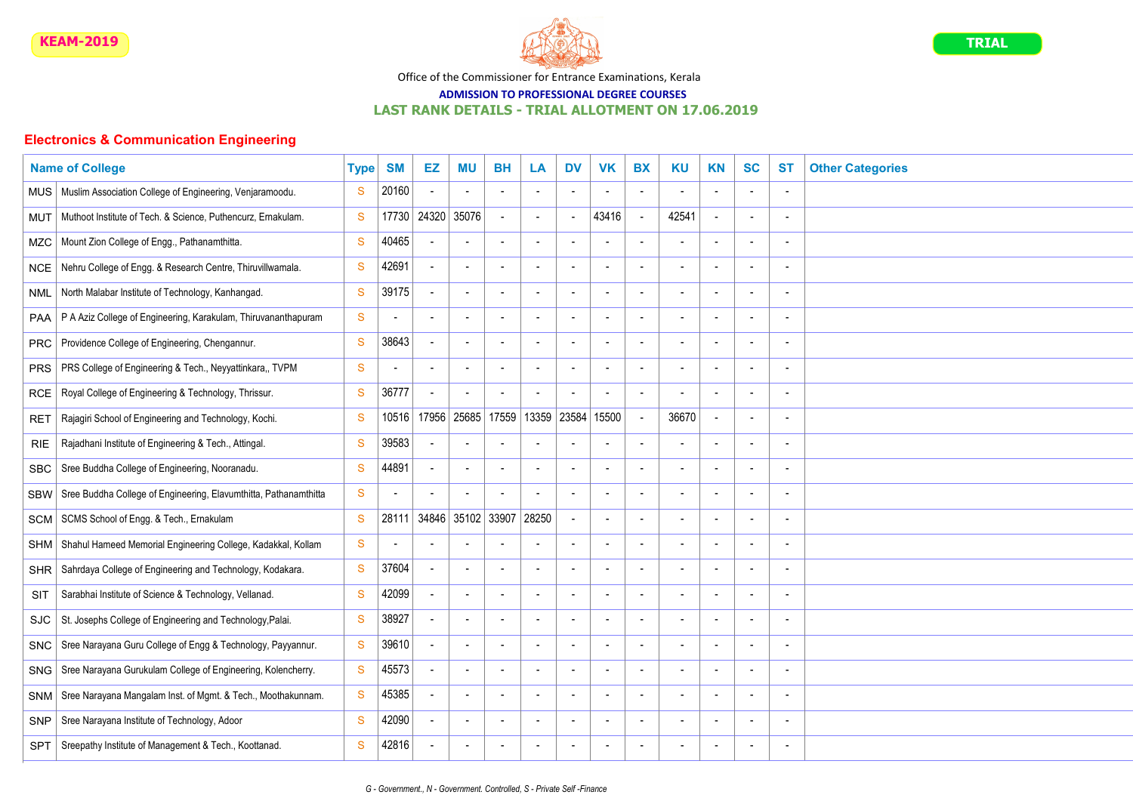

# ADMISSION TO PROFESSIONAL DEGREE COURSES

## LAST RANK DETAILS - TRIAL ALLOTMENT ON 17.06.2019

|            | <b>Name of College</b>                                           | <b>Type</b>  | <b>SM</b>                | EZ                       | ΜU                       | <b>BH</b>                | LA                       | <b>DV</b>                | <b>VK</b>                | <b>BX</b>                | <b>KU</b>                | <b>KN</b>                | <b>SC</b>                | <b>ST</b> | <b>Other Categories</b> |
|------------|------------------------------------------------------------------|--------------|--------------------------|--------------------------|--------------------------|--------------------------|--------------------------|--------------------------|--------------------------|--------------------------|--------------------------|--------------------------|--------------------------|-----------|-------------------------|
| <b>MUS</b> | Muslim Association College of Engineering, Venjaramoodu.         | S            | 20160                    |                          |                          | $\overline{\phantom{a}}$ |                          | $\overline{a}$           |                          |                          |                          |                          | $\blacksquare$           |           |                         |
| MUT        | Muthoot Institute of Tech. & Science, Puthencurz, Ernakulam.     | S            | 17730                    | 24320                    | 35076                    | $\sim$                   | $\overline{\phantom{a}}$ | $\sim$                   | 43416                    |                          | 42541                    |                          | $\sim$                   |           |                         |
| <b>MZC</b> | Mount Zion College of Engg., Pathanamthitta.                     | S            | 40465                    | $\overline{\phantom{a}}$ | $\overline{\phantom{a}}$ | $\overline{\phantom{a}}$ | $\overline{\phantom{a}}$ | $\overline{\phantom{a}}$ | $\overline{\phantom{a}}$ | $\overline{\phantom{a}}$ | $\overline{\phantom{a}}$ |                          | $\overline{\phantom{a}}$ |           |                         |
| <b>NCE</b> | Nehru College of Engg. & Research Centre, Thiruvillwamala.       | $\mathbf{s}$ | 42691                    |                          |                          | $\blacksquare$           |                          | $\sim$                   |                          |                          | $\blacksquare$           |                          | $\blacksquare$           |           |                         |
| NML        | North Malabar Institute of Technology, Kanhangad.                | S            | 39175                    |                          |                          | $\overline{a}$           | ۰.                       | $\overline{\phantom{a}}$ |                          | ۰.                       |                          |                          | $\overline{\phantom{a}}$ |           |                         |
| <b>PAA</b> | P A Aziz College of Engineering, Karakulam, Thiruvananthapuram   | S            | $\overline{\phantom{a}}$ |                          |                          | $\blacksquare$           |                          | $\overline{\phantom{a}}$ |                          |                          |                          |                          | $\overline{a}$           |           |                         |
| <b>PRC</b> | Providence College of Engineering, Chengannur.                   | S            | 38643                    |                          | $\sim$                   | $\blacksquare$           | $\overline{\phantom{a}}$ | $\sim$                   | $\blacksquare$           |                          | $\overline{a}$           |                          | $\overline{a}$           |           |                         |
| <b>PRS</b> | PRS College of Engineering & Tech., Neyyattinkara,, TVPM         | S            | $\overline{a}$           |                          | $\overline{\phantom{a}}$ | $\blacksquare$           |                          | $\blacksquare$           | $\overline{a}$           |                          | $\overline{\phantom{a}}$ |                          | $\overline{\phantom{a}}$ |           |                         |
| <b>RCE</b> | Royal College of Engineering & Technology, Thrissur.             | S            | 36777                    |                          | $\overline{\phantom{a}}$ | $\overline{\phantom{a}}$ | $\overline{\phantom{a}}$ | $\blacksquare$           | $\overline{a}$           | $\overline{a}$           | $\overline{a}$           | $\overline{\phantom{a}}$ | $\overline{\phantom{a}}$ |           |                         |
| <b>RET</b> | Rajagiri School of Engineering and Technology, Kochi.            | S            | 10516                    | 17956                    | 25685                    | 17559                    | 13359                    | 23584                    | 15500                    |                          | 36670                    |                          | $\blacksquare$           |           |                         |
| <b>RIE</b> | Rajadhani Institute of Engineering & Tech., Attingal.            | S            | 39583                    |                          |                          | $\sim$                   |                          | $\blacksquare$           | Ĭ.                       |                          |                          |                          | $\overline{a}$           |           |                         |
| <b>SBC</b> | Sree Buddha College of Engineering, Nooranadu.                   | S            | 44891                    |                          | $\overline{\phantom{a}}$ | $\sim$                   | $\overline{\phantom{a}}$ | $\blacksquare$           | $\blacksquare$           | $\overline{\phantom{a}}$ | $\sim$                   |                          | $\overline{a}$           |           |                         |
| <b>SBW</b> | Sree Buddha College of Engineering, Elavumthitta, Pathanamthitta | S            | $\overline{a}$           |                          |                          | $\blacksquare$           |                          | $\sim$                   | $\blacksquare$           | $\overline{\phantom{a}}$ | $\blacksquare$           |                          | $\blacksquare$           |           |                         |
| <b>SCM</b> | SCMS School of Engg. & Tech., Ernakulam                          | S            | 28111                    | 34846                    | 35102                    | 33907                    | 28250                    | $\overline{a}$           | $\overline{a}$           |                          | $\overline{a}$           |                          | $\sim$                   |           |                         |
| <b>SHM</b> | Shahul Hameed Memorial Engineering College, Kadakkal, Kollam     | S            | $\blacksquare$           |                          |                          |                          | $\overline{\phantom{a}}$ | $\sim$                   | L.                       | $\overline{\phantom{a}}$ | $\overline{\phantom{a}}$ |                          | $\blacksquare$           |           |                         |
| <b>SHR</b> | Sahrdaya College of Engineering and Technology, Kodakara.        | S            | 37604                    |                          | $\sim$                   | $\blacksquare$           | $\overline{\phantom{a}}$ | $\blacksquare$           | ÷,                       | $\overline{\phantom{a}}$ | $\blacksquare$           |                          | $\blacksquare$           |           |                         |
| SIT        | Sarabhai Institute of Science & Technology, Vellanad.            | S            | 42099                    |                          | $\blacksquare$           | $\sim$                   | $\overline{\phantom{a}}$ | $\sim$                   | L.                       |                          | $\blacksquare$           |                          | $\blacksquare$           |           |                         |
| <b>SJC</b> | St. Josephs College of Engineering and Technology, Palai.        | S            | 38927                    | $\overline{a}$           | $\overline{\phantom{a}}$ | $\overline{\phantom{a}}$ | $\overline{\phantom{a}}$ | $\overline{\phantom{a}}$ | $\overline{\phantom{a}}$ | $\overline{\phantom{a}}$ | $\overline{\phantom{a}}$ |                          | $\overline{\phantom{a}}$ |           |                         |
| <b>SNC</b> | Sree Narayana Guru College of Engg & Technology, Payyannur.      | S            | 39610                    | $\overline{\phantom{a}}$ | $\blacksquare$           | $\blacksquare$           | $\overline{\phantom{a}}$ | $\overline{\phantom{a}}$ | $\overline{\phantom{a}}$ | $\overline{a}$           | $\overline{\phantom{a}}$ | $\overline{\phantom{a}}$ | $\overline{\phantom{a}}$ |           |                         |
| <b>SNG</b> | Sree Narayana Gurukulam College of Engineering, Kolencherry.     | S            | 45573                    |                          | $\sim$                   | $\blacksquare$           | $\blacksquare$           | $\blacksquare$           | $\blacksquare$           | $\overline{\phantom{a}}$ | $\overline{a}$           |                          | $\blacksquare$           |           |                         |
| <b>SNM</b> | Sree Narayana Mangalam Inst. of Mgmt. & Tech., Moothakunnam.     | S            | 45385                    |                          | $\blacksquare$           | $\blacksquare$           | $\overline{a}$           | $\blacksquare$           | ÷,                       |                          | $\overline{a}$           |                          | $\overline{\phantom{a}}$ |           |                         |
| <b>SNP</b> | Sree Narayana Institute of Technology, Adoor                     | S            | 42090                    |                          | $\blacksquare$           | $\blacksquare$           | $\overline{\phantom{a}}$ | $\sim$                   | $\blacksquare$           | $\overline{\phantom{a}}$ | $\overline{\phantom{a}}$ | $\overline{\phantom{a}}$ | $\overline{a}$           |           |                         |
| <b>SPT</b> | Sreepathy Institute of Management & Tech., Koottanad.            | S            | 42816                    |                          |                          | $\blacksquare$           |                          | $\blacksquare$           | $\blacksquare$           | $\overline{\phantom{a}}$ | $\overline{\phantom{a}}$ |                          | $\overline{a}$           |           |                         |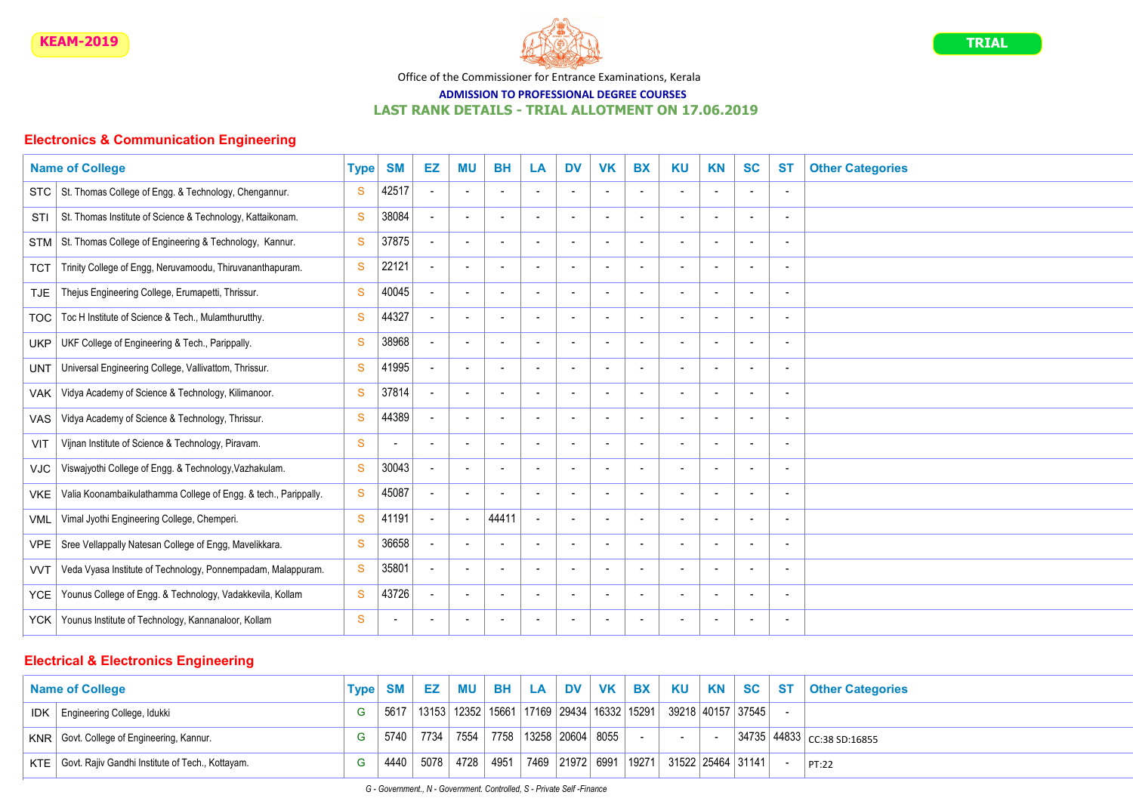

# ADMISSION TO PROFESSIONAL DEGREE COURSES

## LAST RANK DETAILS - TRIAL ALLOTMENT ON 17.06.2019

## Electronics & Communication Engineering

|            | <b>Name of College</b>                                          | <b>Type</b>  | <b>SM</b>                | EZ                       | <b>MU</b>                | <b>BH</b>                | LA                       | <b>DV</b>                | <b>VK</b>                | <b>BX</b>                | <b>KU</b>                | <b>KN</b>                | <b>SC</b>                | <b>ST</b>                | <b>Other Categories</b> |
|------------|-----------------------------------------------------------------|--------------|--------------------------|--------------------------|--------------------------|--------------------------|--------------------------|--------------------------|--------------------------|--------------------------|--------------------------|--------------------------|--------------------------|--------------------------|-------------------------|
| STC        | St. Thomas College of Engg. & Technology, Chengannur.           | S            | 42517                    | $\blacksquare$           | $\sim$                   | $\overline{\phantom{a}}$ | $\sim$                   | $\overline{\phantom{a}}$ | $\overline{\phantom{a}}$ | $\overline{\phantom{a}}$ | $\blacksquare$           | $\sim$                   | $\overline{\phantom{a}}$ | $\overline{\phantom{a}}$ |                         |
| STI        | St. Thomas Institute of Science & Technology, Kattaikonam.      | S            | 38084                    | $\overline{\phantom{a}}$ | $\overline{\phantom{a}}$ | $\overline{\phantom{a}}$ | $\overline{\phantom{a}}$ | $\overline{\phantom{a}}$ | $\blacksquare$           | $\overline{\phantom{a}}$ | $\blacksquare$           | $\overline{\phantom{a}}$ | $\overline{\phantom{a}}$ | -                        |                         |
| <b>STM</b> | St. Thomas College of Engineering & Technology, Kannur.         | <sub>S</sub> | 37875                    | $\blacksquare$           | $\overline{\phantom{a}}$ | $\overline{\phantom{a}}$ | $\overline{\phantom{a}}$ | $\overline{\phantom{a}}$ | $\overline{\phantom{a}}$ | $\overline{\phantom{a}}$ | $\blacksquare$           | $\overline{\phantom{a}}$ | $\overline{\phantom{a}}$ |                          |                         |
| <b>TCT</b> | Trinity College of Engg, Neruvamoodu, Thiruvananthapuram.       | <sub>S</sub> | 22121                    |                          | $\overline{\phantom{a}}$ | $\overline{\phantom{a}}$ | $\overline{\phantom{a}}$ | $\overline{\phantom{a}}$ | $\overline{\phantom{a}}$ | $\overline{\phantom{a}}$ | $\overline{\phantom{a}}$ | $\overline{\phantom{a}}$ | $\overline{\phantom{a}}$ |                          |                         |
| <b>TJE</b> | Thejus Engineering College, Erumapetti, Thrissur.               | S            | 40045                    |                          | $\sim$                   | $\overline{\phantom{a}}$ | $\overline{\phantom{a}}$ | $\overline{\phantom{a}}$ | $\overline{\phantom{a}}$ | $\overline{\phantom{a}}$ | $\overline{\phantom{a}}$ | $\overline{\phantom{a}}$ | $\overline{\phantom{a}}$ | $\overline{\phantom{a}}$ |                         |
| <b>TOC</b> | Toc H Institute of Science & Tech., Mulamthurutthy.             | S            | 44327                    | $\blacksquare$           | $\blacksquare$           | $\overline{\phantom{a}}$ | $\overline{\phantom{a}}$ | $\overline{\phantom{a}}$ | $\overline{\phantom{a}}$ | $\overline{\phantom{a}}$ | $\overline{\phantom{a}}$ | $\overline{\phantom{a}}$ | $\overline{\phantom{a}}$ | $\overline{\phantom{a}}$ |                         |
| <b>UKP</b> | UKF College of Engineering & Tech., Parippally.                 | <sub>S</sub> | 38968                    | $\blacksquare$           | $\sim$                   | $\overline{\phantom{a}}$ | $\overline{\phantom{a}}$ | $\overline{\phantom{a}}$ | $\overline{\phantom{a}}$ | $\overline{\phantom{a}}$ | $\overline{\phantom{a}}$ | $\overline{\phantom{a}}$ | $\overline{\phantom{a}}$ | $\overline{\phantom{a}}$ |                         |
| <b>UNT</b> | Universal Engineering College, Vallivattom, Thrissur.           | <sub>S</sub> | 41995                    |                          | $\overline{\phantom{a}}$ | $\overline{\phantom{a}}$ | $\overline{\phantom{a}}$ | $\overline{\phantom{a}}$ | $\overline{\phantom{a}}$ |                          | $\overline{\phantom{a}}$ |                          | $\blacksquare$           |                          |                         |
| <b>VAK</b> | Vidya Academy of Science & Technology, Kilimanoor.              | <sub>S</sub> | 37814                    |                          |                          | $\overline{\phantom{a}}$ |                          | $\blacksquare$           |                          |                          | $\overline{\phantom{a}}$ |                          | $\blacksquare$           |                          |                         |
| <b>VAS</b> | Vidya Academy of Science & Technology, Thrissur.                | S            | 44389                    |                          |                          | $\overline{\phantom{a}}$ |                          | $\blacksquare$           |                          | -                        |                          |                          | $\blacksquare$           |                          |                         |
| <b>VIT</b> | Vijnan Institute of Science & Technology, Piravam.              | S            | $\blacksquare$           | $\overline{\phantom{a}}$ | $\overline{\phantom{a}}$ | $\overline{\phantom{a}}$ | $\overline{\phantom{a}}$ | $\overline{\phantom{a}}$ | $\blacksquare$           | $\overline{\phantom{a}}$ | $\overline{\phantom{a}}$ | -                        | $\overline{\phantom{a}}$ | -                        |                         |
| <b>VJC</b> | Viswajyothi College of Engg. & Technology, Vazhakulam.          | S            | 30043                    | $\overline{\phantom{a}}$ | $\overline{\phantom{a}}$ | $\overline{\phantom{a}}$ | $\overline{\phantom{a}}$ | $\overline{\phantom{a}}$ | $\overline{\phantom{a}}$ | $\overline{\phantom{a}}$ | $\blacksquare$           |                          | $\overline{\phantom{a}}$ | $\overline{\phantom{a}}$ |                         |
| <b>VKE</b> | Valia Koonambaikulathamma College of Engg. & tech., Parippally. | S            | 45087                    | $\overline{\phantom{a}}$ | $\sim$                   | $\overline{\phantom{a}}$ | $\overline{\phantom{a}}$ | $\overline{\phantom{a}}$ | $\overline{\phantom{a}}$ | $\overline{\phantom{a}}$ | $\blacksquare$           | $\overline{\phantom{a}}$ | $\overline{\phantom{a}}$ | $\overline{\phantom{a}}$ |                         |
| <b>VML</b> | Vimal Jyothi Engineering College, Chemperi.                     | <sub>S</sub> | 41191                    | $\overline{\phantom{a}}$ | $\overline{\phantom{a}}$ | 44411                    | $\overline{\phantom{a}}$ | $\overline{\phantom{a}}$ | $\overline{\phantom{a}}$ | $\overline{\phantom{a}}$ | $\overline{\phantom{a}}$ | $\overline{\phantom{a}}$ | $\overline{\phantom{a}}$ | $\overline{\phantom{a}}$ |                         |
| <b>VPE</b> | Sree Vellappally Natesan College of Engg, Mavelikkara.          | <sub>S</sub> | 36658                    | $\overline{\phantom{a}}$ | $\overline{\phantom{a}}$ | $\overline{\phantom{a}}$ | $\overline{\phantom{a}}$ | $\overline{\phantom{a}}$ | $\overline{\phantom{a}}$ | $\overline{\phantom{a}}$ | $\overline{\phantom{a}}$ |                          | $\overline{\phantom{a}}$ |                          |                         |
| <b>VVT</b> | Veda Vyasa Institute of Technology, Ponnempadam, Malappuram.    | S            | 35801                    | $\blacksquare$           | $\sim$                   | $\overline{\phantom{a}}$ | $\overline{\phantom{a}}$ | $\overline{\phantom{a}}$ | $\overline{\phantom{a}}$ | $\overline{\phantom{a}}$ | $\overline{\phantom{a}}$ | $\overline{\phantom{a}}$ | $\overline{\phantom{a}}$ | $\overline{\phantom{a}}$ |                         |
| <b>YCE</b> | Younus College of Engg. & Technology, Vadakkevila, Kollam       | S            | 43726                    |                          | $\overline{\phantom{a}}$ | $\overline{\phantom{a}}$ | $\overline{\phantom{a}}$ | $\overline{\phantom{a}}$ | $\overline{\phantom{a}}$ | $\overline{\phantom{a}}$ | $\overline{\phantom{a}}$ | $\overline{\phantom{a}}$ | $\overline{\phantom{a}}$ | $\overline{\phantom{a}}$ |                         |
| <b>YCK</b> | Younus Institute of Technology, Kannanaloor, Kollam             | S            | $\overline{\phantom{a}}$ | $\overline{\phantom{a}}$ | $\overline{\phantom{a}}$ | $\overline{\phantom{a}}$ |                          | $\overline{\phantom{a}}$ | $\overline{\phantom{a}}$ | -                        | $\overline{\phantom{a}}$ |                          | $\overline{\phantom{a}}$ | $\overline{\phantom{a}}$ |                         |

|     | <b>Name of College</b>                                 | <b>Type SM</b> |      |      | EZ MU BH LA DV                     |  |  | VK BX KU                                                                        | <b>KN</b> | SC ST | <b>Other Categories</b>                 |
|-----|--------------------------------------------------------|----------------|------|------|------------------------------------|--|--|---------------------------------------------------------------------------------|-----------|-------|-----------------------------------------|
| IDK | Engineering College, Idukki                            |                | 5617 |      |                                    |  |  | 13153   12352   15661   17169   29434   16332   15291     39218   40157   37545 |           |       |                                         |
|     | KNR   Govt. College of Engineering, Kannur.            |                | 5740 | 7734 | 7554   7758   13258   20604   8055 |  |  | $\sim$                                                                          |           |       | $ 34735 44833 _{\text{CC}:38}$ SD:16855 |
|     | KTE   Govt. Rajiv Gandhi Institute of Tech., Kottayam. |                | 4440 | 5078 | 4728 4951                          |  |  | 7469   21972   6991   19271   31522   25464   31141                             |           |       | PT:22                                   |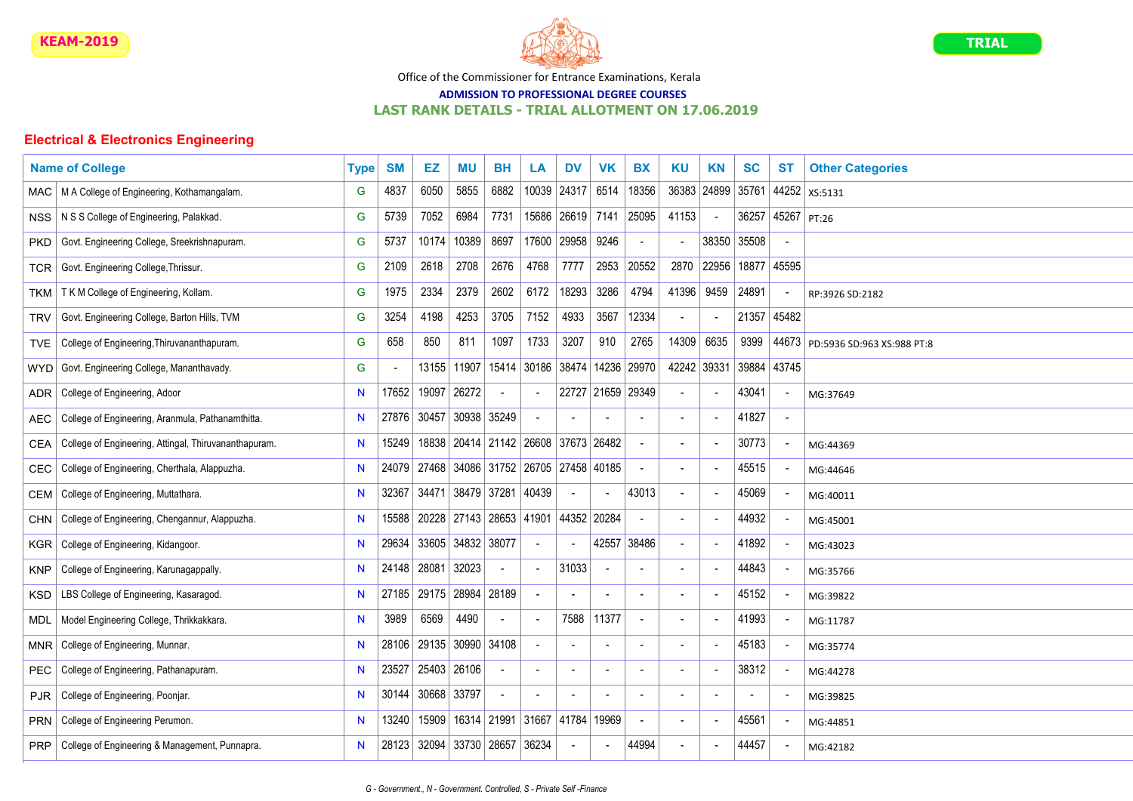

#### ADMISSION TO PROFESSIONAL DEGREE COURSES

#### LAST RANK DETAILS - TRIAL ALLOTMENT ON 17.06.2019

|            | <b>Name of College</b>                                | <b>Type</b> | <b>SM</b>                | EZ          | ΜU                | <b>BH</b>                | LA                            | <b>DV</b>      | <b>VK</b>   | <b>BX</b>      | <b>KU</b>   | <b>KN</b> | <b>SC</b> | <b>ST</b> | <b>Other Categories</b>    |
|------------|-------------------------------------------------------|-------------|--------------------------|-------------|-------------------|--------------------------|-------------------------------|----------------|-------------|----------------|-------------|-----------|-----------|-----------|----------------------------|
|            | MAC   M A College of Engineering, Kothamangalam.      | G           | 4837                     | 6050        | 5855              | 6882                     | 10039 24317                   |                | 6514        | 18356          | 36383       | 24899     | 35761     | 44252     | XS:5131                    |
| NSS        | N S S College of Engineering, Palakkad.               | G           | 5739                     | 7052        | 6984              | 7731                     | 15686 26619                   |                | 7141        | 25095          | 41153       |           | 36257     |           | 45267 PT:26                |
| <b>PKD</b> | Govt. Engineering College, Sreekrishnapuram.          | G           | 5737                     | 10174       | 10389             | 8697                     | 17600                         | 29958          | 9246        |                |             | 38350     | 35508     |           |                            |
| <b>TCR</b> | Govt. Engineering College, Thrissur.                  | G           | 2109                     | 2618        | 2708              | 2676                     | 4768                          | 7777           | 2953        | 20552          | 2870        | 22956     | 18877     | 45595     |                            |
| TKM        | T K M College of Engineering, Kollam.                 | G           | 1975                     | 2334        | 2379              | 2602                     | 6172                          | 18293          | 3286        | 4794           | 41396       | 9459      | 24891     |           | RP:3926 SD:2182            |
| TRV        | Govt. Engineering College, Barton Hills, TVM          | G           | 3254                     | 4198        | 4253              | 3705                     | 7152                          | 4933           | 3567        | 12334          |             |           | 21357     | 45482     |                            |
| TVE        | College of Engineering, Thiruvananthapuram.           | G           | 658                      | 850         | 811               | 1097                     | 1733                          | 3207           | 910         | 2765           | 14309       | 6635      | 9399      | 44673     | PD:5936 SD:963 XS:988 PT:8 |
| <b>WYD</b> | Govt. Engineering College, Mananthavady.              | G           | $\overline{\phantom{a}}$ | 13155       | 11907             | 15414                    | 30186                         | 38474          | 14236       | 29970          | 42242 39331 |           | 39884     | 43745     |                            |
| <b>ADR</b> | College of Engineering, Adoor                         | N           | 17652                    | 19097       | 26272             |                          |                               | 22727          | 21659       | 29349          |             |           | 43041     |           | MG:37649                   |
| <b>AEC</b> | College of Engineering, Aranmula, Pathanamthitta.     | N           | 27876                    | 30457       | 30938             | 35249                    |                               |                |             |                |             |           | 41827     |           |                            |
| CEA        | College of Engineering, Attingal, Thiruvananthapuram. | N.          | 15249                    | 18838       | 20414             |                          | 21142 26608 37673             |                | 26482       | $\sim$         |             |           | 30773     |           | MG:44369                   |
| <b>CEC</b> | College of Engineering, Cherthala, Alappuzha.         | N.          | 24079                    | 27468       |                   |                          | 34086 31752 26705 27458 40185 |                |             |                |             |           | 45515     |           | MG:44646                   |
| CEM        | College of Engineering, Muttathara.                   | N           | 32367                    | 34471       |                   | 38479 37281 40439        |                               | $\overline{a}$ |             | 43013          |             |           | 45069     |           | MG:40011                   |
| CHN        | College of Engineering, Chengannur, Alappuzha.        | N           | 15588                    | 20228 27143 |                   |                          | 28653 41901                   |                | 44352 20284 |                |             |           | 44932     |           | MG:45001                   |
| KGR.       | College of Engineering, Kidangoor.                    | N           | 29634                    | 33605       | 34832             | 38077                    |                               | $\overline{a}$ | 42557       | 38486          |             |           | 41892     |           | MG:43023                   |
| KNP.       | College of Engineering, Karunagappally.               | N.          | 24148                    | 28081       | 32023             | $\overline{\phantom{a}}$ |                               | 31033          |             |                |             |           | 44843     |           | MG:35766                   |
| KSD.       | LBS College of Engineering, Kasaragod.                | N           | 27185                    | 29175       | 28984             | 28189                    |                               | $\blacksquare$ |             |                |             |           | 45152     |           | MG:39822                   |
| MDL        | Model Engineering College, Thrikkakkara.              | N           | 3989                     | 6569        | 4490              | $\sim$                   |                               | 7588           | 11377       | $\overline{a}$ |             |           | 41993     |           | MG:11787                   |
| MNR.       | College of Engineering, Munnar.                       | N           | 28106                    | 29135       | 30990             | 34108                    |                               | $\blacksquare$ |             |                |             |           | 45183     |           | MG:35774                   |
| <b>PEC</b> | College of Engineering, Pathanapuram.                 | N           | 23527                    | 25403       | 26106             | $\overline{\phantom{a}}$ |                               | $\blacksquare$ |             |                |             |           | 38312     |           | MG:44278                   |
| PJR        | College of Engineering, Poonjar.                      | N           | 30144                    | 30668       | 33797             | $\overline{\phantom{a}}$ |                               | $\blacksquare$ |             |                |             |           |           |           | MG:39825                   |
| <b>PRN</b> | College of Engineering Perumon.                       | N           | 13240                    | 15909       | 16314             | 21991                    | 31667 41784                   |                | 19969       |                |             |           | 45561     |           | MG:44851                   |
| <b>PRP</b> | College of Engineering & Management, Punnapra.        | N           | 28123                    | 32094       | 33730 28657 36234 |                          |                               |                |             | 44994          |             |           | 44457     |           | MG:42182                   |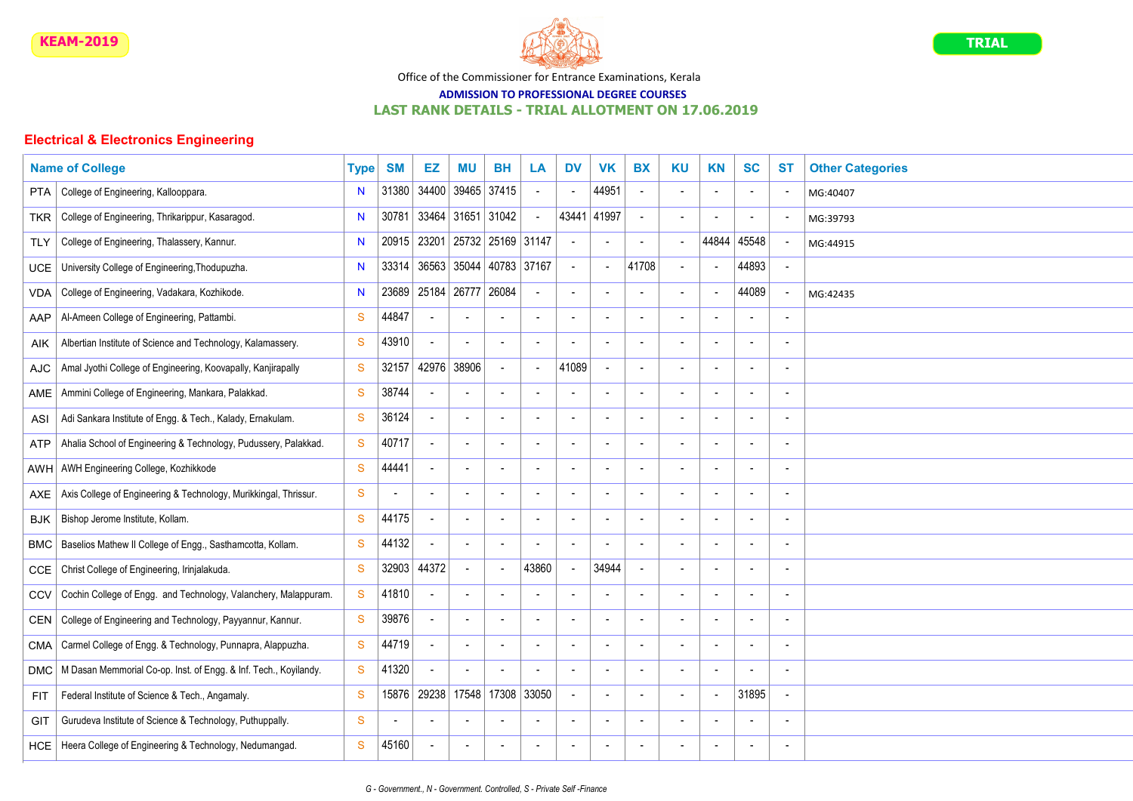

## ADMISSION TO PROFESSIONAL DEGREE COURSES

## LAST RANK DETAILS - TRIAL ALLOTMENT ON 17.06.2019

|            | <b>Name of College</b>                                           | <b>Type</b>   | <b>SM</b>      | EZ    | ΜU                       | <b>BH</b>                | LA                       | <b>DV</b>                | <b>VK</b>                | <b>BX</b> | <b>KU</b>                | <b>KN</b>                | <b>SC</b>                | <b>ST</b>                | <b>Other Categories</b> |
|------------|------------------------------------------------------------------|---------------|----------------|-------|--------------------------|--------------------------|--------------------------|--------------------------|--------------------------|-----------|--------------------------|--------------------------|--------------------------|--------------------------|-------------------------|
| <b>PTA</b> | College of Engineering, Kallooppara.                             | N             | 31380          | 34400 | 39465                    | 37415                    |                          | $\overline{a}$           | 44951                    |           |                          |                          | $\blacksquare$           | $\overline{\phantom{a}}$ | MG:40407                |
| <b>TKR</b> | College of Engineering, Thrikarippur, Kasaragod.                 | N             | 30781          | 33464 | 31651                    | 31042                    |                          | 43441                    | 41997                    |           |                          |                          | $\sim$                   |                          | MG:39793                |
| TLY        | College of Engineering, Thalassery, Kannur.                      | N             | 20915          | 23201 | 25732                    | 25169 31147              |                          | $\blacksquare$           |                          |           |                          | 44844                    | 45548                    |                          | MG:44915                |
| UCE        | University College of Engineering, Thodupuzha.                   | N             | 33314          | 36563 | 35044                    | 40783 37167              |                          | $\sim$                   |                          | 41708     |                          |                          | 44893                    |                          |                         |
| VDA        | College of Engineering, Vadakara, Kozhikode.                     | N             | 23689          | 25184 | 26777                    | 26084                    |                          | $\sim$                   |                          |           |                          |                          | 44089                    |                          | MG:42435                |
| AAP        | Al-Ameen College of Engineering, Pattambi.                       | S             | 44847          |       |                          | $\overline{\phantom{a}}$ |                          | ÷.                       |                          |           |                          |                          | $\overline{a}$           |                          |                         |
| AIK        | Albertian Institute of Science and Technology, Kalamassery.      | $\mathbf{s}$  | 43910          |       |                          | $\overline{\phantom{a}}$ |                          | $\overline{a}$           | $\overline{a}$           |           |                          |                          | $\blacksquare$           |                          |                         |
| <b>AJC</b> | Amal Jyothi College of Engineering, Koovapally, Kanjirapally     | S             | 32157          | 42976 | 38906                    | $\blacksquare$           |                          | 41089                    |                          |           | $\overline{\phantom{a}}$ |                          | $\blacksquare$           | $\blacksquare$           |                         |
| AME        | Ammini College of Engineering, Mankara, Palakkad.                | S             | 38744          |       |                          | $\blacksquare$           |                          | $\blacksquare$           |                          |           |                          | $\overline{a}$           | $\overline{a}$           |                          |                         |
| ASI        | Adi Sankara Institute of Engg. & Tech., Kalady, Ernakulam.       | $\mathbf{s}$  | 36124          |       |                          | $\blacksquare$           |                          | $\blacksquare$           |                          |           |                          |                          | $\overline{a}$           |                          |                         |
| <b>ATP</b> | Ahalia School of Engineering & Technology, Pudussery, Palakkad.  | S             | 40717          |       |                          | $\sim$                   | $\overline{\phantom{a}}$ | $\sim$                   | $\overline{\phantom{a}}$ |           |                          | $\overline{a}$           | $\overline{\phantom{a}}$ |                          |                         |
| AWH        | AWH Engineering College, Kozhikkode                              | ${\mathbf S}$ | 44441          |       |                          | $\blacksquare$           |                          | $\overline{a}$           |                          |           |                          |                          | $\overline{a}$           |                          |                         |
| <b>AXE</b> | Axis College of Engineering & Technology, Murikkingal, Thrissur. | S             | $\blacksquare$ |       |                          | $\sim$                   |                          | $\overline{a}$           | <b>-</b>                 |           |                          |                          | $\overline{a}$           |                          |                         |
| <b>BJK</b> | Bishop Jerome Institute, Kollam.                                 | S             | 44175          |       |                          | ÷,                       |                          | $\blacksquare$           |                          |           |                          |                          | $\blacksquare$           |                          |                         |
| BMC        | Baselios Mathew II College of Engg., Sasthamcotta, Kollam.       | $\mathbf{s}$  | 44132          |       |                          | ÷,                       |                          | $\overline{a}$           |                          |           |                          |                          | $\overline{a}$           |                          |                         |
| <b>CCE</b> | Christ College of Engineering, Irinjalakuda.                     | S             | 32903          | 44372 | $\sim$                   | $\sim$                   | 43860                    | $\sim$                   | 34944                    |           | $\overline{\phantom{a}}$ | $\overline{a}$           | $\overline{a}$           | ٠                        |                         |
| CCV        | Cochin College of Engg. and Technology, Valanchery, Malappuram.  | ${\mathbf S}$ | 41810          |       | $\overline{\phantom{a}}$ | $\overline{\phantom{a}}$ |                          | $\overline{\phantom{a}}$ | $\overline{\phantom{a}}$ |           | $\sim$                   |                          | $\blacksquare$           |                          |                         |
| <b>CEN</b> | College of Engineering and Technology, Payyannur, Kannur.        | S             | 39876          |       |                          | $\overline{\phantom{a}}$ | $\overline{\phantom{a}}$ | $\blacksquare$           | $\overline{\phantom{a}}$ |           |                          | $\overline{\phantom{a}}$ | $\blacksquare$           |                          |                         |
| CMA        | Carmel College of Engg. & Technology, Punnapra, Alappuzha.       | S             | 44719          |       |                          | $\blacksquare$           |                          | $\blacksquare$           |                          |           |                          |                          | $\blacksquare$           |                          |                         |
| <b>DMC</b> | M Dasan Memmorial Co-op. Inst. of Engg. & Inf. Tech., Koyilandy. | S             | 41320          |       |                          | $\sim$                   |                          | $\overline{a}$           | $\overline{\phantom{a}}$ |           |                          |                          | $\overline{a}$           |                          |                         |
| FIT        | Federal Institute of Science & Tech., Angamaly.                  | S             | 15876          | 29238 | 17548                    | 17308 33050              |                          | $\overline{a}$           | $\overline{\phantom{a}}$ |           | $\overline{\phantom{a}}$ | $\overline{\phantom{a}}$ | 31895                    | $\blacksquare$           |                         |
| GIT        | Gurudeva Institute of Science & Technology, Puthuppally.         | S             |                |       |                          | $\blacksquare$           |                          | $\sim$                   | $\overline{\phantom{a}}$ |           |                          |                          | $\overline{\phantom{a}}$ |                          |                         |
| HCE.       | Heera College of Engineering & Technology, Nedumangad.           | S             | 45160          |       |                          | L.                       |                          | $\overline{a}$           |                          |           |                          |                          | $\overline{a}$           |                          |                         |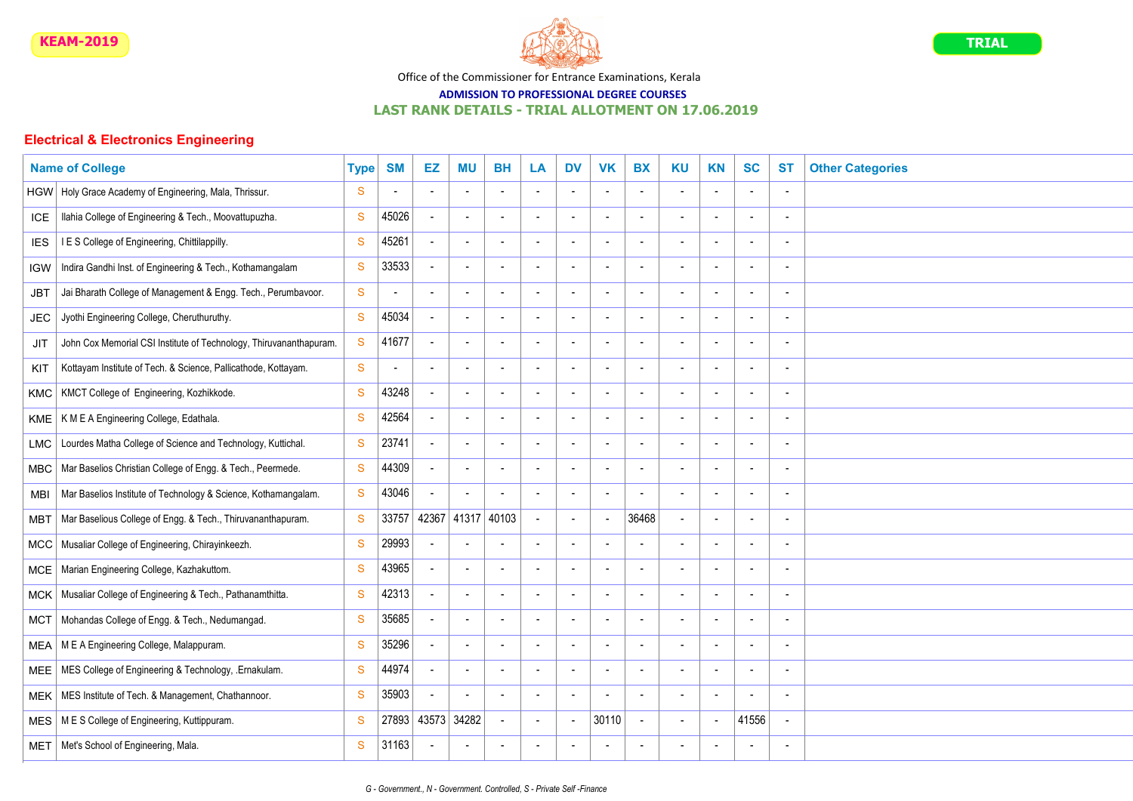

# ADMISSION TO PROFESSIONAL DEGREE COURSES

## LAST RANK DETAILS - TRIAL ALLOTMENT ON 17.06.2019

|            | <b>Name of College</b>                                             | <b>Type</b>   | <b>SM</b>                | EZ             | <b>MU</b>                | <b>BH</b>                | LA                       | <b>DV</b>                | <b>VK</b>                | <b>BX</b>                | <b>KU</b>                | <b>KN</b>                | <b>SC</b>                | <b>ST</b>                | <b>Other Categories</b> |
|------------|--------------------------------------------------------------------|---------------|--------------------------|----------------|--------------------------|--------------------------|--------------------------|--------------------------|--------------------------|--------------------------|--------------------------|--------------------------|--------------------------|--------------------------|-------------------------|
| HGW        | Holy Grace Academy of Engineering, Mala, Thrissur.                 | S             | $\overline{a}$           |                |                          | $\blacksquare$           | $\overline{\phantom{a}}$ | $\overline{\phantom{a}}$ | ٠                        | $\overline{a}$           | $\overline{a}$           |                          | $\overline{\phantom{a}}$ |                          |                         |
| ICE        | Ilahia College of Engineering & Tech., Moovattupuzha.              | S             | 45026                    |                | $\overline{\phantom{a}}$ | $\sim$                   | $\blacksquare$           | $\blacksquare$           | $\sim$                   | $\overline{\phantom{a}}$ | $\overline{a}$           | $\overline{\phantom{a}}$ | $\blacksquare$           |                          |                         |
| <b>IES</b> | I E S College of Engineering, Chittilappilly.                      | S             | 45261                    | $\blacksquare$ | $\blacksquare$           | $\sim$                   | $\overline{\phantom{a}}$ | $\blacksquare$           | $\blacksquare$           | $\overline{a}$           | $\blacksquare$           | $\overline{a}$           | $\overline{\phantom{a}}$ |                          |                         |
| <b>IGW</b> | Indira Gandhi Inst. of Engineering & Tech., Kothamangalam          | S             | 33533                    |                |                          | $\overline{\phantom{a}}$ | $\overline{a}$           | $\overline{\phantom{a}}$ |                          | $\overline{a}$           | $\blacksquare$           | $\overline{\phantom{a}}$ | $\overline{\phantom{a}}$ |                          |                         |
| JBT        | Jai Bharath College of Management & Engg. Tech., Perumbavoor.      | ${\mathbf S}$ | $\overline{\phantom{a}}$ |                |                          | $\overline{\phantom{a}}$ | $\overline{a}$           | $\overline{\phantom{a}}$ |                          |                          |                          |                          | $\overline{\phantom{a}}$ |                          |                         |
| <b>JEC</b> | Jyothi Engineering College, Cheruthuruthy.                         | S             | 45034                    |                | $\blacksquare$           | $\blacksquare$           | $\overline{\phantom{a}}$ | $\blacksquare$           | ÷,                       | $\overline{\phantom{a}}$ | $\blacksquare$           |                          | $\overline{\phantom{a}}$ |                          |                         |
| <b>JIT</b> | John Cox Memorial CSI Institute of Technology, Thiruvananthapuram. | S             | 41677                    | $\overline{a}$ | $\blacksquare$           | $\sim$                   | $\blacksquare$           | $\sim$                   | $\sim$                   | $\overline{\phantom{a}}$ | $\sim$                   | $\overline{\phantom{a}}$ | $\sim$                   |                          |                         |
| KIT        | Kottayam Institute of Tech. & Science, Pallicathode, Kottayam.     | S             | $\blacksquare$           |                | $\blacksquare$           | $\sim$                   | $\blacksquare$           | $\sim$                   | $\sim$                   | $\overline{\phantom{a}}$ | $\overline{a}$           | $\overline{\phantom{a}}$ | $\blacksquare$           |                          |                         |
| <b>KMC</b> | KMCT College of Engineering, Kozhikkode.                           | S             | 43248                    |                | $\sim$                   | $\sim$                   | ÷,                       | $\sim$                   | $\sim$                   | $\overline{\phantom{a}}$ | $\overline{a}$           | $\overline{\phantom{a}}$ | $\blacksquare$           |                          |                         |
| <b>KME</b> | K M E A Engineering College, Edathala.                             | S             | 42564                    |                | $\sim$                   | $\sim$                   | $\overline{\phantom{a}}$ | $\sim$                   | $\overline{\phantom{a}}$ | $\overline{\phantom{a}}$ | $\overline{a}$           | $\overline{\phantom{a}}$ | $\overline{a}$           |                          |                         |
| LMC        | Lourdes Matha College of Science and Technology, Kuttichal.        | S             | 23741                    | $\overline{a}$ | $\overline{\phantom{a}}$ | $\sim$                   | $\overline{\phantom{a}}$ | $\sim$                   | $\blacksquare$           | $\overline{\phantom{a}}$ | $\overline{a}$           |                          | $\blacksquare$           |                          |                         |
| MBC.       | Mar Baselios Christian College of Engg. & Tech., Peermede.         | S             | 44309                    | $\blacksquare$ | $\overline{\phantom{a}}$ | $\overline{\phantom{a}}$ | $\overline{\phantom{a}}$ | $\overline{\phantom{a}}$ | $\overline{\phantom{a}}$ | $\overline{\phantom{a}}$ | $\overline{a}$           | $\overline{\phantom{a}}$ | $\overline{\phantom{a}}$ |                          |                         |
| <b>MBI</b> | Mar Baselios Institute of Technology & Science, Kothamangalam.     | S             | 43046                    |                |                          |                          | $\overline{\phantom{a}}$ | $\overline{\phantom{a}}$ | ٠                        |                          | $\overline{\phantom{a}}$ |                          | $\overline{\phantom{a}}$ |                          |                         |
| MBT        | Mar Baselious College of Engg. & Tech., Thiruvananthapuram.        | S             | 33757                    |                | 42367 41317 40103        |                          |                          | $\blacksquare$           |                          | 36468                    |                          |                          | $\overline{\phantom{a}}$ |                          |                         |
| <b>MCC</b> | Musaliar College of Engineering, Chirayinkeezh.                    | S             | 29993                    |                |                          | $\overline{\phantom{a}}$ | $\overline{\phantom{a}}$ | $\overline{\phantom{a}}$ | ٠                        | $\overline{\phantom{a}}$ | $\overline{a}$           | $\overline{\phantom{a}}$ | $\overline{\phantom{a}}$ |                          |                         |
| <b>MCE</b> | Marian Engineering College, Kazhakuttom.                           | S             | 43965                    | $\blacksquare$ | $\overline{\phantom{a}}$ | $\blacksquare$           | $\overline{\phantom{a}}$ | $\overline{\phantom{a}}$ | $\blacksquare$           | $\overline{\phantom{a}}$ | $\overline{\phantom{a}}$ | $\overline{\phantom{a}}$ | $\overline{\phantom{a}}$ | $\overline{\phantom{a}}$ |                         |
| <b>MCK</b> | Musaliar College of Engineering & Tech., Pathanamthitta.           | S             | 42313                    |                | $\blacksquare$           | $\sim$                   | $\blacksquare$           | $\blacksquare$           | $\sim$                   | $\overline{\phantom{a}}$ | $\blacksquare$           | $\overline{\phantom{a}}$ | $\blacksquare$           | $\overline{\phantom{a}}$ |                         |
| <b>MCT</b> | Mohandas College of Engg. & Tech., Nedumangad.                     | S             | 35685                    |                | $\sim$                   | $\sim$                   | $\sim$                   | $\sim$                   | $\sim$                   | $\overline{\phantom{a}}$ | $\overline{a}$           | $\overline{\phantom{a}}$ | $\blacksquare$           |                          |                         |
| MEA        | M E A Engineering College, Malappuram.                             | S             | 35296                    |                | $\sim$                   | $\sim$                   | $\overline{\phantom{a}}$ | $\blacksquare$           | $\overline{\phantom{a}}$ | $\overline{\phantom{a}}$ | $\overline{a}$           | $\overline{\phantom{a}}$ | $\blacksquare$           |                          |                         |
| MEE        | MES College of Engineering & Technology, .Ernakulam.               | S             | 44974                    |                | $\overline{\phantom{a}}$ | $\sim$                   | $\overline{\phantom{a}}$ | $\blacksquare$           | $\blacksquare$           | $\overline{\phantom{a}}$ | $\overline{a}$           |                          | $\overline{\phantom{a}}$ |                          |                         |
| <b>MEK</b> | MES Institute of Tech. & Management, Chathannoor.                  | S             | 35903                    |                |                          | $\overline{\phantom{a}}$ | $\overline{\phantom{a}}$ | $\blacksquare$           |                          | $\overline{\phantom{a}}$ | $\blacksquare$           | $\overline{\phantom{a}}$ | $\overline{\phantom{a}}$ |                          |                         |
| <b>MES</b> | M E S College of Engineering, Kuttippuram.                         | S             | 27893                    | 43573          | 34282                    | $\overline{\phantom{a}}$ | $\overline{\phantom{a}}$ | $\overline{a}$           | 30110                    | ÷                        | $\overline{a}$           |                          | 41556                    |                          |                         |
| <b>MET</b> | Met's School of Engineering, Mala.                                 | S             | 31163                    |                |                          | $\overline{a}$           |                          |                          |                          |                          |                          |                          | $\blacksquare$           |                          |                         |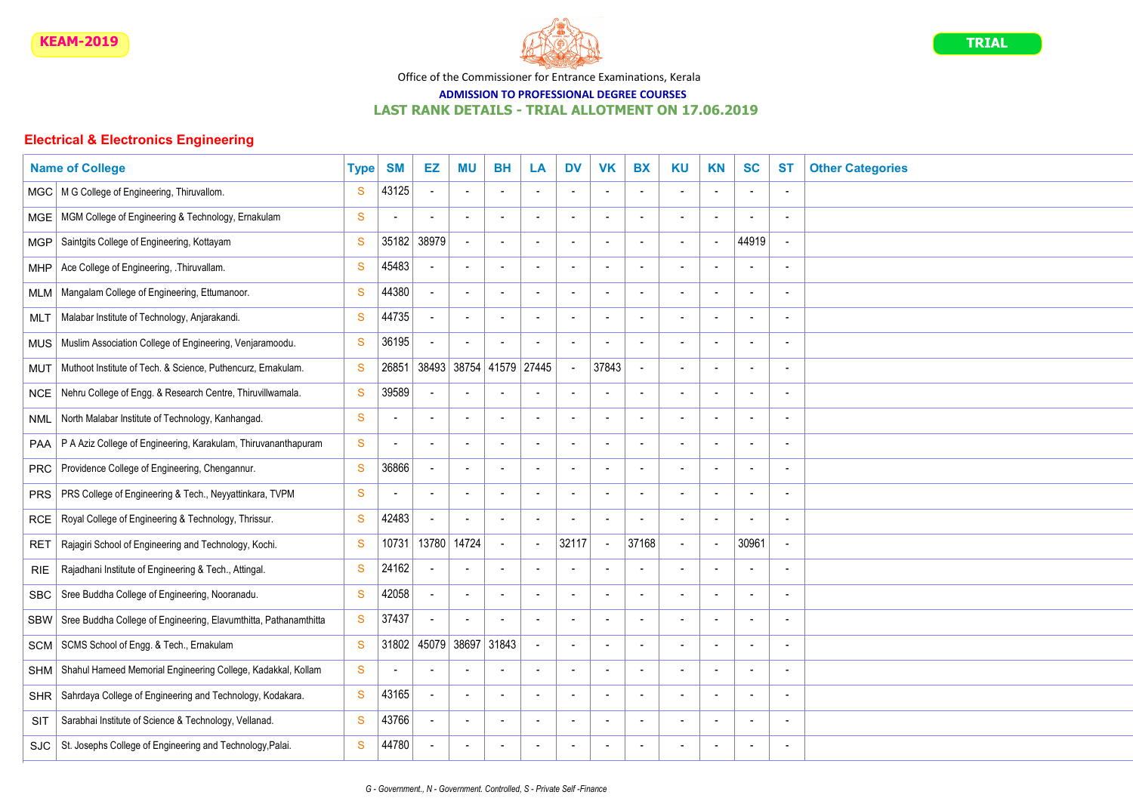

# ADMISSION TO PROFESSIONAL DEGREE COURSES

## LAST RANK DETAILS - TRIAL ALLOTMENT ON 17.06.2019

|            | <b>Name of College</b>                                           | <b>Type</b>   | <b>SM</b>                | EZ                       | ΜU                       | <b>BH</b>                | LA                       | <b>DV</b>                | <b>VK</b>                | <b>BX</b>                | <b>KU</b>      | <b>KN</b>                | <b>SC</b>                | <b>ST</b>                | <b>Other Categories</b> |
|------------|------------------------------------------------------------------|---------------|--------------------------|--------------------------|--------------------------|--------------------------|--------------------------|--------------------------|--------------------------|--------------------------|----------------|--------------------------|--------------------------|--------------------------|-------------------------|
|            | MGC   M G College of Engineering, Thiruvallom.                   | S             | 43125                    |                          | $\blacksquare$           | $\blacksquare$           | ۰                        | $\sim$                   |                          |                          |                |                          | $\sim$                   |                          |                         |
| <b>MGE</b> | MGM College of Engineering & Technology, Ernakulam               | S             | $\overline{\phantom{a}}$ |                          | $\overline{\phantom{a}}$ | $\blacksquare$           | $\overline{\phantom{a}}$ | $\sim$                   |                          | $\overline{\phantom{a}}$ |                | $\overline{\phantom{a}}$ | $\overline{a}$           |                          |                         |
| <b>MGP</b> | Saintgits College of Engineering, Kottayam                       | S             | 35182                    | 38979                    | $\sim$                   | $\sim$                   | $\sim$                   | $\sim$                   | $\overline{\phantom{a}}$ | $\sim$                   | $\overline{a}$ | $\sim$                   | 44919                    | $\sim$                   |                         |
| <b>MHP</b> | Ace College of Engineering, .Thiruvallam.                        | $\mathbf{s}$  | 45483                    |                          | $\blacksquare$           | $\blacksquare$           | $\blacksquare$           | $\blacksquare$           |                          | $\overline{\phantom{a}}$ |                | $\blacksquare$           | $\blacksquare$           |                          |                         |
| MLM        | Mangalam College of Engineering, Ettumanoor.                     | $\mathbf{s}$  | 44380                    |                          | $\sim$                   | $\blacksquare$           | $\overline{\phantom{a}}$ | $\overline{\phantom{a}}$ |                          |                          |                |                          | $\overline{a}$           |                          |                         |
| <b>MLT</b> | Malabar Institute of Technology, Anjarakandi.                    | $\mathbf S$   | 44735                    |                          | $\overline{a}$           |                          |                          | $\blacksquare$           |                          |                          |                |                          | $\overline{\phantom{a}}$ |                          |                         |
| MUS        | Muslim Association College of Engineering, Venjaramoodu.         | S             | 36195                    |                          | $\overline{a}$           |                          |                          | $\overline{a}$           |                          |                          |                |                          | $\overline{a}$           |                          |                         |
| MUT        | Muthoot Institute of Tech. & Science, Puthencurz, Ernakulam.     | <sub>S</sub>  | 26851                    | 38493                    | 38754                    | 41579                    | 27445                    | $\sim$                   | 37843                    | $\sim$                   |                | $\blacksquare$           | $\overline{\phantom{a}}$ |                          |                         |
| <b>NCE</b> | Nehru College of Engg. & Research Centre, Thiruvillwamala.       | S             | 39589                    |                          | $\blacksquare$           | $\overline{\phantom{a}}$ | $\blacksquare$           | $\blacksquare$           |                          | $\blacksquare$           |                | $\overline{\phantom{a}}$ | $\overline{\phantom{a}}$ |                          |                         |
| <b>NML</b> | North Malabar Institute of Technology, Kanhangad.                | S             | $\sim$                   | $\overline{\phantom{a}}$ | $\blacksquare$           | $\sim$                   | $\sim$                   | $\blacksquare$           |                          | $\sim$                   |                | $\blacksquare$           | $\blacksquare$           |                          |                         |
| PAA        | P A Aziz College of Engineering, Karakulam, Thiruvananthapuram   | $\mathbf S$   | $\sim$                   | $\overline{\phantom{a}}$ | $\sim$                   | $\sim$                   | $\sim$                   | $\sim$                   |                          | $\sim$                   |                | $\blacksquare$           | $\overline{\phantom{a}}$ |                          |                         |
| <b>PRC</b> | Providence College of Engineering, Chengannur.                   | $\mathbf S$   | 36866                    | $\blacksquare$           | $\blacksquare$           | $\sim$                   | $\blacksquare$           | $\sim$                   |                          | $\overline{a}$           |                | $\overline{a}$           | $\blacksquare$           |                          |                         |
| <b>PRS</b> | PRS College of Engineering & Tech., Neyyattinkara, TVPM          | S             | $\overline{\phantom{a}}$ |                          | $\blacksquare$           | $\blacksquare$           | $\overline{\phantom{a}}$ | $\blacksquare$           |                          | $\overline{\phantom{a}}$ |                | $\blacksquare$           | $\blacksquare$           | $\blacksquare$           |                         |
| <b>RCE</b> | Royal College of Engineering & Technology, Thrissur.             | S             | 42483                    |                          | $\overline{a}$           | $\sim$                   | $\blacksquare$           | $\sim$                   |                          | $\overline{a}$           |                | $\overline{\phantom{a}}$ | $\overline{\phantom{a}}$ |                          |                         |
| <b>RET</b> | Rajagiri School of Engineering and Technology, Kochi.            | ${\mathbf S}$ | 10731                    | 13780                    | 14724                    | $\sim$                   | $\sim$                   | 32117                    | $\sim$                   | 37168                    | $\sim$         | $\sim$                   | 30961                    | $\overline{\phantom{a}}$ |                         |
| <b>RIE</b> | Rajadhani Institute of Engineering & Tech., Attingal.            | S             | 24162                    |                          | $\sim$                   | $\blacksquare$           | $\overline{\phantom{a}}$ | $\overline{\phantom{a}}$ |                          |                          |                | $\overline{\phantom{a}}$ | $\blacksquare$           |                          |                         |
| <b>SBC</b> | Sree Buddha College of Engineering, Nooranadu.                   | ${\mathbf S}$ | 42058                    |                          | $\sim$                   | ۰.                       |                          | $\sim$                   |                          |                          |                |                          | $\overline{\phantom{a}}$ |                          |                         |
| <b>SBW</b> | Sree Buddha College of Engineering, Elavumthitta, Pathanamthitta | S             | 37437                    |                          | $\overline{\phantom{a}}$ |                          | $\overline{\phantom{a}}$ | $\overline{\phantom{a}}$ |                          |                          |                |                          | $\blacksquare$           |                          |                         |
| SCM        | SCMS School of Engg. & Tech., Ernakulam                          | <sub>S</sub>  | 31802                    | 45079                    | 38697                    | 31843                    | $\sim$                   | $\sim$                   |                          | $\blacksquare$           |                | $\blacksquare$           | $\overline{\phantom{a}}$ |                          |                         |
| SHM        | Shahul Hameed Memorial Engineering College, Kadakkal, Kollam     | S             |                          |                          | $\overline{\phantom{a}}$ | $\overline{\phantom{a}}$ | $\overline{\phantom{a}}$ | $\overline{\phantom{a}}$ |                          | $\blacksquare$           |                | $\overline{\phantom{a}}$ | $\overline{\phantom{a}}$ |                          |                         |
| <b>SHR</b> | Sahrdaya College of Engineering and Technology, Kodakara.        | S             | 43165                    | $\blacksquare$           | $\blacksquare$           | $\blacksquare$           | $\blacksquare$           | $\blacksquare$           |                          | $\sim$                   |                | $\blacksquare$           | $\blacksquare$           |                          |                         |
| SIT        | Sarabhai Institute of Science & Technology, Vellanad.            | $\mathbf{s}$  | 43766                    |                          | $\blacksquare$           | $\blacksquare$           | $\overline{\phantom{a}}$ | $\overline{\phantom{a}}$ |                          | $\overline{a}$           |                | $\blacksquare$           | $\overline{\phantom{a}}$ |                          |                         |
| <b>SJC</b> | St. Josephs College of Engineering and Technology, Palai.        | S             | 44780                    |                          | $\blacksquare$           | $\overline{\phantom{a}}$ | $\blacksquare$           | $\overline{\phantom{a}}$ |                          | $\blacksquare$           |                | $\blacksquare$           | $\overline{\phantom{a}}$ | $\blacksquare$           |                         |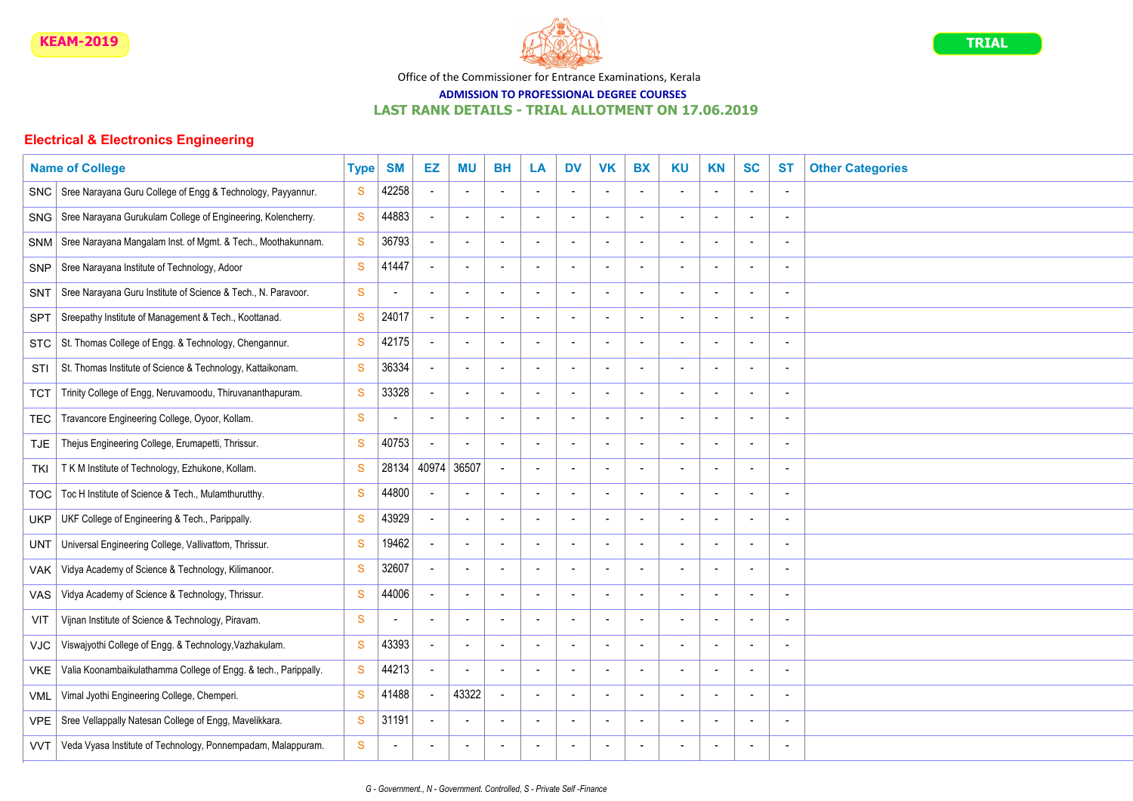

# ADMISSION TO PROFESSIONAL DEGREE COURSES

## LAST RANK DETAILS - TRIAL ALLOTMENT ON 17.06.2019

|            | <b>Name of College</b>                                          | <b>Type</b>   | <b>SM</b>      | EZ             | <b>MU</b>                | <b>BH</b>                | LA                       | <b>DV</b>                | <b>VK</b>                | <b>BX</b>                | KU                       | <b>KN</b>                | <b>SC</b>                | <b>ST</b> | <b>Other Categories</b> |
|------------|-----------------------------------------------------------------|---------------|----------------|----------------|--------------------------|--------------------------|--------------------------|--------------------------|--------------------------|--------------------------|--------------------------|--------------------------|--------------------------|-----------|-------------------------|
| <b>SNC</b> | Sree Narayana Guru College of Engg & Technology, Payyannur.     | $\mathbf{s}$  | 42258          |                |                          | $\blacksquare$           | $\overline{\phantom{a}}$ | $\blacksquare$           |                          |                          | $\blacksquare$           |                          | $\overline{\phantom{a}}$ |           |                         |
| SNG        | Sree Narayana Gurukulam College of Engineering, Kolencherry.    | $\mathbf{s}$  | 44883          |                | $\blacksquare$           | $\sim$                   | $\sim$                   | $\blacksquare$           | $\overline{a}$           | $\overline{\phantom{a}}$ | $\overline{a}$           | $\blacksquare$           | $\sim$                   |           |                         |
| SNM        | Sree Narayana Mangalam Inst. of Mgmt. & Tech., Moothakunnam.    | ${\mathbf S}$ | 36793          |                | $\blacksquare$           | $\blacksquare$           | $\overline{\phantom{a}}$ | $\sim$                   | $\sim$                   | $\overline{a}$           | $\blacksquare$           | $\overline{\phantom{a}}$ | $\overline{a}$           |           |                         |
| <b>SNP</b> | Sree Narayana Institute of Technology, Adoor                    | $\mathbf{s}$  | 41447          | $\blacksquare$ | $\sim$                   | $\blacksquare$           | $\blacksquare$           | $\blacksquare$           | $\overline{a}$           | $\overline{a}$           | $\overline{a}$           |                          | $\overline{\phantom{a}}$ |           |                         |
| SNT        | Sree Narayana Guru Institute of Science & Tech., N. Paravoor.   | S             | $\blacksquare$ |                |                          | $\blacksquare$           | $\overline{\phantom{a}}$ | $\blacksquare$           |                          | $\overline{\phantom{a}}$ | $\blacksquare$           |                          | $\blacksquare$           |           |                         |
| <b>SPT</b> | Sreepathy Institute of Management & Tech., Koottanad.           | S             | 24017          |                |                          |                          |                          | $\overline{\phantom{a}}$ |                          |                          |                          |                          | ÷,                       |           |                         |
| STC.       | St. Thomas College of Engg. & Technology, Chengannur.           | S             | 42175          |                | $\blacksquare$           | $\blacksquare$           | $\overline{\phantom{a}}$ | $\blacksquare$           | ٠                        | $\overline{\phantom{a}}$ | $\overline{a}$           |                          | $\overline{\phantom{a}}$ |           |                         |
| STI        | St. Thomas Institute of Science & Technology, Kattaikonam.      | S             | 36334          |                | $\blacksquare$           | $\blacksquare$           | $\overline{\phantom{a}}$ | $\blacksquare$           | $\overline{a}$           | $\overline{\phantom{a}}$ | $\overline{\phantom{a}}$ |                          | $\overline{\phantom{a}}$ |           |                         |
| <b>TCT</b> | Trinity College of Engg, Neruvamoodu, Thiruvananthapuram.       | S             | 33328          | $\overline{a}$ | $\sim$                   | $\sim$                   | $\sim$                   | $\blacksquare$           | $\overline{a}$           | $\overline{\phantom{a}}$ | $\sim$                   | $\blacksquare$           | $\blacksquare$           |           |                         |
| <b>TEC</b> | Travancore Engineering College, Oyoor, Kollam.                  | $\mathbf S$   | $\blacksquare$ |                | $\overline{\phantom{a}}$ | $\sim$                   | $\overline{\phantom{a}}$ | $\blacksquare$           | $\blacksquare$           | $\overline{a}$           | $\sim$                   | $\overline{\phantom{a}}$ | $\overline{\phantom{a}}$ |           |                         |
| <b>TJE</b> | Thejus Engineering College, Erumapetti, Thrissur.               | S             | 40753          |                |                          | $\blacksquare$           | $\blacksquare$           | $\blacksquare$           | $\blacksquare$           | $\overline{\phantom{a}}$ | $\overline{a}$           |                          | $\blacksquare$           |           |                         |
| <b>TKI</b> | T K M Institute of Technology, Ezhukone, Kollam.                | S             | 28134          | 40974          | 36507                    | $\sim$                   | $\overline{\phantom{a}}$ | $\sim$                   | $\sim$                   | $\overline{\phantom{a}}$ | $\sim$                   |                          | $\sim$                   |           |                         |
| TOC        | Toc H Institute of Science & Tech., Mulamthurutthy.             | S             | 44800          |                |                          | $\blacksquare$           |                          | $\blacksquare$           | $\overline{a}$           |                          | $\overline{\phantom{a}}$ |                          | $\overline{\phantom{a}}$ |           |                         |
| <b>UKP</b> | UKF College of Engineering & Tech., Parippally.                 | S             | 43929          | $\blacksquare$ | $\blacksquare$           | $\blacksquare$           | $\overline{\phantom{a}}$ | $\overline{\phantom{a}}$ | $\overline{a}$           | $\overline{a}$           | $\overline{a}$           |                          | $\overline{\phantom{a}}$ |           |                         |
| <b>UNT</b> | Universal Engineering College, Vallivattom, Thrissur.           | S             | 19462          |                |                          | $\overline{\phantom{a}}$ | $\overline{\phantom{a}}$ | $\sim$                   | L,                       | $\overline{\phantom{a}}$ | $\overline{a}$           |                          | $\sim$                   |           |                         |
| <b>VAK</b> | Vidya Academy of Science & Technology, Kilimanoor.              | S             | 32607          |                |                          | $\blacksquare$           | $\overline{\phantom{a}}$ | $\sim$                   |                          |                          | $\blacksquare$           |                          | $\blacksquare$           |           |                         |
| VAS        | Vidya Academy of Science & Technology, Thrissur.                | S             | 44006          |                | $\overline{\phantom{a}}$ | $\overline{\phantom{a}}$ | $\overline{\phantom{a}}$ | $\overline{\phantom{a}}$ | $\overline{\phantom{a}}$ |                          | $\overline{\phantom{a}}$ |                          | $\overline{\phantom{a}}$ |           |                         |
| VIT        | Vijnan Institute of Science & Technology, Piravam.              | $\mathbf{s}$  | $\overline{a}$ | ۰              | $\overline{\phantom{a}}$ | $\overline{\phantom{a}}$ | $\overline{\phantom{a}}$ | $\overline{\phantom{a}}$ | $\overline{\phantom{a}}$ | $\overline{\phantom{a}}$ | $\overline{\phantom{a}}$ |                          | $\overline{\phantom{a}}$ |           |                         |
| <b>VJC</b> | Viswajyothi College of Engg. & Technology, Vazhakulam.          | S             | 43393          | $\blacksquare$ | $\blacksquare$           | $\blacksquare$           | $\overline{\phantom{a}}$ | $\blacksquare$           | $\overline{a}$           | $\overline{a}$           | $\blacksquare$           | $\overline{\phantom{a}}$ | $\blacksquare$           |           |                         |
| <b>VKE</b> | Valia Koonambaikulathamma College of Engg. & tech., Parippally. | S             | 44213          |                |                          | $\overline{\phantom{a}}$ | $\blacksquare$           | $\sim$                   | $\overline{a}$           | $\overline{\phantom{a}}$ | $\overline{a}$           | $\overline{\phantom{a}}$ | $\sim$                   |           |                         |
| <b>VML</b> | Vimal Jyothi Engineering College, Chemperi.                     | S             | 41488          |                | 43322                    | $\sim$                   | $\overline{\phantom{a}}$ | $\blacksquare$           | ÷,                       |                          | $\overline{a}$           |                          | $\overline{\phantom{a}}$ |           |                         |
| <b>VPE</b> | Sree Vellappally Natesan College of Engg, Mavelikkara.          | S             | 31191          |                | $\overline{a}$           | $\sim$                   | $\blacksquare$           | $\sim$                   | $\sim$                   | $\overline{\phantom{a}}$ | $\overline{a}$           | $\overline{\phantom{a}}$ | $\overline{a}$           |           |                         |
| <b>VVT</b> | Veda Vyasa Institute of Technology, Ponnempadam, Malappuram.    | <sub>S</sub>  | $\blacksquare$ |                | $\overline{\phantom{a}}$ | $\blacksquare$           |                          | $\blacksquare$           | $\blacksquare$           | $\overline{\phantom{a}}$ | $\blacksquare$           |                          | $\blacksquare$           |           |                         |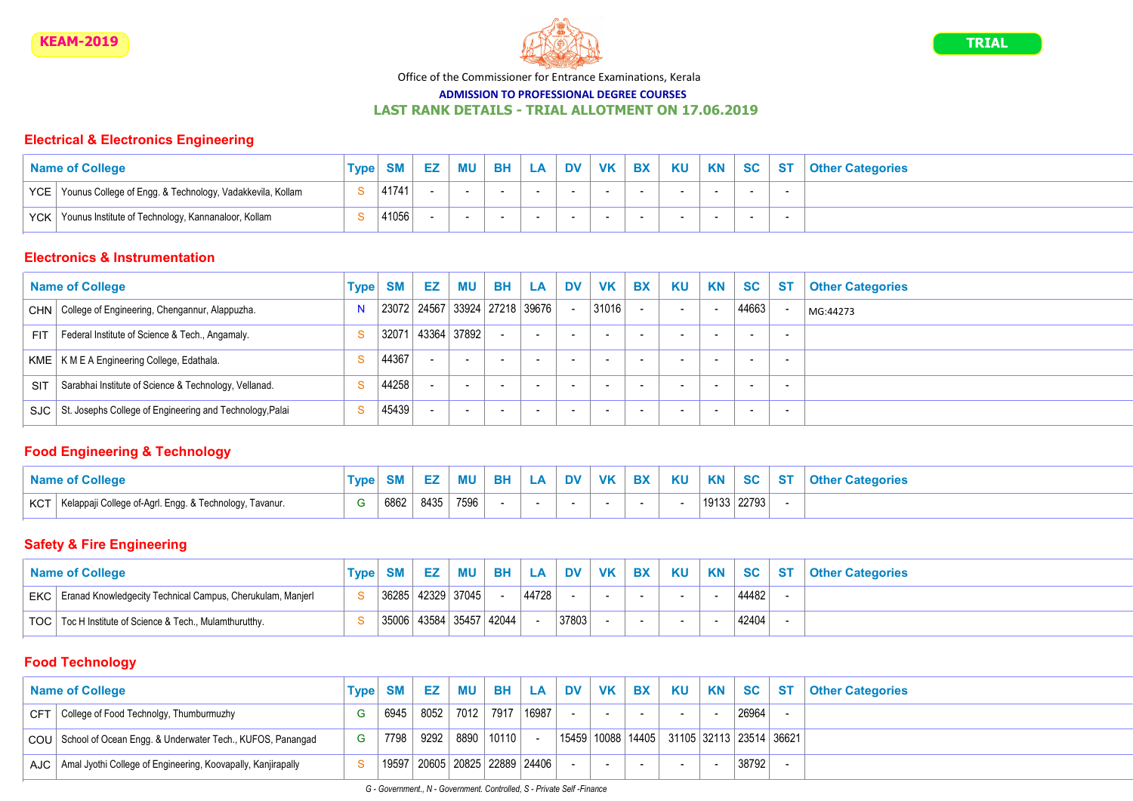

TRIAL

Office of the Commissioner for Entrance Examinations, Kerala

ADMISSION TO PROFESSIONAL DEGREE COURSES

LAST RANK DETAILS - TRIAL ALLOTMENT ON 17.06.2019

## Electrical & Electronics Engineering

| <b>Name of College</b>                                          | <b>Type</b> |       | EZ I | MU BH | LA I | <b>DV</b> | <b>VK</b> | <b>BX</b> | <b>KU</b> | <b>KN</b> | SC <sub>1</sub>          | <b>ST</b> | <b>Other Categories</b> |
|-----------------------------------------------------------------|-------------|-------|------|-------|------|-----------|-----------|-----------|-----------|-----------|--------------------------|-----------|-------------------------|
| YCE   Younus College of Engg. & Technology, Vadakkevila, Kollam |             | 41741 |      |       |      | $\sim$    |           |           |           |           | $-$                      |           |                         |
| YCK   Younus Institute of Technology, Kannanaloor, Kollam       |             | 41056 |      |       |      | $\sim$    |           |           |           |           | $\overline{\phantom{a}}$ |           |                         |

### Electronics & Instrumentation

|            | <b>Name of College</b>                                         | <b>Type</b> | <b>SM</b> | EZ | MU                            | <b>BH</b> | <b>LA</b>                | <b>DV</b>                | <b>VK</b> | <b>BX</b>                | <b>KU</b>                | <b>KN</b>                | <b>SC</b>                | <b>ST</b>                | <b>Other Categories</b> |
|------------|----------------------------------------------------------------|-------------|-----------|----|-------------------------------|-----------|--------------------------|--------------------------|-----------|--------------------------|--------------------------|--------------------------|--------------------------|--------------------------|-------------------------|
|            | CHN   College of Engineering, Chengannur, Alappuzha.           |             | 23072     |    | 24567   33924   27218   39676 |           |                          |                          | 31016     |                          | $\sim$                   |                          | 44663                    |                          | MG:44273                |
| FIT.       | Federal Institute of Science & Tech., Angamaly.                | S.          | 32071     |    | 43364 37892                   | $\sim$    | . .                      | $\sim$                   | $\sim$    | $\overline{\phantom{a}}$ | $\sim$                   | $\overline{\phantom{a}}$ |                          | $\overline{\phantom{a}}$ |                         |
|            | KME   K M E A Engineering College, Edathala.                   |             | 44367     |    | $\overline{\phantom{a}}$      | $\sim$    | . .                      | $\overline{\phantom{a}}$ | $\sim$    | $\overline{\phantom{a}}$ | $\overline{\phantom{a}}$ | $\overline{\phantom{a}}$ | $\overline{\phantom{a}}$ | -                        |                         |
| <b>SIT</b> | Sarabhai Institute of Science & Technology, Vellanad.          |             | 44258     |    | $\overline{\phantom{a}}$      | $\sim$    | $\overline{\phantom{a}}$ | $\sim$                   | $\sim$    | $\sim$                   | $\sim$                   | $\overline{\phantom{a}}$ | $\sim$                   | $\sim$                   |                         |
|            | SJC   St. Josephs College of Engineering and Technology, Palai |             | 45439     |    | $\overline{\phantom{a}}$      | $\sim$    | $\overline{\phantom{a}}$ | $\sim$                   | $\sim$    | $\sim$                   | $\sim$                   | $\overline{\phantom{a}}$ | $\sim$                   | $\sim$                   |                         |

## Food Engineering & Technology

|     | <b>Name of College</b>                                  | om   |      | <b>MU</b> | <b>BH</b> | <b>LA</b> | <b>DV</b> | <b>VK</b> | <b>BX</b> | <b>KU</b> | <b>KN</b> | <b>SC</b> | r Categories |
|-----|---------------------------------------------------------|------|------|-----------|-----------|-----------|-----------|-----------|-----------|-----------|-----------|-----------|--------------|
| KCT | Kelappaji College of-Agrl. Engg. & Technology, Tavanur. | 6862 | 8435 | 7596      |           |           |           |           |           |           | 19133     | 22793     |              |

## Safety & Fire Engineering

| <b>Name of College</b>                                           | Type | <b>SM</b> | EZ 1 |                                                   | MU BH LA | DV    | VK BX | <b>KU</b> | <b>KN</b> |       | <b>SC   ST   Other Categories</b> |
|------------------------------------------------------------------|------|-----------|------|---------------------------------------------------|----------|-------|-------|-----------|-----------|-------|-----------------------------------|
| EKC   Eranad Knowledgecity Technical Campus, Cherukulam, Manjerl |      |           |      | $\vert$ 36285 $\vert$ 42329 $\vert$ 37045 $\vert$ | 44728    |       |       |           |           | 44482 |                                   |
| TOC   Toc H Institute of Science & Tech., Mulamthurutthy.        |      |           |      | 35006   43584   35457   42044                     |          | 37803 |       |           |           | 42404 |                                   |

## Food Technology

|       | <b>Name of College</b>                                             |   | <b>Type SM</b> |                |                                       |       |        | EZ MU BH LA DV VK BX KU                               |       | KN SC ST Other Categories |
|-------|--------------------------------------------------------------------|---|----------------|----------------|---------------------------------------|-------|--------|-------------------------------------------------------|-------|---------------------------|
| CFT I | College of Food Technolgy, Thumburmuzhy                            |   | 6945           | 8052 7012 7917 |                                       | 16987 | $\sim$ | $\sim$                                                | 26964 |                           |
|       | COU School of Ocean Engg. & Underwater Tech., KUFOS, Panangad      | G | 7798           |                | 9292 8890 10110                       |       |        | 15459   10088   14405   31105   32113   23514   36621 |       |                           |
|       | AJC   Amal Jyothi College of Engineering, Koovapally, Kanjirapally |   |                |                | 19597   20605   20825   22889   24406 |       |        | $\sim$ $-$                                            | 38792 |                           |

G - Government., N - Government. Controlled, S - Private Self -Finance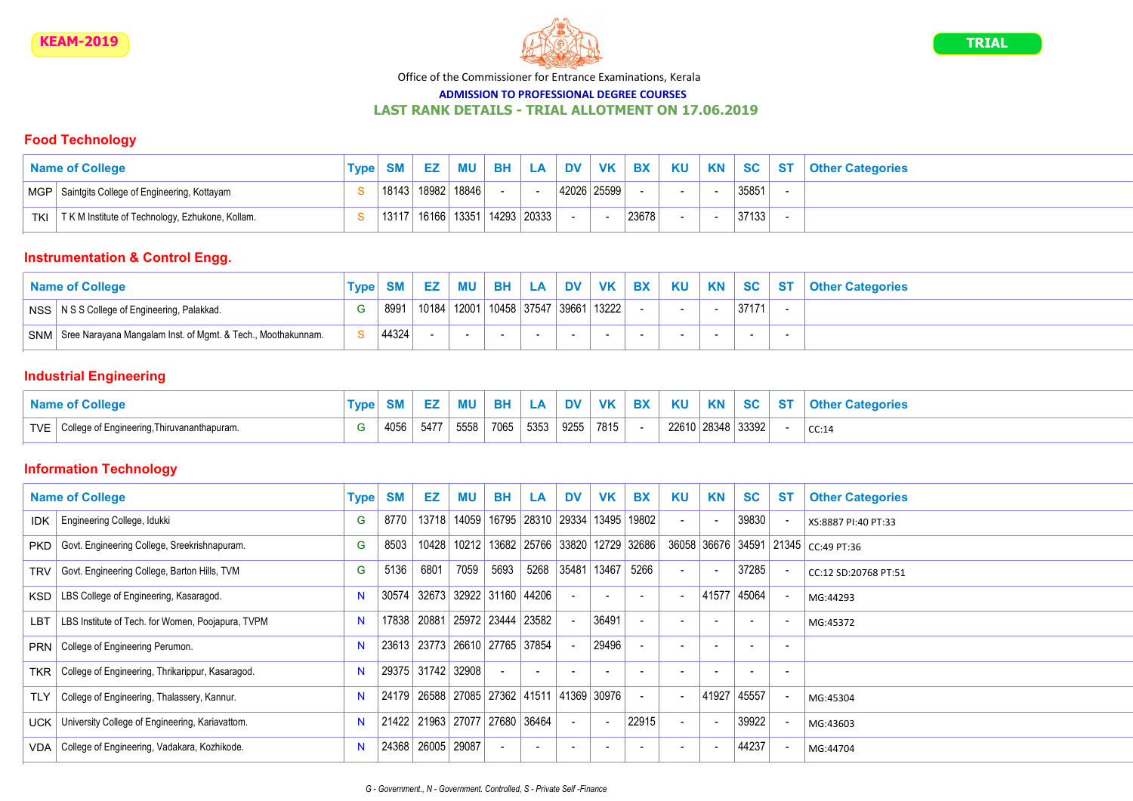

#### ADMISSION TO PROFESSIONAL DEGREE COURSES

#### LAST RANK DETAILS - TRIAL ALLOTMENT ON 17.06.2019

### Food Technology

|     | <b>Name of College</b>                           | <b>Type</b> | <b>SM</b> | EZ   MU   BH                  |  |             |       |  |       | LA DV VK BX KU KN SC ST Other Categories |
|-----|--------------------------------------------------|-------------|-----------|-------------------------------|--|-------------|-------|--|-------|------------------------------------------|
|     | MGP   Saintgits College of Engineering, Kottayam |             | 18143⊺    | 18982 18846                   |  | 42026 25599 |       |  | 35851 |                                          |
| TKI | TK M Institute of Technology, Ezhukone, Kollam.  |             | 13117     | 16166   13351   14293   20333 |  |             | 23678 |  | 37133 |                                          |

## Instrumentation & Control Engg.

| <b>Name of College</b>                                             | <b>Type</b> |       |  |                                       |        |       |  |       | EZ   MU   BH   LA   DV   VK   BX   KU   KN   SC   ST   Other Categories |
|--------------------------------------------------------------------|-------------|-------|--|---------------------------------------|--------|-------|--|-------|-------------------------------------------------------------------------|
| NSS   N S S College of Engineering, Palakkad.                      |             | 8991  |  | 10184   12001   10458   37547   39661 |        | 13222 |  | 37171 |                                                                         |
| SNM   Sree Narayana Mangalam Inst. of Mgmt. & Tech., Moothakunnam. |             | 44324 |  |                                       | $\sim$ |       |  |       |                                                                         |

## Industrial Engineering

| <b>Name of College</b>                            | <b>Type</b> |      |      | ΜU   | <b>BH</b> | $\mathbf{A}$       | <b>DV</b> |      | VK BX | <b>KU</b> | <b>KN</b> | <b>SC</b>         | <b>ST</b> | <b>Other Categories</b> |
|---------------------------------------------------|-------------|------|------|------|-----------|--------------------|-----------|------|-------|-----------|-----------|-------------------|-----------|-------------------------|
| TVE   College of Engineering, Thiruvananthapuram. |             | 4056 | 5477 | 5558 | 7065      | $\sim$   5353 $^+$ | 9255      | 7815 |       |           |           | 22610 28348 33392 |           | CC:14                   |

## Information Technology

|            | <b>Name of College</b>                            | <b>Type</b> | <b>SM</b> | EZ                                    | ΜU                                  | <b>BH</b>                             | LA.  | <b>DV</b>                | <b>VK</b>                | <b>BX</b>                                     | <b>KU</b>                | <b>KN</b>   | <b>SC</b>                | <b>ST</b>                | <b>Other Categories</b>             |
|------------|---------------------------------------------------|-------------|-----------|---------------------------------------|-------------------------------------|---------------------------------------|------|--------------------------|--------------------------|-----------------------------------------------|--------------------------|-------------|--------------------------|--------------------------|-------------------------------------|
| IDK        | Engineering College, Idukki                       | G           | 8770      | 13718                                 | 14059                               | 16795   28310   29334   13495   19802 |      |                          |                          |                                               | $\blacksquare$           |             | 39830                    |                          | XS:8887 PI:40 PT:33                 |
| <b>PKD</b> | Govt. Engineering College, Sreekrishnapuram.      | G.          | 8503      | 10428                                 |                                     |                                       |      |                          |                          | 10212   13682   25766   33820   12729   32686 |                          |             |                          |                          | 36058 36676 34591 21345 CC:49 PT:36 |
| <b>TRV</b> | Govt. Engineering College, Barton Hills, TVM      | G           | 5136      | 6801                                  | 7059                                | 5693                                  | 5268 | 35481                    |                          | 13467 5266                                    | $\sim$                   |             | 37285                    |                          | CC:12 SD:20768 PT:51                |
|            | KSD   LBS College of Engineering, Kasaragod.      | -N          | 30574     |                                       | 32673 32922 31160 44206             |                                       |      |                          |                          |                                               | $\sim$                   | 41577 45064 |                          |                          | MG:44293                            |
| LBT        | LBS Institute of Tech. for Women, Poojapura, TVPM |             | 17838     |                                       | 20881 25972 23444 23582             |                                       |      |                          | 36491                    |                                               | $\overline{\phantom{a}}$ |             |                          |                          | MG:45372                            |
|            | PRN   College of Engineering Perumon.             | N           | 23613     |                                       | 23773   26610   27765   37854       |                                       |      |                          | 29496                    |                                               | $\overline{\phantom{0}}$ |             |                          |                          |                                     |
| TKR        | College of Engineering, Thrikarippur, Kasaragod.  | N           |           | 29375 31742 32908                     |                                     | $\overline{\phantom{a}}$              |      | $\overline{\phantom{0}}$ |                          |                                               | $\overline{\phantom{a}}$ |             | $\overline{\phantom{0}}$ | $\overline{\phantom{a}}$ |                                     |
| <b>TLY</b> | College of Engineering, Thalassery, Kannur.       |             | 24179     |                                       | 26588 27085 27362 41511 41369 30976 |                                       |      |                          |                          |                                               | $\sim$                   | 41927 45557 |                          |                          | MG:45304                            |
| <b>UCK</b> | University College of Engineering, Kariavattom.   |             |           | 21422   21963   27077   27680   36464 |                                     |                                       |      | $\sim$                   | $\overline{\phantom{a}}$ | 22915                                         | $\blacksquare$           |             | 39922                    |                          | MG:43603                            |
| VDA        | College of Engineering, Vadakara, Kozhikode.      | N           | 24368     | 26005 29087                           |                                     | $\overline{\phantom{a}}$              |      | $\overline{\phantom{a}}$ |                          |                                               | $\overline{\phantom{0}}$ |             | 44237                    |                          | MG:44704                            |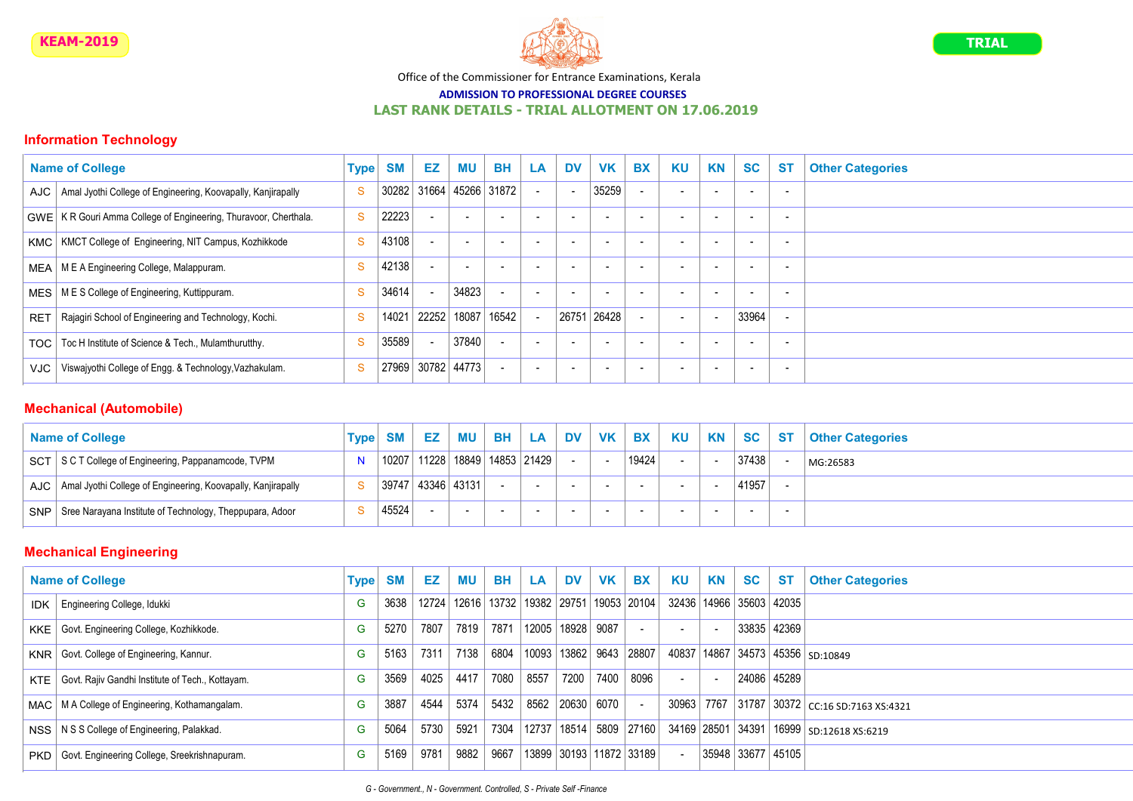

TRIAL

Office of the Commissioner for Entrance Examinations, Kerala

# ADMISSION TO PROFESSIONAL DEGREE COURSES

## LAST RANK DETAILS - TRIAL ALLOTMENT ON 17.06.2019

## Information Technology

|                  | <b>Name of College</b>                                             | <b>Type</b>  | <b>SM</b> | EZ    | ΜU          | <b>BH</b>                | LA                       | <b>DV</b>                | <b>VK</b>                | <b>BX</b>                | KU                       | <b>KN</b>                | <b>SC</b>                | <b>ST</b>                | <b>Other Categories</b> |
|------------------|--------------------------------------------------------------------|--------------|-----------|-------|-------------|--------------------------|--------------------------|--------------------------|--------------------------|--------------------------|--------------------------|--------------------------|--------------------------|--------------------------|-------------------------|
| AJC              | Amal Jyothi College of Engineering, Koovapally, Kanjirapally       | <sub>S</sub> | 30282     | 31664 | 45266 31872 |                          |                          | $\sim$                   | 35259                    |                          | $\blacksquare$           |                          |                          | $\overline{\phantom{a}}$ |                         |
|                  | GWE   K R Gouri Amma College of Engineering, Thuravoor, Cherthala. | <sub>S</sub> | 22223     |       |             | $\overline{\phantom{a}}$ |                          | $\overline{\phantom{0}}$ | $\sim$                   | $\overline{\phantom{a}}$ | $\overline{\phantom{a}}$ | $\overline{\phantom{a}}$ | $\overline{\phantom{a}}$ | $\overline{\phantom{a}}$ |                         |
|                  | KMC   KMCT College of Engineering, NIT Campus, Kozhikkode          | <sub>S</sub> | 43108     |       |             |                          |                          |                          | $\sim$                   | $\overline{\phantom{a}}$ | $\overline{\phantom{a}}$ |                          |                          | $\overline{\phantom{a}}$ |                         |
| MEA              | M E A Engineering College, Malappuram.                             | <sub>S</sub> | 42138     |       |             | $\overline{\phantom{a}}$ |                          |                          | $\sim$                   |                          | $\overline{a}$           |                          |                          | $\overline{\phantom{a}}$ |                         |
| MES <sup>1</sup> | M E S College of Engineering, Kuttippuram.                         | <sub>S</sub> | 34614     |       | 34823       |                          |                          |                          | $\sim$                   | $\overline{\phantom{a}}$ | $\overline{\phantom{a}}$ |                          |                          | $\overline{\phantom{a}}$ |                         |
| <b>RET</b>       | Rajagiri School of Engineering and Technology, Kochi.              | <sub>S</sub> | 14021     | 22252 | 18087       | 16542                    |                          | 126751                   | 26428                    |                          | $\overline{\phantom{a}}$ |                          | 33964                    |                          |                         |
| TOC              | Toc H Institute of Science & Tech., Mulamthurutthy.                | <sub>S</sub> | 35589     |       | 37840       |                          |                          |                          | $\overline{\phantom{a}}$ |                          | $\overline{\phantom{a}}$ |                          |                          | $\overline{\phantom{a}}$ |                         |
| VJC              | Viswajyothi College of Engg. & Technology, Vazhakulam.             | -S           | 27969     |       | 30782 44773 | $\overline{\phantom{0}}$ | $\overline{\phantom{0}}$ | $\overline{\phantom{a}}$ | $\sim$                   | $\overline{\phantom{a}}$ | $\overline{\phantom{a}}$ | $\overline{\phantom{a}}$ | $\overline{\phantom{a}}$ | $\overline{\phantom{a}}$ |                         |

#### Mechanical (Automobile)

|            | <b>Name of College</b>                                             | <b>Type</b> | <b>SM</b> | EZ   MU   BH                  |        | LA DV |                          |        | VK BX KU |                          | KN SC ST | <b>Other Categories</b> |
|------------|--------------------------------------------------------------------|-------------|-----------|-------------------------------|--------|-------|--------------------------|--------|----------|--------------------------|----------|-------------------------|
|            | SCT SCT College of Engineering, Pappanamcode, TVPM                 |             | 10207     | 11228   18849   14853   21429 |        |       |                          |        | 19424    |                          | 37438    | MG:26583                |
|            | AJC   Amal Jyothi College of Engineering, Koovapally, Kanjirapally |             | 39747     | 43346 43131                   |        |       |                          | $\sim$ |          | $\overline{\phantom{a}}$ | 41957    |                         |
| <b>SNP</b> | Sree Narayana Institute of Technology, Theppupara, Adoor           |             | 45524     |                               | $\sim$ |       | $\overline{\phantom{0}}$ | $\sim$ |          | $\overline{\phantom{a}}$ |          |                         |

|     | <b>Name of College</b>                           | <b>Type</b> | <b>SM</b> | EZ.  | ΜU                                                    | <b>BH</b> | <b>LA</b> | <b>DV</b>                    | <b>VK</b> | <b>BX</b>  | <b>KU</b>                | KN | <b>SC</b> | -ST<br><b>Other Categories</b>                       |
|-----|--------------------------------------------------|-------------|-----------|------|-------------------------------------------------------|-----------|-----------|------------------------------|-----------|------------|--------------------------|----|-----------|------------------------------------------------------|
| IDK | Engineering College, Idukki                      | G.          | 3638      |      | 12724   12616   13732   19382   29751   19053   20104 |           |           |                              |           |            |                          |    |           | 32436   14966   35603   42035                        |
| KKE | Govt. Engineering College, Kozhikkode.           | G.          | 5270      | 7807 | 7819                                                  | 7871      |           | 12005 18928                  | 9087      |            | $\overline{\phantom{a}}$ |    |           | 33835 42369                                          |
|     | KNR Govt. College of Engineering, Kannur.        | G.          | 5163      | 7311 | 7138                                                  | 6804      |           | 10093   13862   9643   28807 |           |            |                          |    |           | 40837   14867   34573   45356   <sub>SD:10849</sub>  |
| KTE | Govt. Rajiv Gandhi Institute of Tech., Kottayam. | G.          | 3569      | 4025 | 4417                                                  | 7080      | 8557      | 7200                         |           | 7400 8096  |                          |    |           | 24086 45289                                          |
|     | MAC   M A College of Engineering, Kothamangalam. | G.          | 3887      | 4544 | 5374                                                  | 5432      |           | 8562 20630                   | 6070      |            | 30963                    |    |           | 7767 $\,$   31787   30372 $\,$ CC:16 SD:7163 XS:4321 |
|     | NSS   N S S College of Engineering, Palakkad.    | G.          | 5064      | 5730 | 5921                                                  | 7304      | 12737     | 18514                        |           | 5809 27160 |                          |    |           | 34169 28501 34391 16999 SD:12618 XS:6219             |
| PKD | Govt. Engineering College, Sreekrishnapuram.     | G.          | 5169      | 9781 | 9882                                                  | 9667      |           | 13899 30193 11872 33189      |           |            |                          |    |           | 35948 33677 45105                                    |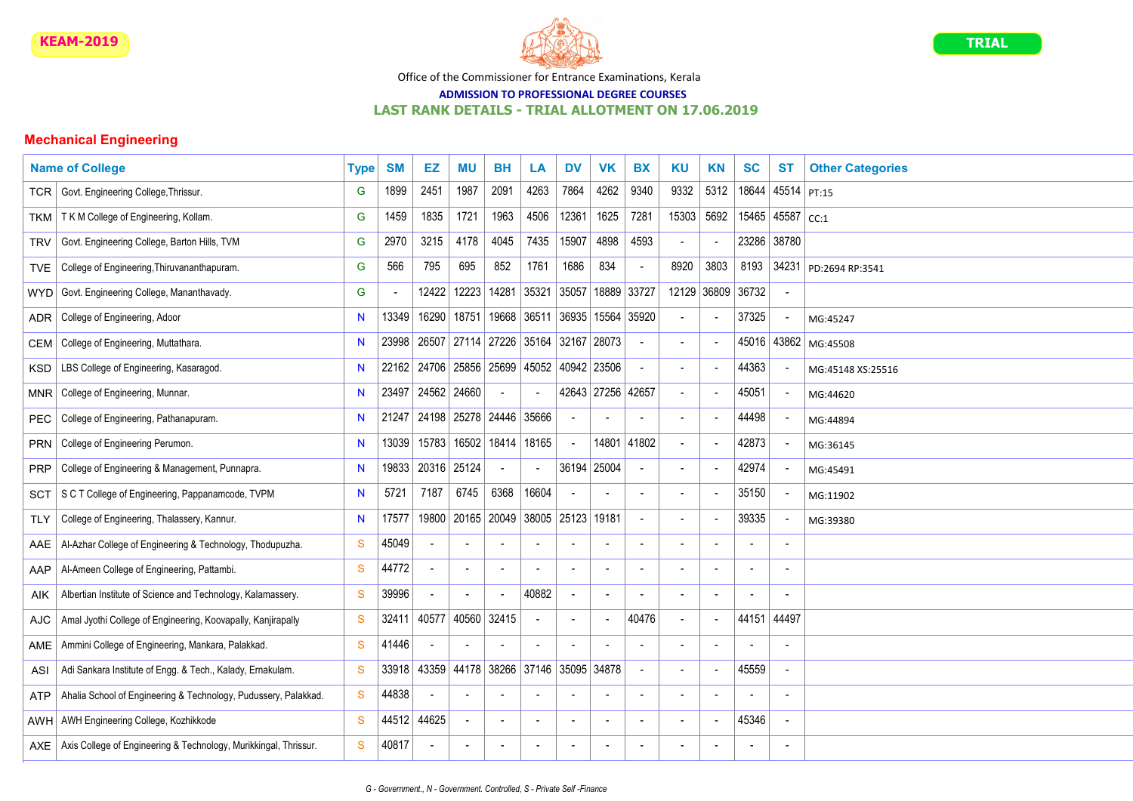

#### ADMISSION TO PROFESSIONAL DEGREE COURSES

#### LAST RANK DETAILS - TRIAL ALLOTMENT ON 17.06.2019

|            | <b>Name of College</b>                                           | <b>Type</b>  | <b>SM</b>      | EZ          | ΜU     | <b>BH</b>                | LA                | <b>DV</b>                | <b>VK</b>                | <b>BX</b>   | <b>KU</b>                | <b>KN</b>      | <b>SC</b>                | <b>ST</b>         | <b>Other Categories</b> |
|------------|------------------------------------------------------------------|--------------|----------------|-------------|--------|--------------------------|-------------------|--------------------------|--------------------------|-------------|--------------------------|----------------|--------------------------|-------------------|-------------------------|
| TCR        | Govt. Engineering College, Thrissur.                             | G            | 1899           | 2451        | 1987   | 2091                     | 4263              | 7864                     | 4262                     | 9340        | 9332                     | 5312           | 18644                    | $ 45514 _{PT:15}$ |                         |
| TKM        | T K M College of Engineering, Kollam.                            | G            | 1459           | 1835        | 1721   | 1963                     | 4506              | 12361                    | 1625                     | 7281        | 15303                    | 5692           | 15465                    | $ 45587 _{CC:1}$  |                         |
| TRV        | Govt. Engineering College, Barton Hills, TVM                     | G            | 2970           | 3215        | 4178   | 4045                     | 7435              | 15907                    | 4898                     | 4593        |                          |                | 23286                    | 38780             |                         |
| TVE        | College of Engineering, Thiruvananthapuram.                      | G            | 566            | 795         | 695    | 852                      | 1761              | 1686                     | 834                      |             | 8920                     | 3803           | 8193                     | 34231             | PD:2694 RP:3541         |
| WYD.       | Govt. Engineering College, Mananthavady.                         | G            | $\overline{a}$ | 12422       | 12223  | 14281                    | 35321             | 35057                    | 18889 33727              |             |                          | 12129 36809    | 36732                    |                   |                         |
| ADR        | College of Engineering, Adoor                                    | N            | 13349          | 16290       | 18751  |                          | 19668 36511       | 36935                    | 15564 35920              |             |                          |                | 37325                    |                   | MG:45247                |
| <b>CEM</b> | College of Engineering, Muttathara.                              | N            | 23998          | 26507       | 27114  | 27226 35164              |                   | 32167 28073              |                          |             |                          |                | 45016                    |                   | 43862 MG:45508          |
| KSD.       | LBS College of Engineering, Kasaragod.                           | N            | 22162          | 24706       | 25856  |                          | 25699 45052 40942 |                          | 23506                    |             |                          |                | 44363                    |                   | MG:45148 XS:25516       |
| <b>MNR</b> | College of Engineering, Munnar.                                  | N            | 23497          | 24562 24660 |        |                          |                   |                          | 42643 27256 42657        |             |                          |                | 45051                    |                   | MG:44620                |
| <b>PEC</b> | College of Engineering, Pathanapuram.                            | N            | 21247          | 24198       | 25278  | 24446                    | 35666             | $\sim$                   |                          |             |                          |                | 44498                    |                   | MG:44894                |
| PRN        | College of Engineering Perumon.                                  | N            | 13039          | 15783       | 16502  | 18414                    | 18165             | $\mathbb{Z}^2$           |                          | 14801 41802 |                          |                | 42873                    |                   | MG:36145                |
| <b>PRP</b> | College of Engineering & Management, Punnapra.                   | N            | 19833          | 20316       | 25124  | $\sim$                   |                   | 36194                    | 25004                    |             | $\overline{\phantom{a}}$ |                | 42974                    |                   | MG:45491                |
| <b>SCT</b> | S C T College of Engineering, Pappanamcode, TVPM                 | N            | 5721           | 7187        | 6745   | 6368                     | 16604             | $\overline{a}$           |                          |             |                          |                | 35150                    |                   | MG:11902                |
| TLY        | College of Engineering, Thalassery, Kannur.                      | N            | 17577          | 19800       | 20165  |                          | 20049 38005 25123 |                          | 19181                    |             |                          |                | 39335                    |                   | MG:39380                |
| AAE        | Al-Azhar College of Engineering & Technology, Thodupuzha.        | $\mathbf{s}$ | 45049          |             |        |                          |                   | $\overline{a}$           |                          |             |                          |                | $\overline{\phantom{a}}$ |                   |                         |
| AAP        | Al-Ameen College of Engineering, Pattambi.                       | S            | 44772          |             |        |                          |                   | $\overline{a}$           |                          |             |                          |                | $\overline{a}$           |                   |                         |
| AIK        | Albertian Institute of Science and Technology, Kalamassery.      | S            | 39996          |             |        | $\overline{a}$           | 40882             | $\overline{\phantom{a}}$ |                          |             |                          |                | $\overline{\phantom{a}}$ |                   |                         |
| <b>AJC</b> | Amal Jyothi College of Engineering, Koovapally, Kanjirapally     | S            | 32411          | 40577       | 40560  | 32415                    |                   | $\mathbf{r}$             | $\blacksquare$           | 40476       | $\sim$                   | $\blacksquare$ | 44151                    | 44497             |                         |
| AME        | Ammini College of Engineering, Mankara, Palakkad.                | S            | 41446          |             |        | $\overline{\phantom{a}}$ |                   | $\blacksquare$           |                          |             |                          |                | $\overline{a}$           |                   |                         |
| ASI        | Adi Sankara Institute of Engg. & Tech., Kalady, Ernakulam.       | S            | 33918          | 43359       | 44178  | 38266                    | 37146             | 35095                    | 34878                    |             |                          |                | 45559                    |                   |                         |
| ATP        | Ahalia School of Engineering & Technology, Pudussery, Palakkad.  | S            | 44838          |             |        | ÷,                       |                   | $\overline{a}$           |                          |             |                          |                | $\blacksquare$           |                   |                         |
| AWH        | AWH Engineering College, Kozhikkode                              | S            | 44512          | 44625       | $\sim$ | $\sim$                   |                   | $\overline{a}$           | $\overline{\phantom{a}}$ |             |                          |                | 45346                    |                   |                         |
| AXE I      | Axis College of Engineering & Technology, Murikkingal, Thrissur. | S            | 40817          |             |        | $\sim$                   |                   | $\blacksquare$           | $\overline{\phantom{a}}$ |             |                          |                | $\blacksquare$           |                   |                         |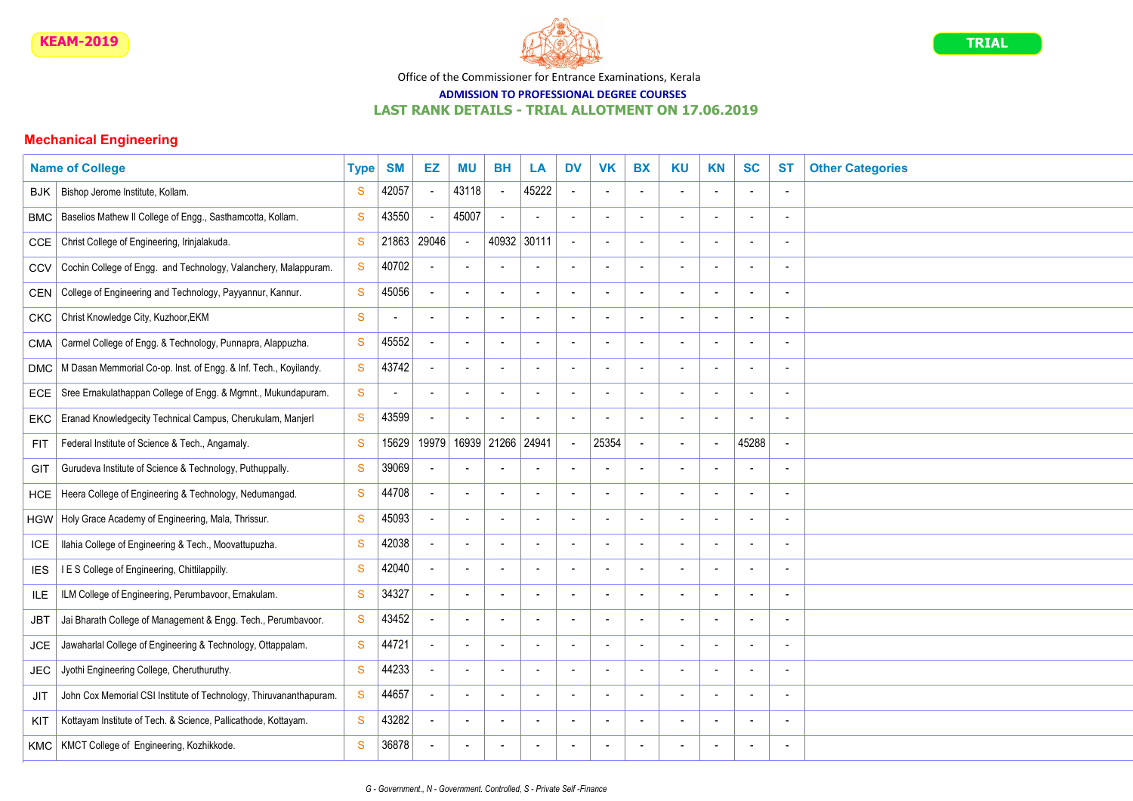

## ADMISSION TO PROFESSIONAL DEGREE COURSES

## LAST RANK DETAILS - TRIAL ALLOTMENT ON 17.06.2019

|            | <b>Name of College</b>                                             | <b>Type</b>   | <b>SM</b>      | EZ             | <b>MU</b>                | <b>BH</b>                | LA                       | <b>DV</b>                | <b>VK</b>                | <b>BX</b>                | KU                       | <b>KN</b>                | <b>SC</b>                | <b>ST</b> | <b>Other Categories</b> |
|------------|--------------------------------------------------------------------|---------------|----------------|----------------|--------------------------|--------------------------|--------------------------|--------------------------|--------------------------|--------------------------|--------------------------|--------------------------|--------------------------|-----------|-------------------------|
| <b>BJK</b> | Bishop Jerome Institute, Kollam.                                   | S             | 42057          |                | 43118                    | $\sim$                   | 45222                    | $\overline{a}$           | L,                       |                          | $\overline{a}$           |                          | $\blacksquare$           |           |                         |
| BMC        | Baselios Mathew II College of Engg., Sasthamcotta, Kollam.         | S             | 43550          |                | 45007                    | $\sim$                   |                          | $\sim$                   | $\overline{a}$           | $\overline{\phantom{a}}$ | $\overline{a}$           | $\blacksquare$           | $\sim$                   |           |                         |
| CCE        | Christ College of Engineering, Irinjalakuda.                       | S             | 21863          | 29046          |                          | 40932 30111              |                          | $\overline{\phantom{a}}$ | $\sim$                   | $\overline{\phantom{a}}$ | $\sim$                   | $\overline{\phantom{a}}$ | ÷,                       |           |                         |
| CCV        | Cochin College of Engg. and Technology, Valanchery, Malappuram.    | $\mathbf{s}$  | 40702          |                | $\sim$                   | $\sim$                   |                          | $\sim$                   | $\sim$                   | $\blacksquare$           | $\sim$                   |                          | $\sim$                   |           |                         |
| CEN        | College of Engineering and Technology, Payyannur, Kannur.          | ${\mathbf S}$ | 45056          |                |                          | $\blacksquare$           | $\overline{\phantom{a}}$ | $\overline{\phantom{a}}$ |                          | $\overline{\phantom{a}}$ | $\overline{\phantom{a}}$ |                          | $\overline{\phantom{a}}$ |           |                         |
| <b>CKC</b> | Christ Knowledge City, Kuzhoor, EKM                                | S             | $\blacksquare$ |                |                          |                          |                          | $\overline{\phantom{a}}$ |                          |                          |                          |                          | $\blacksquare$           |           |                         |
| CMA        | Carmel College of Engg. & Technology, Punnapra, Alappuzha.         | S             | 45552          |                | $\sim$                   | $\overline{\phantom{a}}$ | $\overline{\phantom{a}}$ | $\blacksquare$           |                          |                          | $\blacksquare$           |                          | $\blacksquare$           |           |                         |
| <b>DMC</b> | M Dasan Memmorial Co-op. Inst. of Engg. & Inf. Tech., Koyilandy.   | S             | 43742          |                | $\blacksquare$           | $\overline{\phantom{a}}$ | $\overline{\phantom{a}}$ | $\blacksquare$           | $\blacksquare$           |                          | $\overline{\phantom{a}}$ |                          | $\overline{\phantom{a}}$ |           |                         |
| ECE        | Sree Ernakulathappan College of Engg. & Mgmnt., Mukundapuram.      | S             | $\overline{a}$ |                | $\blacksquare$           | $\blacksquare$           | $\overline{\phantom{a}}$ | $\blacksquare$           | $\blacksquare$           | $\blacksquare$           | $\blacksquare$           |                          | $\blacksquare$           |           |                         |
| <b>EKC</b> | Eranad Knowledgecity Technical Campus, Cherukulam, Manjerl         | S             | 43599          |                | $\overline{a}$           | $\blacksquare$           | $\blacksquare$           | $\sim$                   | L,                       | $\overline{\phantom{a}}$ | $\overline{a}$           | $\overline{\phantom{a}}$ | $\sim$                   |           |                         |
| <b>FIT</b> | Federal Institute of Science & Tech., Angamaly.                    | S             | 15629          | 19979          | 16939                    | 21266 24941              |                          | $\mathbf{r}$             | 25354                    |                          | $\overline{a}$           |                          | 45288                    |           |                         |
| <b>GIT</b> | Gurudeva Institute of Science & Technology, Puthuppally.           | S             | 39069          |                |                          | $\blacksquare$           | $\blacksquare$           | $\blacksquare$           | ÷,                       | $\overline{\phantom{a}}$ | $\overline{a}$           |                          | $\blacksquare$           |           |                         |
| <b>HCE</b> | Heera College of Engineering & Technology, Nedumangad.             | S             | 44708          |                | $\overline{\phantom{a}}$ | $\blacksquare$           | $\overline{\phantom{a}}$ | $\blacksquare$           | $\overline{a}$           | $\overline{a}$           | $\overline{a}$           |                          | $\blacksquare$           |           |                         |
| HGW        | Holy Grace Academy of Engineering, Mala, Thrissur.                 | S             | 45093          | $\blacksquare$ | $\blacksquare$           | $\blacksquare$           | $\overline{\phantom{a}}$ | $\blacksquare$           | $\blacksquare$           | $\overline{\phantom{a}}$ | $\blacksquare$           | $\overline{\phantom{a}}$ | $\blacksquare$           |           |                         |
| <b>ICE</b> | Ilahia College of Engineering & Tech., Moovattupuzha.              | S             | 42038          |                |                          | $\blacksquare$           |                          | $\blacksquare$           |                          | $\overline{\phantom{a}}$ | $\blacksquare$           |                          | $\overline{a}$           |           |                         |
| <b>IES</b> | I E S College of Engineering, Chittilappilly.                      | S             | 42040          |                |                          | $\blacksquare$           | $\overline{a}$           | $\blacksquare$           |                          | $\overline{a}$           | $\overline{\phantom{a}}$ |                          | $\blacksquare$           |           |                         |
| ILE        | ILM College of Engineering, Perumbavoor, Ernakulam.                | S             | 34327          |                |                          | $\overline{\phantom{a}}$ |                          | $\overline{\phantom{a}}$ |                          |                          |                          |                          | $\overline{\phantom{a}}$ |           |                         |
| <b>JBT</b> | Jai Bharath College of Management & Engg. Tech., Perumbavoor.      | S             | 43452          |                | $\blacksquare$           | $\blacksquare$           | $\overline{\phantom{a}}$ | $\blacksquare$           | $\blacksquare$           | $\overline{\phantom{a}}$ | $\overline{a}$           |                          | $\blacksquare$           |           |                         |
| <b>JCE</b> | Jawaharlal College of Engineering & Technology, Ottappalam.        | S             | 44721          |                | $\overline{\phantom{a}}$ | $\overline{\phantom{a}}$ |                          | $\overline{\phantom{a}}$ | $\overline{\phantom{a}}$ |                          | $\overline{\phantom{a}}$ |                          | $\overline{\phantom{a}}$ |           |                         |
| <b>JEC</b> | Jyothi Engineering College, Cheruthuruthy.                         | S             | 44233          |                | $\blacksquare$           | $\blacksquare$           | $\overline{\phantom{a}}$ | $\blacksquare$           | $\overline{a}$           | $\overline{a}$           | $\sim$                   | $\overline{\phantom{a}}$ | $\blacksquare$           |           |                         |
| <b>JIT</b> | John Cox Memorial CSI Institute of Technology, Thiruvananthapuram. | ${\mathbf S}$ | 44657          |                | $\sim$                   | $\blacksquare$           | $\overline{\phantom{a}}$ | $\blacksquare$           | $\overline{a}$           | $\overline{\phantom{a}}$ | $\overline{a}$           | $\overline{\phantom{a}}$ | $\blacksquare$           |           |                         |
| KIT        | Kottayam Institute of Tech. & Science, Pallicathode, Kottayam.     | S             | 43282          |                | $\sim$                   | $\overline{\phantom{a}}$ | $\blacksquare$           | $\sim$                   | $\overline{a}$           | $\overline{\phantom{a}}$ | $\overline{a}$           |                          | $\blacksquare$           |           |                         |
| KMC.       | KMCT College of Engineering, Kozhikkode.                           | S             | 36878          |                | $\overline{a}$           | $\sim$                   | $\overline{\phantom{a}}$ | $\blacksquare$           | $\blacksquare$           | $\overline{\phantom{a}}$ | $\blacksquare$           |                          | $\blacksquare$           |           |                         |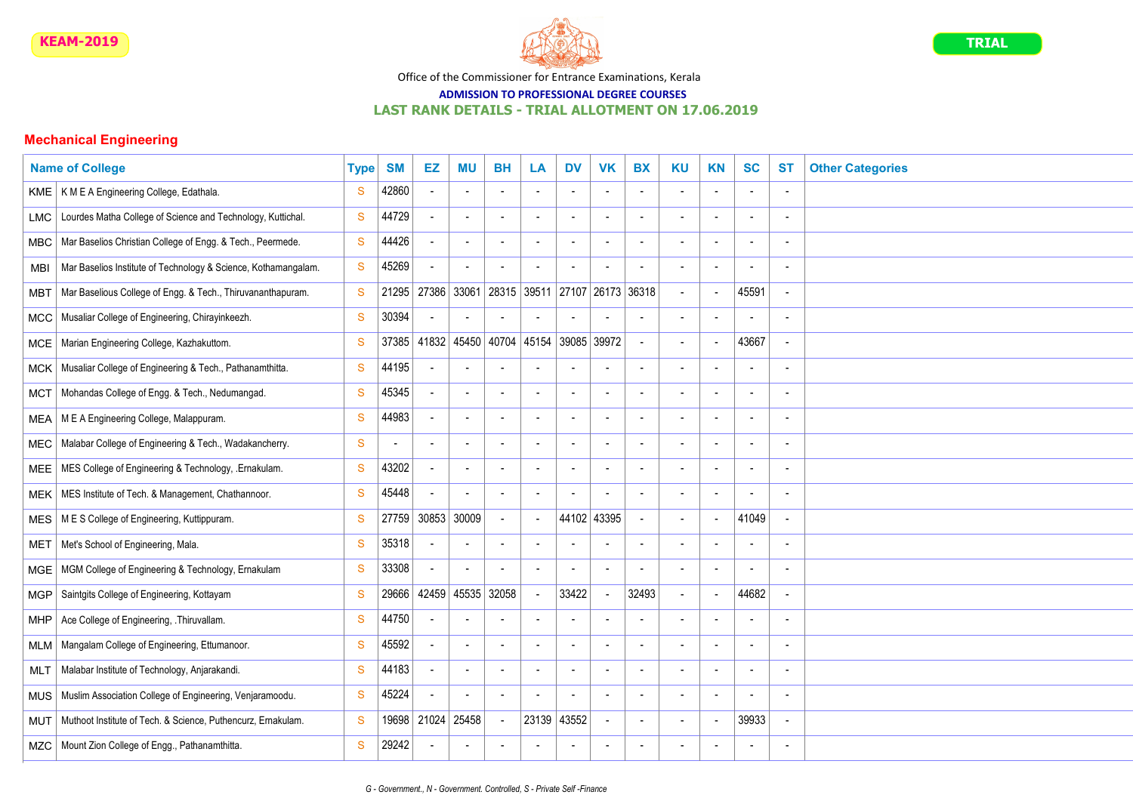

# ADMISSION TO PROFESSIONAL DEGREE COURSES

## LAST RANK DETAILS - TRIAL ALLOTMENT ON 17.06.2019

|            | <b>Name of College</b>                                         | <b>Type</b>  | <b>SM</b>      | EZ             | <b>MU</b>                | <b>BH</b>                | LA                       | <b>DV</b>                    | <b>VK</b>                | <b>BX</b>                | <b>KU</b>                | <b>KN</b>                | <b>SC</b>                | <b>ST</b>                | <b>Other Categories</b> |
|------------|----------------------------------------------------------------|--------------|----------------|----------------|--------------------------|--------------------------|--------------------------|------------------------------|--------------------------|--------------------------|--------------------------|--------------------------|--------------------------|--------------------------|-------------------------|
|            | KME   KMEA Engineering College, Edathala.                      | S            | 42860          |                |                          | $\sim$                   | $\overline{\phantom{a}}$ | $\sim$                       |                          |                          | $\overline{a}$           |                          | $\overline{a}$           |                          |                         |
| <b>LMC</b> | Lourdes Matha College of Science and Technology, Kuttichal.    | S            | 44729          |                | $\overline{\phantom{a}}$ | $\sim$                   | $\overline{\phantom{a}}$ | $\blacksquare$               | $\blacksquare$           | $\overline{a}$           | $\overline{a}$           | $\overline{a}$           | $\overline{\phantom{a}}$ |                          |                         |
| MBC.       | Mar Baselios Christian College of Engg. & Tech., Peermede.     | S            | 44426          |                | $\blacksquare$           | $\overline{\phantom{a}}$ | $\overline{\phantom{a}}$ | $\blacksquare$               | $\blacksquare$           | $\overline{\phantom{a}}$ | $\overline{a}$           | $\overline{\phantom{a}}$ | $\overline{\phantom{a}}$ |                          |                         |
| <b>MBI</b> | Mar Baselios Institute of Technology & Science, Kothamangalam. | S            | 45269          |                | $\overline{\phantom{a}}$ | $\sim$                   | $\overline{\phantom{a}}$ | $\blacksquare$               | $\blacksquare$           | $\overline{\phantom{a}}$ | $\blacksquare$           |                          | $\overline{\phantom{a}}$ |                          |                         |
| MBT        | Mar Baselious College of Engg. & Tech., Thiruvananthapuram.    | <sub>S</sub> | 21295          | 27386          | 33061                    |                          | 28315 39511              | 27107                        | 26173 36318              |                          | $\overline{a}$           |                          | 45591                    | $\overline{\phantom{a}}$ |                         |
| <b>MCC</b> | Musaliar College of Engineering, Chirayinkeezh.                | S            | 30394          |                |                          |                          |                          | ۰                            |                          |                          | $\overline{\phantom{a}}$ |                          | $\overline{\phantom{a}}$ |                          |                         |
| MCE        | Marian Engineering College, Kazhakuttom.                       | <sub>S</sub> | 37385          | 41832          | 45450                    |                          | 40704 45154              | 39085                        | 39972                    |                          | $\overline{a}$           |                          | 43667                    |                          |                         |
| MCK        | Musaliar College of Engineering & Tech., Pathanamthitta.       | S            | 44195          |                |                          | $\overline{\phantom{a}}$ |                          | $\qquad \qquad \blacksquare$ | $\overline{\phantom{a}}$ |                          | $\overline{\phantom{a}}$ |                          | $\overline{\phantom{a}}$ |                          |                         |
| MCT        | Mohandas College of Engg. & Tech., Nedumangad.                 | S            | 45345          |                | $\blacksquare$           | $\sim$                   | $\overline{\phantom{a}}$ | $\overline{\phantom{a}}$     | $\overline{\phantom{a}}$ | $\overline{\phantom{a}}$ | $\overline{a}$           | $\overline{\phantom{a}}$ | $\overline{\phantom{a}}$ |                          |                         |
| MEA        | M E A Engineering College, Malappuram.                         | S            | 44983          |                | $\blacksquare$           | $\sim$                   | $\overline{\phantom{a}}$ | $\blacksquare$               | $\overline{\phantom{a}}$ | $\overline{\phantom{a}}$ | $\overline{a}$           |                          | $\overline{\phantom{a}}$ |                          |                         |
| MEC        | Malabar College of Engineering & Tech., Wadakancherry.         | S            | $\blacksquare$ | $\blacksquare$ | $\overline{\phantom{a}}$ | $\sim$                   | $\overline{\phantom{a}}$ | $\blacksquare$               | $\blacksquare$           | $\overline{\phantom{a}}$ | $\overline{a}$           | $\overline{\phantom{a}}$ | $\overline{\phantom{a}}$ |                          |                         |
| <b>MEE</b> | MES College of Engineering & Technology, Ernakulam.            | S            | 43202          | $\overline{a}$ | $\blacksquare$           | $\sim$                   | $\blacksquare$           | $\blacksquare$               | $\blacksquare$           | $\overline{\phantom{a}}$ | $\blacksquare$           |                          | $\blacksquare$           |                          |                         |
| MEK        | MES Institute of Tech. & Management, Chathannoor.              | S            | 45448          |                |                          | $\overline{\phantom{a}}$ | $\overline{\phantom{a}}$ | $\overline{a}$               |                          |                          |                          |                          | ٠                        |                          |                         |
| <b>MES</b> | M E S College of Engineering, Kuttippuram.                     | S            | 27759          | 30853 30009    |                          | $\sim$                   | $\overline{\phantom{a}}$ | 44102 43395                  |                          |                          | $\overline{a}$           |                          | 41049                    |                          |                         |
| MET        | Met's School of Engineering, Mala.                             | <sub>S</sub> | 35318          |                |                          | $\sim$                   | $\overline{\phantom{a}}$ | $\blacksquare$               |                          |                          | $\overline{\phantom{a}}$ |                          | $\blacksquare$           |                          |                         |
| <b>MGE</b> | MGM College of Engineering & Technology, Ernakulam             | S            | 33308          |                |                          | $\blacksquare$           | $\overline{\phantom{a}}$ | $\overline{a}$               | $\sim$                   |                          | $\overline{a}$           |                          | $\blacksquare$           |                          |                         |
| <b>MGP</b> | Saintgits College of Engineering, Kottayam                     | <sub>S</sub> | 29666          | 42459          | 45535                    | 32058                    |                          | 33422                        | $\overline{a}$           | 32493                    | $\sim$                   |                          | 44682                    |                          |                         |
| <b>MHP</b> | Ace College of Engineering, .Thiruvallam.                      | S            | 44750          |                |                          | $\overline{\phantom{a}}$ | $\overline{\phantom{a}}$ | $\overline{\phantom{a}}$     | $\overline{\phantom{a}}$ | $\overline{\phantom{a}}$ | $\overline{a}$           |                          | $\overline{\phantom{a}}$ |                          |                         |
| MLM        | Mangalam College of Engineering, Ettumanoor.                   | S            | 45592          |                | $\blacksquare$           | $\sim$                   | $\overline{\phantom{a}}$ | $\blacksquare$               | $\overline{a}$           | $\overline{\phantom{a}}$ | $\overline{a}$           | $\overline{\phantom{a}}$ | $\overline{\phantom{a}}$ |                          |                         |
| MLT        | Malabar Institute of Technology, Anjarakandi.                  | S            | 44183          | $\blacksquare$ | $\blacksquare$           | $\sim$                   | $\overline{\phantom{a}}$ | $\overline{\phantom{a}}$     | $\blacksquare$           | $\overline{\phantom{a}}$ | $\blacksquare$           |                          | $\overline{\phantom{a}}$ |                          |                         |
| MUS        | Muslim Association College of Engineering, Venjaramoodu.       | <sub>S</sub> | 45224          |                |                          | $\sim$                   |                          | $\blacksquare$               |                          | $\overline{\phantom{a}}$ | $\blacksquare$           |                          | $\overline{a}$           |                          |                         |
| MUT        | Muthoot Institute of Tech. & Science, Puthencurz, Ernakulam.   | S            | 19698          | 21024          | 25458                    | $\overline{a}$           | 23139                    | 43552                        |                          |                          |                          |                          | 39933                    |                          |                         |
| MZC        | Mount Zion College of Engg., Pathanamthitta.                   | S            | 29242          |                |                          | $\overline{\phantom{a}}$ |                          |                              | $\overline{a}$           |                          |                          |                          | $\overline{\phantom{a}}$ |                          |                         |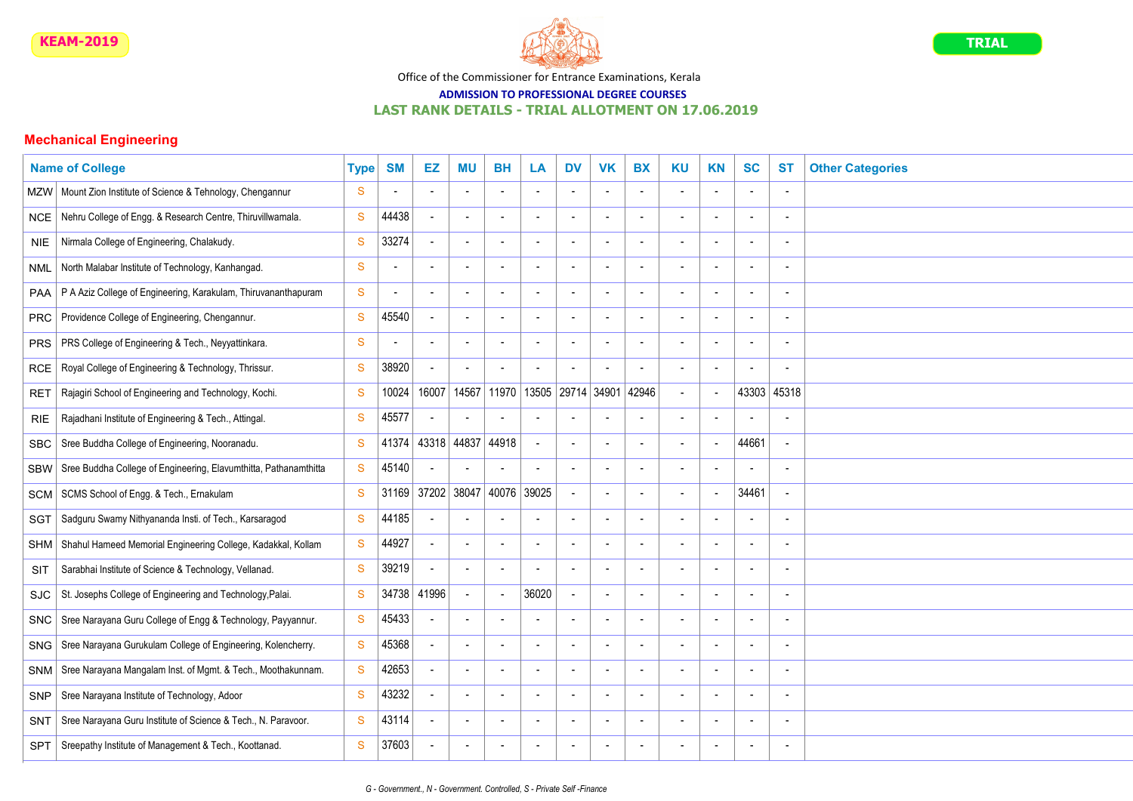

## ADMISSION TO PROFESSIONAL DEGREE COURSES

## LAST RANK DETAILS - TRIAL ALLOTMENT ON 17.06.2019

|            | <b>Name of College</b>                                           | <b>Type</b>  | <b>SM</b>      | EZ                       | <b>MU</b>                | <b>BH</b>                | LA                       | <b>DV</b>                | <b>VK</b>                | <b>BX</b>                | <b>KU</b>                | <b>KN</b>                | <b>SC</b>                | <b>ST</b>                | <b>Other Categories</b> |
|------------|------------------------------------------------------------------|--------------|----------------|--------------------------|--------------------------|--------------------------|--------------------------|--------------------------|--------------------------|--------------------------|--------------------------|--------------------------|--------------------------|--------------------------|-------------------------|
| <b>MZW</b> | Mount Zion Institute of Science & Tehnology, Chengannur          | S            | $\blacksquare$ |                          |                          | $\blacksquare$           | $\blacksquare$           | $\sim$                   | L.                       |                          | $\blacksquare$           |                          | $\blacksquare$           |                          |                         |
| <b>NCE</b> | Nehru College of Engg. & Research Centre, Thiruvillwamala.       | S            | 44438          |                          |                          | $\blacksquare$           | $\overline{\phantom{a}}$ | $\blacksquare$           | ÷,                       | $\overline{\phantom{a}}$ | $\overline{a}$           |                          | $\blacksquare$           |                          |                         |
| <b>NIE</b> | Nirmala College of Engineering, Chalakudy.                       | S            | 33274          |                          | $\blacksquare$           | $\blacksquare$           | $\overline{\phantom{a}}$ | $\blacksquare$           | $\overline{\phantom{a}}$ | $\overline{\phantom{a}}$ | $\blacksquare$           |                          | $\overline{\phantom{a}}$ |                          |                         |
| NML        | North Malabar Institute of Technology, Kanhangad.                | S            | $\blacksquare$ | $\overline{\phantom{a}}$ | $\overline{\phantom{a}}$ | $\blacksquare$           | $\overline{\phantom{a}}$ | $\blacksquare$           | $\overline{a}$           | $\overline{\phantom{a}}$ | $\overline{\phantom{a}}$ |                          | $\overline{\phantom{a}}$ |                          |                         |
| <b>PAA</b> | P A Aziz College of Engineering, Karakulam, Thiruvananthapuram   | <sub>S</sub> | $\blacksquare$ |                          |                          | $\blacksquare$           | $\blacksquare$           | $\blacksquare$           |                          | $\overline{\phantom{a}}$ | $\blacksquare$           |                          | $\overline{a}$           |                          |                         |
| PRC        | Providence College of Engineering, Chengannur.                   | S            | 45540          |                          |                          | $\overline{a}$           | $\overline{\phantom{a}}$ | $\sim$                   |                          |                          |                          |                          | $\blacksquare$           |                          |                         |
| <b>PRS</b> | PRS College of Engineering & Tech., Neyyattinkara.               | S            | $\blacksquare$ |                          |                          | $\blacksquare$           |                          | $\blacksquare$           |                          |                          | $\blacksquare$           |                          | $\blacksquare$           |                          |                         |
| <b>RCE</b> | Royal College of Engineering & Technology, Thrissur.             | S            | 38920          |                          |                          | $\blacksquare$           |                          | $\blacksquare$           |                          |                          | $\blacksquare$           |                          | $\overline{a}$           |                          |                         |
| <b>RET</b> | Rajagiri School of Engineering and Technology, Kochi.            | S            | 10024          | 16007                    | 14567                    |                          | 11970 13505              | 29714                    | 34901                    | 42946                    | $\blacksquare$           |                          | 43303                    | 45318                    |                         |
| <b>RIE</b> | Rajadhani Institute of Engineering & Tech., Attingal.            | S            | 45577          | $\blacksquare$           |                          | $\overline{\phantom{a}}$ | $\overline{\phantom{a}}$ | $\overline{\phantom{a}}$ | $\blacksquare$           | $\overline{\phantom{a}}$ | $\overline{\phantom{a}}$ | $\overline{\phantom{a}}$ | $\overline{\phantom{a}}$ |                          |                         |
| <b>SBC</b> | Sree Buddha College of Engineering, Nooranadu.                   | S            | 41374          | 43318                    | 44837                    | 44918                    |                          | $\sim$                   | $\overline{a}$           | $\overline{\phantom{a}}$ | $\overline{a}$           |                          | 44661                    |                          |                         |
| <b>SBW</b> | Sree Buddha College of Engineering, Elavumthitta, Pathanamthitta | S            | 45140          |                          |                          | $\overline{\phantom{a}}$ |                          | $\overline{\phantom{a}}$ | ÷,                       |                          | $\overline{a}$           |                          | $\overline{\phantom{a}}$ |                          |                         |
| <b>SCM</b> | SCMS School of Engg. & Tech., Ernakulam                          | S            | 31169          | 37202                    | 38047                    | 40076 39025              |                          | $\overline{\phantom{a}}$ | $\sim$                   | $\blacksquare$           | $\sim$                   | $\blacksquare$           | 34461                    |                          |                         |
| <b>SGT</b> | Sadguru Swamy Nithyananda Insti. of Tech., Karsaragod            | S            | 44185          | $\blacksquare$           | $\overline{\phantom{a}}$ | $\blacksquare$           | $\overline{\phantom{a}}$ | $\blacksquare$           | $\blacksquare$           | $\overline{\phantom{a}}$ | $\blacksquare$           | $\overline{\phantom{a}}$ | $\blacksquare$           | $\overline{\phantom{a}}$ |                         |
| <b>SHM</b> | Shahul Hameed Memorial Engineering College, Kadakkal, Kollam     | S            | 44927          |                          | $\blacksquare$           | $\blacksquare$           |                          | $\blacksquare$           | $\overline{a}$           |                          | $\overline{a}$           |                          | $\overline{\phantom{a}}$ |                          |                         |
| SIT        | Sarabhai Institute of Science & Technology, Vellanad.            | $\mathbf{s}$ | 39219          |                          | $\sim$                   | $\sim$                   |                          | $\sim$                   | L.                       | $\overline{\phantom{a}}$ | $\overline{a}$           | ٠.                       | $\sim$                   |                          |                         |
| <b>SJC</b> | St. Josephs College of Engineering and Technology, Palai.        | S            | 34738          | 41996                    | $\sim$                   | $\overline{a}$           | 36020                    | $\sim$                   | L.                       |                          |                          |                          | $\blacksquare$           |                          |                         |
| <b>SNC</b> | Sree Narayana Guru College of Engg & Technology, Payyannur.      | S            | 45433          |                          | $\overline{\phantom{a}}$ | $\overline{\phantom{a}}$ |                          | $\blacksquare$           | $\overline{a}$           | $\overline{\phantom{a}}$ | $\overline{a}$           |                          | $\overline{\phantom{a}}$ |                          |                         |
| <b>SNG</b> | Sree Narayana Gurukulam College of Engineering, Kolencherry.     | S            | 45368          |                          | $\overline{\phantom{a}}$ | $\overline{\phantom{a}}$ |                          | $\overline{\phantom{a}}$ | $\overline{\phantom{a}}$ |                          | $\overline{\phantom{a}}$ |                          | $\overline{\phantom{a}}$ |                          |                         |
| SNM        | Sree Narayana Mangalam Inst. of Mgmt. & Tech., Moothakunnam.     | S            | 42653          | $\blacksquare$           | $\blacksquare$           | $\blacksquare$           | $\overline{\phantom{a}}$ | $\blacksquare$           | $\overline{a}$           | $\overline{\phantom{a}}$ | $\sim$                   | $\overline{\phantom{a}}$ | $\blacksquare$           |                          |                         |
| <b>SNP</b> | Sree Narayana Institute of Technology, Adoor                     | S            | 43232          |                          | $\sim$                   | $\blacksquare$           | $\overline{\phantom{a}}$ | $\blacksquare$           | $\blacksquare$           | $\overline{\phantom{a}}$ | $\overline{a}$           |                          | $\overline{\phantom{a}}$ |                          |                         |
| <b>SNT</b> | Sree Narayana Guru Institute of Science & Tech., N. Paravoor.    | S            | 43114          |                          | $\sim$                   | $\overline{\phantom{a}}$ | $\blacksquare$           | $\sim$                   | $\overline{a}$           | $\overline{\phantom{a}}$ | $\overline{a}$           |                          | $\blacksquare$           |                          |                         |
| <b>SPT</b> | Sreepathy Institute of Management & Tech., Koottanad.            | S            | 37603          |                          | $\sim$                   | $\sim$                   |                          | $\blacksquare$           | $\blacksquare$           | <b>-</b>                 | $\blacksquare$           |                          | ٠                        |                          |                         |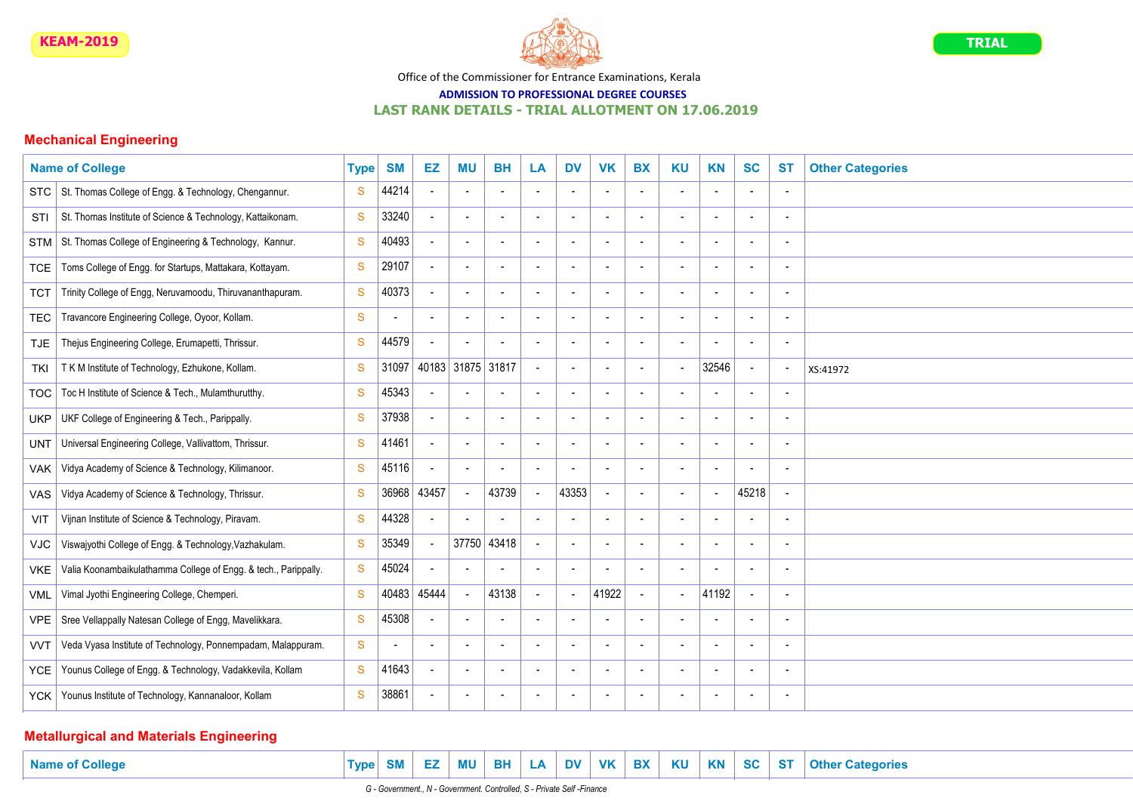

## ADMISSION TO PROFESSIONAL DEGREE COURSES

### LAST RANK DETAILS - TRIAL ALLOTMENT ON 17.06.2019

## Mechanical Engineering

|            | <b>Name of College</b>                                          | <b>Type</b>  | <b>SM</b>                | EZ             | MU                       | <b>BH</b>                | LA                       | <b>DV</b>                | <b>VK</b>                | <b>BX</b>                | <b>KU</b>                | <b>KN</b>                | <b>SC</b>                | <b>ST</b>                | <b>Other Categories</b> |
|------------|-----------------------------------------------------------------|--------------|--------------------------|----------------|--------------------------|--------------------------|--------------------------|--------------------------|--------------------------|--------------------------|--------------------------|--------------------------|--------------------------|--------------------------|-------------------------|
| STC        | St. Thomas College of Engg. & Technology, Chengannur.           | S            | 44214                    |                |                          |                          |                          |                          |                          |                          |                          |                          | $\blacksquare$           |                          |                         |
| STI        | St. Thomas Institute of Science & Technology, Kattaikonam.      | <sub>S</sub> | 33240                    |                | $\blacksquare$           | $\overline{\phantom{a}}$ | $\overline{\phantom{a}}$ | $\blacksquare$           | $\overline{\phantom{a}}$ | $\overline{\phantom{a}}$ | $\overline{\phantom{a}}$ |                          | $\overline{\phantom{a}}$ |                          |                         |
| <b>STM</b> | St. Thomas College of Engineering & Technology, Kannur.         | S            | 40493                    |                | $\blacksquare$           | $\sim$                   | $\overline{\phantom{a}}$ | $\sim$                   | $\blacksquare$           | $\overline{\phantom{a}}$ | $\blacksquare$           | $\overline{\phantom{a}}$ | $\blacksquare$           | $\overline{\phantom{a}}$ |                         |
| <b>TCE</b> | Toms College of Engg. for Startups, Mattakara, Kottayam.        | S            | 29107                    |                |                          | $\overline{a}$           |                          | $\overline{a}$           |                          |                          |                          |                          | $\overline{a}$           |                          |                         |
| <b>TCT</b> | Trinity College of Engg, Neruvamoodu, Thiruvananthapuram.       | <sub>S</sub> | 40373                    |                | $\sim$                   | $\sim$                   | $\blacksquare$           | $\sim$                   | $\overline{a}$           | $\overline{\phantom{a}}$ | $\overline{a}$           | $\overline{\phantom{a}}$ | $\blacksquare$           |                          |                         |
| <b>TEC</b> | Travancore Engineering College, Oyoor, Kollam.                  | S            | $\blacksquare$           |                |                          | $\overline{\phantom{a}}$ | $\overline{\phantom{a}}$ | $\blacksquare$           |                          |                          | $\blacksquare$           |                          | $\overline{\phantom{a}}$ |                          |                         |
| TJE        | Thejus Engineering College, Erumapetti, Thrissur.               | S            | 44579                    |                |                          | $\overline{\phantom{a}}$ | $\overline{\phantom{a}}$ | $\overline{\phantom{a}}$ | $\overline{\phantom{a}}$ | $\overline{\phantom{a}}$ | $\overline{\phantom{a}}$ |                          | $\overline{\phantom{a}}$ |                          |                         |
| <b>TKI</b> | T K M Institute of Technology, Ezhukone, Kollam.                | S            | 31097                    | 40183          | 31875                    | 31817                    |                          | $\sim$                   | $\blacksquare$           | $\overline{\phantom{a}}$ | $\overline{a}$           | 32546                    | $\sim$                   | $\overline{\phantom{a}}$ | XS:41972                |
| <b>TOC</b> | Toc H Institute of Science & Tech., Mulamthurutthy.             | S            | 45343                    |                |                          | $\overline{\phantom{a}}$ | $\overline{\phantom{a}}$ | $\overline{\phantom{a}}$ |                          |                          |                          |                          | $\overline{\phantom{a}}$ |                          |                         |
| <b>UKP</b> | UKF College of Engineering & Tech., Parippally.                 | <sub>S</sub> | 37938                    |                | $\blacksquare$           | $\sim$                   | $\overline{\phantom{a}}$ | $\blacksquare$           | $\blacksquare$           | $\overline{\phantom{a}}$ | $\overline{a}$           | $\overline{\phantom{a}}$ | $\overline{\phantom{a}}$ |                          |                         |
| <b>UNT</b> | Universal Engineering College, Vallivattom, Thrissur.           | S            | 41461                    | $\blacksquare$ | $\blacksquare$           | $\overline{\phantom{a}}$ |                          | $\blacksquare$           |                          |                          | $\blacksquare$           |                          | $\overline{\phantom{a}}$ |                          |                         |
| <b>VAK</b> | Vidya Academy of Science & Technology, Kilimanoor.              | S            | 45116                    |                | $\overline{\phantom{a}}$ | $\overline{\phantom{a}}$ | $\overline{\phantom{a}}$ | $\blacksquare$           | $\blacksquare$           | $\overline{\phantom{a}}$ | $\blacksquare$           |                          | $\overline{\phantom{a}}$ |                          |                         |
| <b>VAS</b> | Vidya Academy of Science & Technology, Thrissur.                | <sub>S</sub> | 36968                    | 43457          |                          | 43739                    |                          | 43353                    | $\blacksquare$           | $\overline{\phantom{a}}$ | $\blacksquare$           | $\overline{\phantom{a}}$ | 45218                    |                          |                         |
| VIT        | Vijnan Institute of Science & Technology, Piravam.              | <sub>S</sub> | 44328                    |                |                          |                          |                          | $\overline{\phantom{a}}$ | ٠                        | $\overline{\phantom{a}}$ |                          |                          | $\overline{\phantom{a}}$ |                          |                         |
| <b>VJC</b> | Viswajyothi College of Engg. & Technology, Vazhakulam.          | S            | 35349                    |                | 37750                    | 43418                    |                          | $\sim$                   | $\blacksquare$           | $\overline{\phantom{a}}$ | $\overline{a}$           | $\overline{\phantom{a}}$ | $\overline{\phantom{a}}$ |                          |                         |
| <b>VKE</b> | Valia Koonambaikulathamma College of Engg. & tech., Parippally. | S            | 45024                    |                |                          |                          | $\overline{\phantom{a}}$ | $\overline{a}$           |                          |                          | $\blacksquare$           |                          | $\overline{\phantom{a}}$ |                          |                         |
| <b>VML</b> | Vimal Jyothi Engineering College, Chemperi.                     | S            | 40483                    | 45444          |                          | 43138                    | $\sim$                   | $\sim$                   | 41922                    |                          | $\overline{a}$           | 41192                    | $\overline{\phantom{a}}$ |                          |                         |
| <b>VPE</b> | Sree Vellappally Natesan College of Engg, Mavelikkara.          | S            | 45308                    |                |                          | $\overline{\phantom{a}}$ | $\overline{\phantom{a}}$ | $\overline{\phantom{a}}$ | $\overline{\phantom{a}}$ | $\overline{\phantom{a}}$ | $\overline{a}$           |                          | $\overline{\phantom{a}}$ |                          |                         |
| <b>VVT</b> | Veda Vyasa Institute of Technology, Ponnempadam, Malappuram.    | S            | $\overline{\phantom{a}}$ |                |                          | $\overline{\phantom{a}}$ | $\overline{\phantom{a}}$ | $\blacksquare$           | ٠                        | $\overline{\phantom{a}}$ | $\overline{\phantom{a}}$ |                          | $\overline{\phantom{a}}$ |                          |                         |
| <b>YCE</b> | Younus College of Engg. & Technology, Vadakkevila, Kollam       | S            | 41643                    | $\blacksquare$ | $\overline{\phantom{a}}$ | $\overline{\phantom{a}}$ | $\overline{\phantom{a}}$ | $\overline{\phantom{a}}$ | $\blacksquare$           | $\overline{\phantom{a}}$ | $\sim$                   | $\overline{\phantom{a}}$ | $\overline{\phantom{a}}$ |                          |                         |
| YCK        | Younus Institute of Technology, Kannanaloor, Kollam             | S            | 38861                    |                | $\overline{\phantom{a}}$ | $\overline{\phantom{a}}$ | $\overline{\phantom{a}}$ | $\blacksquare$           | $\overline{\phantom{a}}$ | $\overline{\phantom{a}}$ | $\overline{\phantom{a}}$ |                          | $\overline{\phantom{a}}$ | $\overline{\phantom{a}}$ |                         |

## Metallurgical and Materials Engineering

**Name of College** 

|  |  |  |  |  |  |  | $ Type SM EZ MU BH LA DV VK BX  KU KN SC ST Other Categories$ |
|--|--|--|--|--|--|--|---------------------------------------------------------------|
|  |  |  |  |  |  |  |                                                               |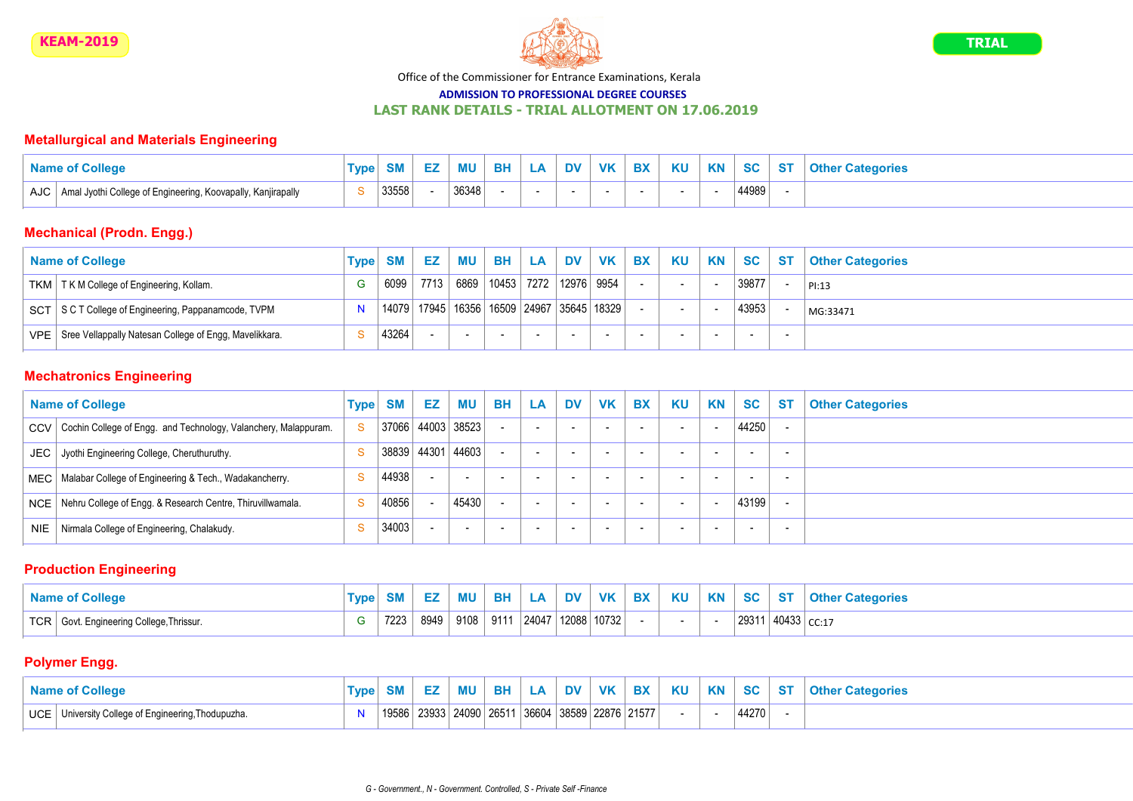

#### ADMISSION TO PROFESSIONAL DEGREE COURSES

#### LAST RANK DETAILS - TRIAL ALLOTMENT ON 17.06.2019

## Metallurgical and Materials Engineering

|     | wiicur                                                       | וווט  | <b>C</b> | <b>MU</b> | <b>BH</b> | IΑ | <b>DV</b> | <b>VK</b> | <b>BX</b> | <b>KU</b> | <b>KN</b> | $\sim$<br>ືວບ | оı | <b>Other</b><br>ਾ Categories । |
|-----|--------------------------------------------------------------|-------|----------|-----------|-----------|----|-----------|-----------|-----------|-----------|-----------|---------------|----|--------------------------------|
| AJC | Amal Jyothi College of Engineering, Koovapally, Kanjirapally | 33558 |          | 36348     |           |    |           |           |           |           |           | 44989         |    |                                |

## Mechanical (Prodn. Engg.)

|            | <b>Name of College</b>                                 | Type SM |       | EZ                                            | <b>MU BH</b>                       |        | LA DV  | VK     | <b>BX</b> | KU             | KN                       | SC <sub>1</sub> | <b>ST</b> | <b>Other Categories</b> |
|------------|--------------------------------------------------------|---------|-------|-----------------------------------------------|------------------------------------|--------|--------|--------|-----------|----------------|--------------------------|-----------------|-----------|-------------------------|
| <b>TKM</b> | T K M College of Engineering, Kollam.                  |         | 6099  | 7713                                          | 6869   10453   7272   12976   9954 |        |        |        |           | $\overline{a}$ |                          | 39877           |           | PI:13                   |
|            | SCT S C T College of Engineering, Pappanamcode, TVPM   |         | 14079 | 17945   16356   16509   24967   35645   18329 |                                    |        |        |        |           | $\sim$         |                          | 43953           |           | MG:33471                |
| VPE        | Sree Vellappally Natesan College of Engg, Mavelikkara. |         | 43264 |                                               |                                    | $\sim$ | $\sim$ | $\sim$ |           | $\sim$         | $\overline{\phantom{a}}$ | $\sim$          | $\sim$    |                         |

## Mechatronics Engineering

|            | <b>Name of College</b>                                           | <b>Type</b> | <b>SM</b> | EZ | <b>MU</b>                | <b>BH</b> | <b>LA</b>                | <b>DV</b>                | <b>VK</b>                | <b>BX</b> | <b>KU</b> | <b>KN</b>                | <b>SC</b>                | <b>ST</b> | <b>Other Categories</b> |
|------------|------------------------------------------------------------------|-------------|-----------|----|--------------------------|-----------|--------------------------|--------------------------|--------------------------|-----------|-----------|--------------------------|--------------------------|-----------|-------------------------|
| CCV        | Cochin College of Engg. and Technology, Valanchery, Malappuram.  |             |           |    | 37066 44003 38523        |           |                          | $\overline{\phantom{a}}$ | $\sim$                   | $\sim$    | $\sim$    |                          | 44250                    |           |                         |
| JEC        | Jyothi Engineering College, Cheruthuruthy.                       |             |           |    | 38839 44301 44603        |           |                          | $\overline{\phantom{a}}$ | $\overline{\phantom{a}}$ |           | $\sim$    | $\overline{\phantom{a}}$ | $\overline{\phantom{a}}$ | -         |                         |
|            | MEC   Malabar College of Engineering & Tech., Wadakancherry.     | S.          | 44938     |    | $\overline{\phantom{0}}$ | $\sim$    |                          | $\overline{\phantom{a}}$ | $\sim$                   |           | $\sim$    |                          | $\overline{\phantom{0}}$ | . .       |                         |
|            | NCE   Nehru College of Engg. & Research Centre, Thiruvillwamala. | S           | 40856     |    | 45430                    |           |                          | $\overline{\phantom{a}}$ | $\sim$                   |           | $\sim$    |                          | 43199                    |           |                         |
| <b>NIE</b> | Nirmala College of Engineering, Chalakudy.                       |             | 34003     |    | $\sim$                   | $\sim$    | $\overline{\phantom{a}}$ | $\overline{\phantom{a}}$ | $\sim$                   |           | $\sim$    | $\sim$                   | $\overline{\phantom{a}}$ | . .       |                         |

## Production Engineering

| <b>Name of College</b>                   | <b>Type</b> | SM   | <b>MU BH</b> | <b>LA</b>                               | <b>DV</b> | VK BX | KU | <b>KN</b> | SC <sub>1</sub> | ST                | <b>Other Categories</b> |
|------------------------------------------|-------------|------|--------------|-----------------------------------------|-----------|-------|----|-----------|-----------------|-------------------|-------------------------|
| TCR Govt. Engineering College, Thrissur. |             | 7223 |              | 8949   9108   9111  24047  12088  10732 |           |       |    |           | 29311           | $ 40433 _{CC:17}$ |                         |

## Polymer Engg.

| <b>Name of College</b>                               | <b>Type</b> |       | EZ   MU   BH |  | LA DV VK | BX KU |  | KN SC     |  |
|------------------------------------------------------|-------------|-------|--------------|--|----------|-------|--|-----------|--|
| UCE   University College of Engineering, Thodupuzha. |             | 19586 |              |  |          |       |  | $14270 +$ |  |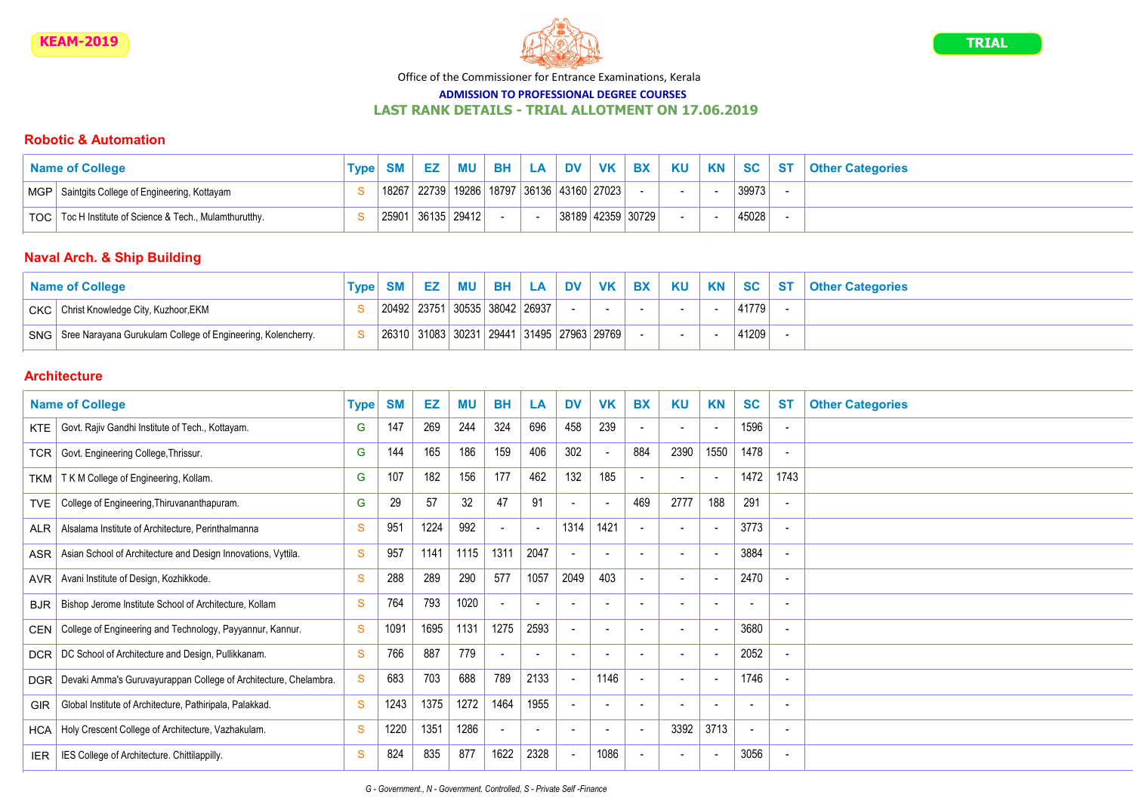

#### ADMISSION TO PROFESSIONAL DEGREE COURSES

#### LAST RANK DETAILS - TRIAL ALLOTMENT ON 17.06.2019

#### Robotic & Automation

| <b>Name of College</b>                                    | <b>Type</b> | <b>SM</b> |                       | EZ   MU   BH |  | LA   DV   VK   BX   KU                        |  |  | KN SC ST | <b>Other Categories</b> |
|-----------------------------------------------------------|-------------|-----------|-----------------------|--------------|--|-----------------------------------------------|--|--|----------|-------------------------|
| MGP   Saintgits College of Engineering, Kottayam          |             | 18267     |                       |              |  | 22739   19286   18797   36136   43160   27023 |  |  | 39973    |                         |
| TOC   Toc H Institute of Science & Tech., Mulamthurutthy. |             |           | 25901   36135   29412 |              |  | 38189 42359 30729                             |  |  | 45028    |                         |

## Naval Arch. & Ship Building

| <b>Name of College</b>                                           | <b>T</b> vpe |  |                                                       |  |        |        |       | EZ   MU   BH   LA   DV   VK   BX   KU   KN   SC   ST   Other Categories |
|------------------------------------------------------------------|--------------|--|-------------------------------------------------------|--|--------|--------|-------|-------------------------------------------------------------------------|
| CKC   Christ Knowledge City, Kuzhoor, EKM                        |              |  | 20492   23751   30535   38042   26937                 |  | $\sim$ |        | 41779 |                                                                         |
| SNG Sree Narayana Gurukulam College of Engineering, Kolencherry. |              |  | 26310   31083   30231   29441   31495   27963   29769 |  |        | $\sim$ | 41209 |                                                                         |

### **Architecture**

|            | <b>Name of College</b>                                           | <b>Type</b>  | <b>SM</b> | EZ   | <b>MU</b> | <b>BH</b>                | LA   | <b>DV</b>                | <b>VK</b>                | <b>BX</b>      | <b>KU</b>                | <b>KN</b> | <b>SC</b>                | <b>ST</b>                | <b>Other Categories</b> |
|------------|------------------------------------------------------------------|--------------|-----------|------|-----------|--------------------------|------|--------------------------|--------------------------|----------------|--------------------------|-----------|--------------------------|--------------------------|-------------------------|
| KTE I      | Govt. Rajiv Gandhi Institute of Tech., Kottayam.                 | G            | 147       | 269  | 244       | 324                      | 696  | 458                      | 239                      |                | $\overline{\phantom{a}}$ |           | 1596                     |                          |                         |
| TCR I      | Govt. Engineering College, Thrissur.                             | G            | 144       | 165  | 186       | 159                      | 406  | 302                      |                          | 884            | 2390                     | 1550      | 1478                     |                          |                         |
|            | TKM   TKM College of Engineering, Kollam.                        | G            | 107       | 182  | 156       | 177                      | 462  | 132                      | 185                      |                | $\overline{\phantom{a}}$ |           | 1472                     | 1743                     |                         |
| TVE        | College of Engineering, Thiruvananthapuram.                      | G            | 29        | 57   | 32        | 47                       | 91   | $\overline{\phantom{a}}$ | $\blacksquare$           | 469            | 2777                     | 188       | 291                      |                          |                         |
| <b>ALR</b> | Alsalama Institute of Architecture, Perinthalmanna               | S            | 951       | 1224 | 992       | $\blacksquare$           |      | 1314                     | 1421                     | $\blacksquare$ | $\blacksquare$           |           | 3773                     |                          |                         |
| <b>ASR</b> | Asian School of Architecture and Design Innovations, Vyttila.    | S            | 957       | 1141 | 1115      | 1311                     | 2047 | $\blacksquare$           | $\overline{\phantom{a}}$ |                | $\overline{\phantom{a}}$ |           | 3884                     |                          |                         |
| AVR        | Avani Institute of Design, Kozhikkode.                           | S            | 288       | 289  | 290       | 577                      | 1057 | 2049                     | 403                      |                | $\overline{\phantom{a}}$ |           | 2470                     |                          |                         |
| <b>BJR</b> | Bishop Jerome Institute School of Architecture, Kollam           | S            | 764       | 793  | 1020      | $\overline{\phantom{a}}$ |      | $\overline{\phantom{a}}$ | $\overline{\phantom{a}}$ |                | $\overline{\phantom{a}}$ |           | ٠                        |                          |                         |
| <b>CEN</b> | College of Engineering and Technology, Payyannur, Kannur.        | <sub>S</sub> | 1091      | 1695 | 1131      | 1275                     | 2593 | $\blacksquare$           | $\blacksquare$           |                | $\overline{\phantom{a}}$ |           | 3680                     |                          |                         |
|            | DCR   DC School of Architecture and Design, Pullikkanam.         | S            | 766       | 887  | 779       | $\overline{\phantom{a}}$ |      | $\overline{\phantom{0}}$ |                          |                | $\overline{\phantom{a}}$ |           | 2052                     |                          |                         |
| <b>DGR</b> | Devaki Amma's Guruvayurappan College of Architecture, Chelambra. | S            | 683       | 703  | 688       | 789                      | 2133 | $\sim$                   | 1146                     |                | $\overline{\phantom{a}}$ |           | 1746                     |                          |                         |
| <b>GIR</b> | Global Institute of Architecture, Pathiripala, Palakkad.         | S            | 1243      | 1375 | 1272      | 1464                     | 1955 | $\blacksquare$           |                          |                |                          |           |                          |                          |                         |
| <b>HCA</b> | Holy Crescent College of Architecture, Vazhakulam.               | S            | 1220      | 1351 | 1286      | $\overline{\phantom{a}}$ |      | $\overline{\phantom{a}}$ | $\blacksquare$           |                | 3392                     | 3713      | $\overline{\phantom{a}}$ | $\overline{\phantom{a}}$ |                         |
| <b>IER</b> | IES College of Architecture. Chittilappilly.                     | S            | 824       | 835  | 877       | 1622                     | 2328 | $\blacksquare$           | 1086                     |                | $\overline{\phantom{a}}$ |           | 3056                     |                          |                         |